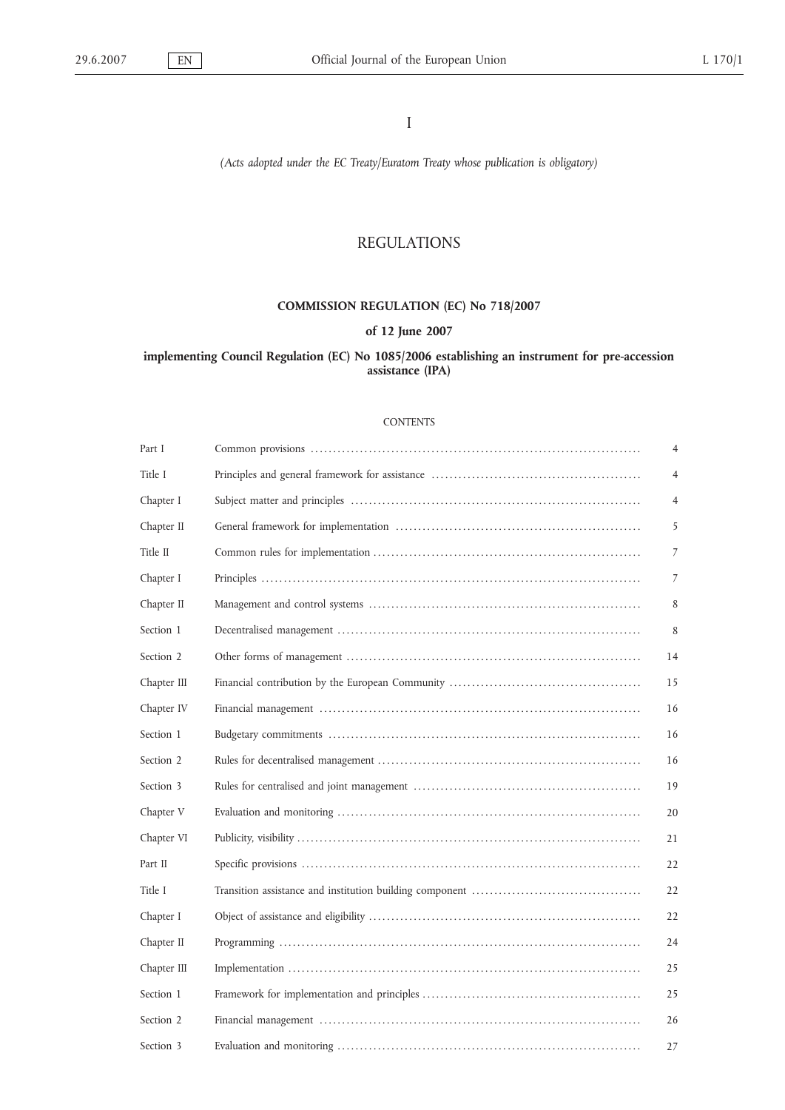I

*(Acts adopted under the EC Treaty/Euratom Treaty whose publication is obligatory)*

# REGULATIONS

# **COMMISSION REGULATION (EC) No 718/2007**

# **of 12 June 2007**

# **implementing Council Regulation (EC) No 1085/2006 establishing an instrument for pre-accession assistance (IPA)**

#### **CONTENTS**

| Part I      | $\overline{4}$ |
|-------------|----------------|
| Title I     | 4              |
| Chapter I   | 4              |
| Chapter II  | 5              |
| Title II    | 7              |
| Chapter I   | 7              |
| Chapter II  | 8              |
| Section 1   | 8              |
| Section 2   | 14             |
| Chapter III | 15             |
| Chapter IV  | 16             |
| Section 1   | 16             |
| Section 2   | 16             |
| Section 3   | 19             |
| Chapter V   | 20             |
| Chapter VI  | 21             |
| Part II     | 22             |
| Title I     | 22             |
| Chapter I   | 22             |
| Chapter II  | 24             |
| Chapter III | 25             |
| Section 1   | 25             |
| Section 2   | 26             |
| Section 3   | 27             |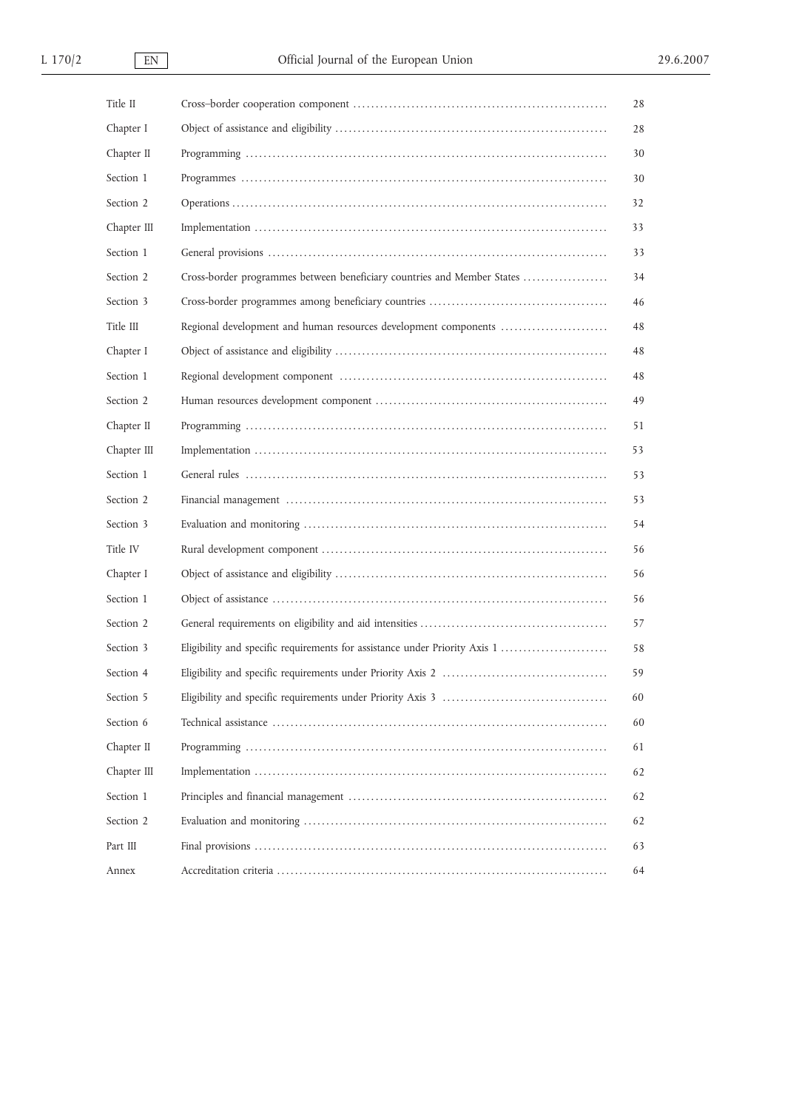| Title II    |                                                                            | 28 |
|-------------|----------------------------------------------------------------------------|----|
| Chapter I   |                                                                            | 28 |
| Chapter II  |                                                                            | 30 |
| Section 1   |                                                                            | 30 |
| Section 2   |                                                                            | 32 |
| Chapter III |                                                                            | 33 |
| Section 1   |                                                                            | 33 |
| Section 2   | Cross-border programmes between beneficiary countries and Member States    | 34 |
| Section 3   |                                                                            | 46 |
| Title III   | Regional development and human resources development components            | 48 |
| Chapter I   |                                                                            | 48 |
| Section 1   |                                                                            | 48 |
| Section 2   |                                                                            | 49 |
| Chapter II  |                                                                            | 51 |
| Chapter III |                                                                            | 53 |
| Section 1   |                                                                            | 53 |
| Section 2   |                                                                            | 53 |
| Section 3   |                                                                            | 54 |
| Title IV    |                                                                            | 56 |
| Chapter I   |                                                                            | 56 |
| Section 1   |                                                                            | 56 |
| Section 2   |                                                                            | 57 |
| Section 3   | Eligibility and specific requirements for assistance under Priority Axis 1 | 58 |
| Section 4   |                                                                            | 59 |
| Section 5   |                                                                            | 60 |
| Section 6   |                                                                            | 60 |
| Chapter II  |                                                                            | 61 |
| Chapter III |                                                                            | 62 |
| Section 1   |                                                                            | 62 |
| Section 2   |                                                                            | 62 |
| Part III    |                                                                            | 63 |
| Annex       |                                                                            | 64 |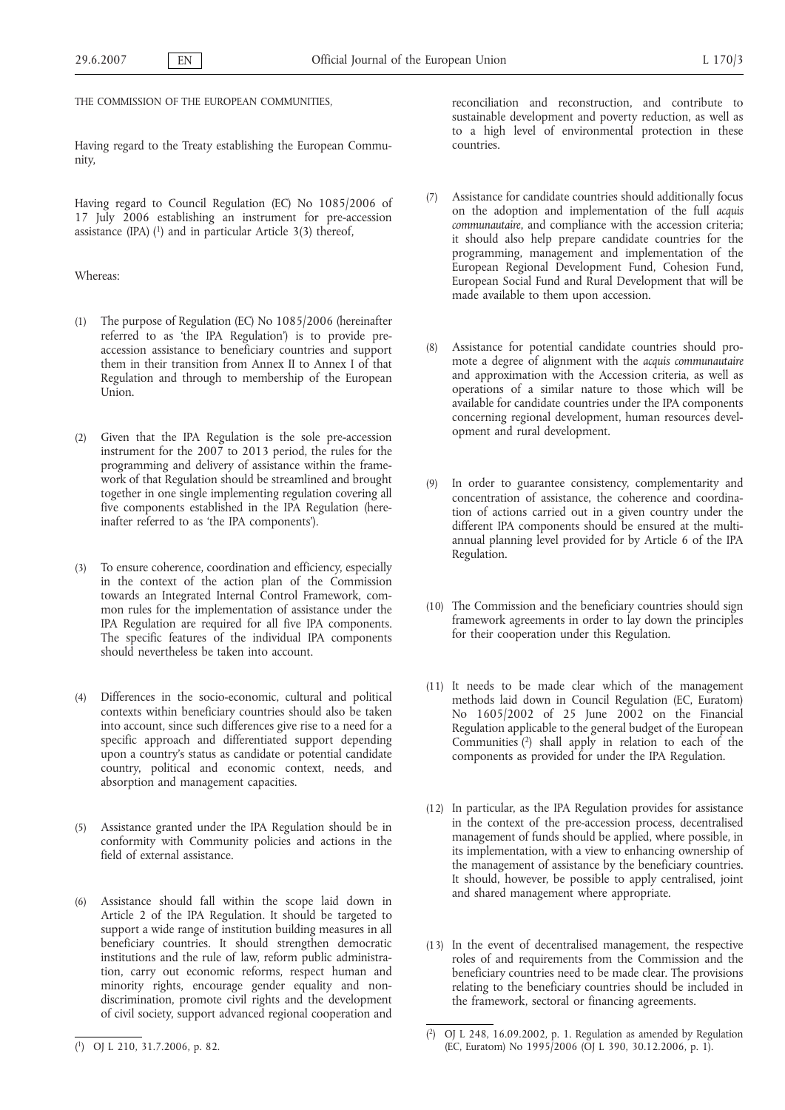THE COMMISSION OF THE EUROPEAN COMMUNITIES,

Having regard to the Treaty establishing the European Community,

Having regard to Council Regulation (EC) No 1085/2006 of 17 July 2006 establishing an instrument for pre-accession assistance (IPA)  $(1)$  and in particular Article 3(3) thereof,

### Whereas:

- (1) The purpose of Regulation (EC) No 1085/2006 (hereinafter referred to as 'the IPA Regulation') is to provide preaccession assistance to beneficiary countries and support them in their transition from Annex II to Annex I of that Regulation and through to membership of the European Union.
- (2) Given that the IPA Regulation is the sole pre-accession instrument for the 2007 to 2013 period, the rules for the programming and delivery of assistance within the framework of that Regulation should be streamlined and brought together in one single implementing regulation covering all five components established in the IPA Regulation (hereinafter referred to as 'the IPA components').
- (3) To ensure coherence, coordination and efficiency, especially in the context of the action plan of the Commission towards an Integrated Internal Control Framework, common rules for the implementation of assistance under the IPA Regulation are required for all five IPA components. The specific features of the individual IPA components should nevertheless be taken into account.
- (4) Differences in the socio-economic, cultural and political contexts within beneficiary countries should also be taken into account, since such differences give rise to a need for a specific approach and differentiated support depending upon a country's status as candidate or potential candidate country, political and economic context, needs, and absorption and management capacities.
- (5) Assistance granted under the IPA Regulation should be in conformity with Community policies and actions in the field of external assistance.
- (6) Assistance should fall within the scope laid down in Article 2 of the IPA Regulation. It should be targeted to support a wide range of institution building measures in all beneficiary countries. It should strengthen democratic institutions and the rule of law, reform public administration, carry out economic reforms, respect human and minority rights, encourage gender equality and nondiscrimination, promote civil rights and the development of civil society, support advanced regional cooperation and

reconciliation and reconstruction, and contribute to sustainable development and poverty reduction, as well as to a high level of environmental protection in these countries.

- (7) Assistance for candidate countries should additionally focus on the adoption and implementation of the full *acquis communautaire*, and compliance with the accession criteria; it should also help prepare candidate countries for the programming, management and implementation of the European Regional Development Fund, Cohesion Fund, European Social Fund and Rural Development that will be made available to them upon accession.
- Assistance for potential candidate countries should promote a degree of alignment with the *acquis communautaire* and approximation with the Accession criteria, as well as operations of a similar nature to those which will be available for candidate countries under the IPA components concerning regional development, human resources development and rural development.
- In order to guarantee consistency, complementarity and concentration of assistance, the coherence and coordination of actions carried out in a given country under the different IPA components should be ensured at the multiannual planning level provided for by Article 6 of the IPA Regulation.
- (10) The Commission and the beneficiary countries should sign framework agreements in order to lay down the principles for their cooperation under this Regulation.
- (11) It needs to be made clear which of the management methods laid down in Council Regulation (EC, Euratom) No 1605/2002 of 25 June 2002 on the Financial Regulation applicable to the general budget of the European Communities  $(2)$  shall apply in relation to each of the components as provided for under the IPA Regulation.
- (12) In particular, as the IPA Regulation provides for assistance in the context of the pre-accession process, decentralised management of funds should be applied, where possible, in its implementation, with a view to enhancing ownership of the management of assistance by the beneficiary countries. It should, however, be possible to apply centralised, joint and shared management where appropriate.
- (13) In the event of decentralised management, the respective roles of and requirements from the Commission and the beneficiary countries need to be made clear. The provisions relating to the beneficiary countries should be included in the framework, sectoral or financing agreements.

<sup>(</sup> 1) OJ L 210, 31.7.2006, p. 82.

<sup>(</sup> 2) OJ L 248, 16.09.2002, p. 1. Regulation as amended by Regulation (EC, Euratom) No 1995/2006 (OJ L 390, 30.12.2006, p. 1).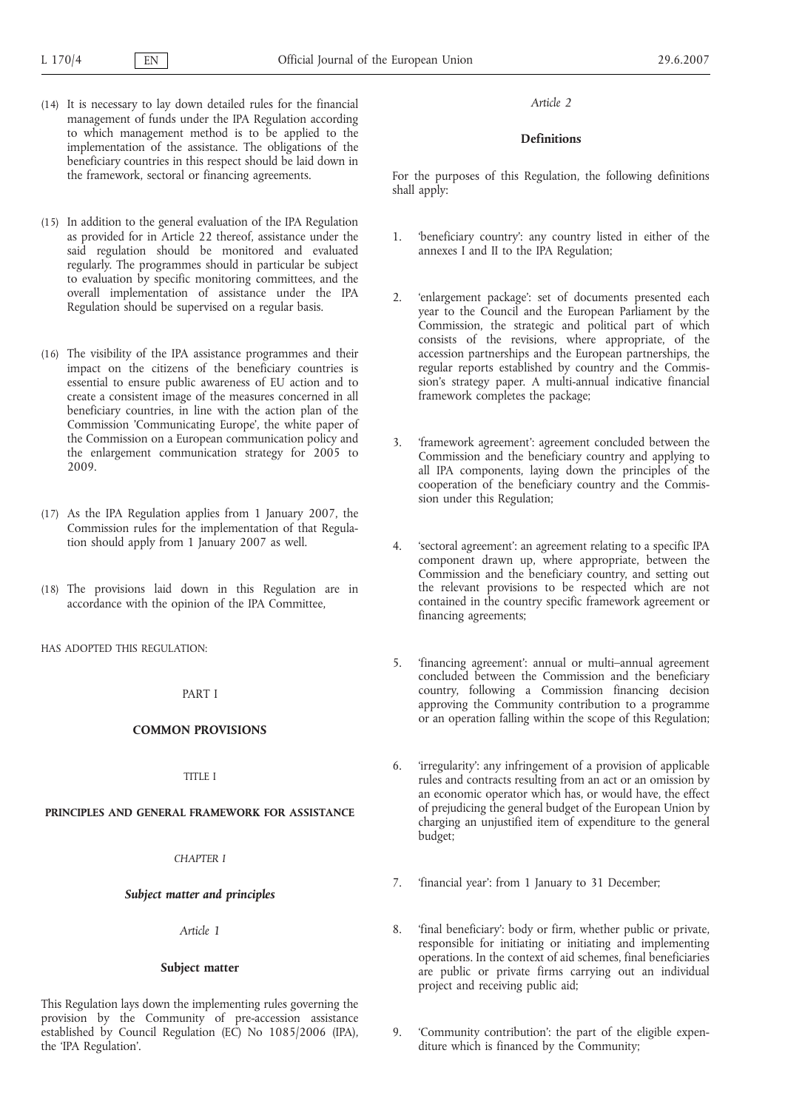- (14) It is necessary to lay down detailed rules for the financial management of funds under the IPA Regulation according to which management method is to be applied to the implementation of the assistance. The obligations of the beneficiary countries in this respect should be laid down in the framework, sectoral or financing agreements.
- (15) In addition to the general evaluation of the IPA Regulation as provided for in Article 22 thereof, assistance under the said regulation should be monitored and evaluated regularly. The programmes should in particular be subject to evaluation by specific monitoring committees, and the overall implementation of assistance under the IPA Regulation should be supervised on a regular basis.
- (16) The visibility of the IPA assistance programmes and their impact on the citizens of the beneficiary countries is essential to ensure public awareness of EU action and to create a consistent image of the measures concerned in all beneficiary countries, in line with the action plan of the Commission 'Communicating Europe', the white paper of the Commission on a European communication policy and the enlargement communication strategy for 2005 to 2009.
- (17) As the IPA Regulation applies from 1 January 2007, the Commission rules for the implementation of that Regulation should apply from 1 January 2007 as well.
- (18) The provisions laid down in this Regulation are in accordance with the opinion of the IPA Committee,

HAS ADOPTED THIS REGULATION:

PART I

# **COMMON PROVISIONS**

TITLE I

### **PRINCIPLES AND GENERAL FRAMEWORK FOR ASSISTANCE**

*CHAPTER I*

### *Subject matter and principles*

*Article 1*

#### **Subject matter**

This Regulation lays down the implementing rules governing the provision by the Community of pre-accession assistance established by Council Regulation (EC) No 1085/2006 (IPA), the 'IPA Regulation'.

#### *Article 2*

## **Definitions**

For the purposes of this Regulation, the following definitions shall apply:

- 1. 'beneficiary country': any country listed in either of the annexes I and II to the IPA Regulation;
- 2. 'enlargement package': set of documents presented each year to the Council and the European Parliament by the Commission, the strategic and political part of which consists of the revisions, where appropriate, of the accession partnerships and the European partnerships, the regular reports established by country and the Commission's strategy paper. A multi-annual indicative financial framework completes the package;
- 3. 'framework agreement': agreement concluded between the Commission and the beneficiary country and applying to all IPA components, laying down the principles of the cooperation of the beneficiary country and the Commission under this Regulation;
- 4. 'sectoral agreement': an agreement relating to a specific IPA component drawn up, where appropriate, between the Commission and the beneficiary country, and setting out the relevant provisions to be respected which are not contained in the country specific framework agreement or financing agreements;
- 5. 'financing agreement': annual or multi–annual agreement concluded between the Commission and the beneficiary country, following a Commission financing decision approving the Community contribution to a programme or an operation falling within the scope of this Regulation;
- 6. 'irregularity': any infringement of a provision of applicable rules and contracts resulting from an act or an omission by an economic operator which has, or would have, the effect of prejudicing the general budget of the European Union by charging an unjustified item of expenditure to the general budget;
- 7. 'financial year': from 1 January to 31 December;
- 8. 'final beneficiary': body or firm, whether public or private, responsible for initiating or initiating and implementing operations. In the context of aid schemes, final beneficiaries are public or private firms carrying out an individual project and receiving public aid;
- 9. 'Community contribution': the part of the eligible expenditure which is financed by the Community;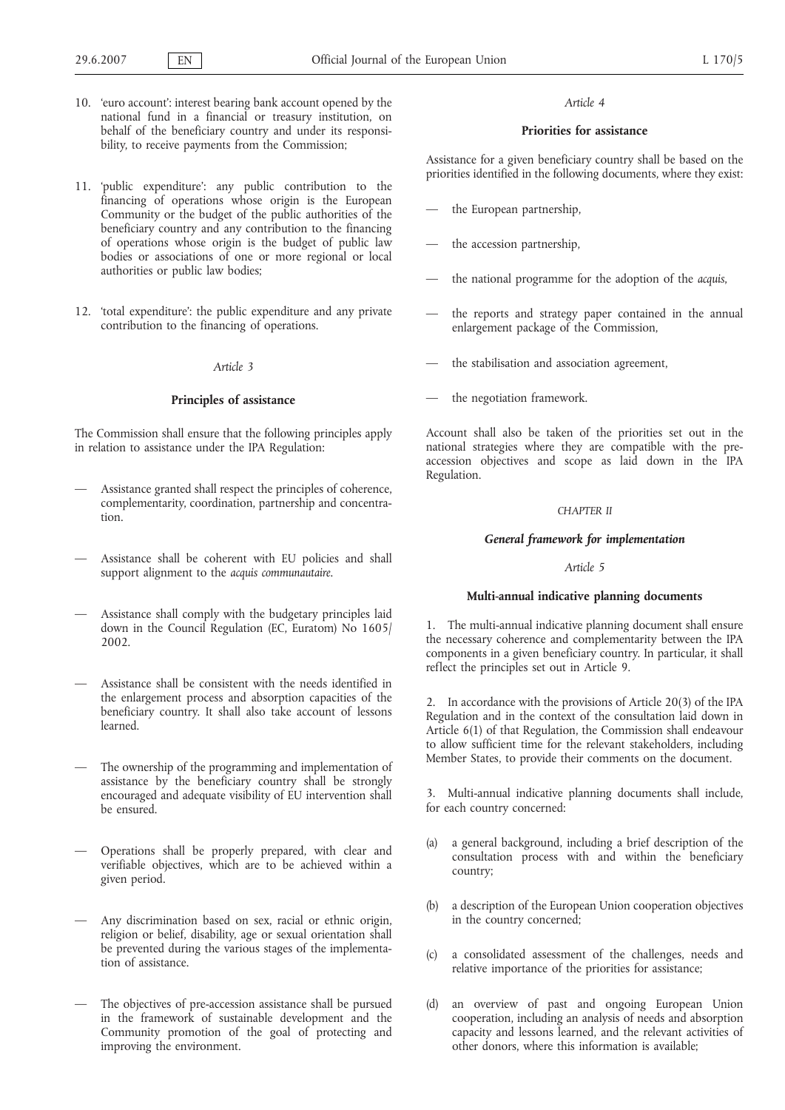- 10. 'euro account': interest bearing bank account opened by the national fund in a financial or treasury institution, on behalf of the beneficiary country and under its responsibility, to receive payments from the Commission;
- 11. 'public expenditure': any public contribution to the financing of operations whose origin is the European Community or the budget of the public authorities of the beneficiary country and any contribution to the financing of operations whose origin is the budget of public law bodies or associations of one or more regional or local authorities or public law bodies;
- 12. 'total expenditure': the public expenditure and any private contribution to the financing of operations.

# **Principles of assistance**

The Commission shall ensure that the following principles apply in relation to assistance under the IPA Regulation:

- Assistance granted shall respect the principles of coherence, complementarity, coordination, partnership and concentration.
- Assistance shall be coherent with EU policies and shall support alignment to the *acquis communautaire*.
- Assistance shall comply with the budgetary principles laid down in the Council Regulation (EC, Euratom) No 1605/ 2002.
- Assistance shall be consistent with the needs identified in the enlargement process and absorption capacities of the beneficiary country. It shall also take account of lessons learned.
- The ownership of the programming and implementation of assistance by the beneficiary country shall be strongly encouraged and adequate visibility of EU intervention shall be ensured.
- Operations shall be properly prepared, with clear and verifiable objectives, which are to be achieved within a given period.
- Any discrimination based on sex, racial or ethnic origin, religion or belief, disability, age or sexual orientation shall be prevented during the various stages of the implementation of assistance.
- The objectives of pre-accession assistance shall be pursued in the framework of sustainable development and the Community promotion of the goal of protecting and improving the environment.

#### *Article 4*

## **Priorities for assistance**

Assistance for a given beneficiary country shall be based on the priorities identified in the following documents, where they exist:

- the European partnership,
- the accession partnership,
- the national programme for the adoption of the *acquis*,
- the reports and strategy paper contained in the annual enlargement package of the Commission,
- the stabilisation and association agreement,
- the negotiation framework.

Account shall also be taken of the priorities set out in the national strategies where they are compatible with the preaccession objectives and scope as laid down in the IPA Regulation.

### *CHAPTER II*

# *General framework for implementation*

## *Article 5*

# **Multi-annual indicative planning documents**

1. The multi-annual indicative planning document shall ensure the necessary coherence and complementarity between the IPA components in a given beneficiary country. In particular, it shall reflect the principles set out in Article 9.

2. In accordance with the provisions of Article 20(3) of the IPA Regulation and in the context of the consultation laid down in Article 6(1) of that Regulation, the Commission shall endeavour to allow sufficient time for the relevant stakeholders, including Member States, to provide their comments on the document.

3. Multi-annual indicative planning documents shall include, for each country concerned:

- (a) a general background, including a brief description of the consultation process with and within the beneficiary country;
- (b) a description of the European Union cooperation objectives in the country concerned;
- (c) a consolidated assessment of the challenges, needs and relative importance of the priorities for assistance;
- (d) an overview of past and ongoing European Union cooperation, including an analysis of needs and absorption capacity and lessons learned, and the relevant activities of other donors, where this information is available;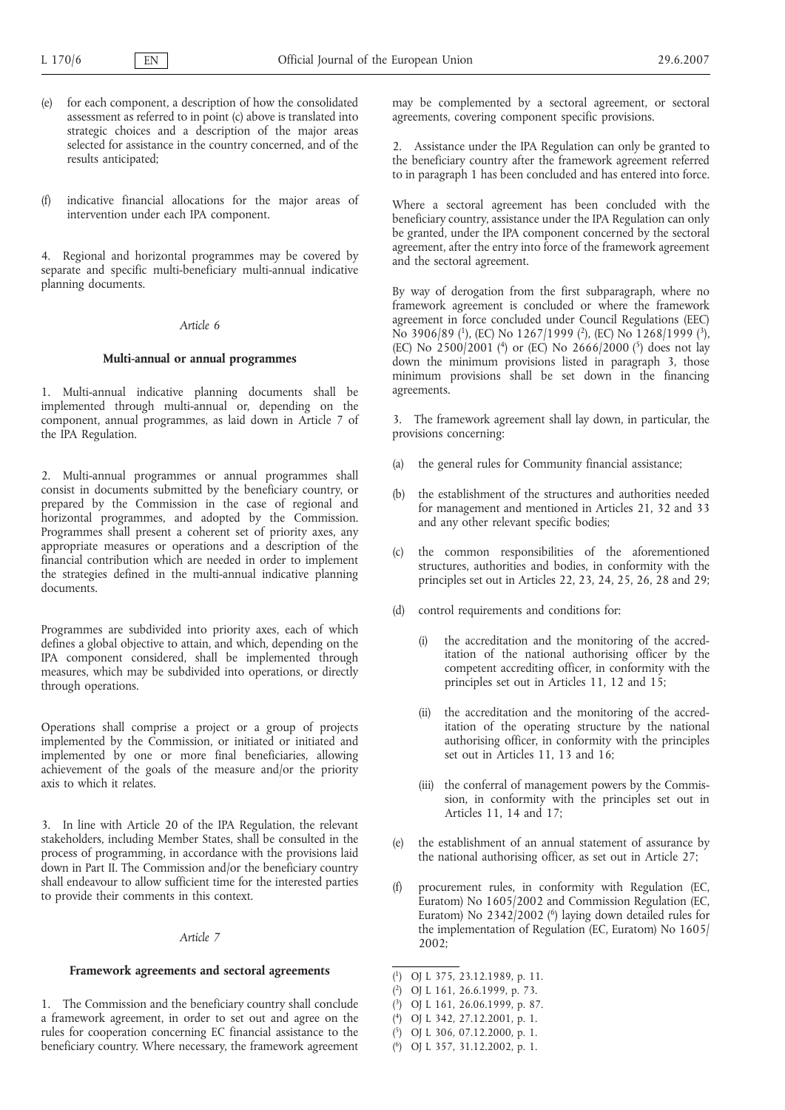- (e) for each component, a description of how the consolidated assessment as referred to in point (c) above is translated into strategic choices and a description of the major areas selected for assistance in the country concerned, and of the results anticipated;
- (f) indicative financial allocations for the major areas of intervention under each IPA component.

4. Regional and horizontal programmes may be covered by separate and specific multi-beneficiary multi-annual indicative planning documents.

# *Article 6*

### **Multi-annual or annual programmes**

1. Multi-annual indicative planning documents shall be implemented through multi-annual or, depending on the component, annual programmes, as laid down in Article 7 of the IPA Regulation.

2. Multi-annual programmes or annual programmes shall consist in documents submitted by the beneficiary country, or prepared by the Commission in the case of regional and horizontal programmes, and adopted by the Commission. Programmes shall present a coherent set of priority axes, any appropriate measures or operations and a description of the financial contribution which are needed in order to implement the strategies defined in the multi-annual indicative planning documents.

Programmes are subdivided into priority axes, each of which defines a global objective to attain, and which, depending on the IPA component considered, shall be implemented through measures, which may be subdivided into operations, or directly through operations.

Operations shall comprise a project or a group of projects implemented by the Commission, or initiated or initiated and implemented by one or more final beneficiaries, allowing achievement of the goals of the measure and/or the priority axis to which it relates.

3. In line with Article 20 of the IPA Regulation, the relevant stakeholders, including Member States, shall be consulted in the process of programming, in accordance with the provisions laid down in Part II. The Commission and/or the beneficiary country shall endeavour to allow sufficient time for the interested parties to provide their comments in this context.

#### *Article 7*

# **Framework agreements and sectoral agreements**

1. The Commission and the beneficiary country shall conclude a framework agreement, in order to set out and agree on the rules for cooperation concerning EC financial assistance to the beneficiary country. Where necessary, the framework agreement

may be complemented by a sectoral agreement, or sectoral agreements, covering component specific provisions.

2. Assistance under the IPA Regulation can only be granted to the beneficiary country after the framework agreement referred to in paragraph 1 has been concluded and has entered into force.

Where a sectoral agreement has been concluded with the beneficiary country, assistance under the IPA Regulation can only be granted, under the IPA component concerned by the sectoral agreement, after the entry into force of the framework agreement and the sectoral agreement.

By way of derogation from the first subparagraph, where no framework agreement is concluded or where the framework agreement in force concluded under Council Regulations (EEC) No 3906/89 (<sup>1</sup>), (EC) No 1267/1999 (<sup>2</sup>), (EC) No 1268/1999 (<sup>3</sup>), (EC) No 2500/2001 (<sup>4</sup>) or (EC) No 2666/2000 (<sup>5</sup>) does not lay down the minimum provisions listed in paragraph 3, those minimum provisions shall be set down in the financing agreements.

3. The framework agreement shall lay down, in particular, the provisions concerning:

- (a) the general rules for Community financial assistance;
- (b) the establishment of the structures and authorities needed for management and mentioned in Articles 21, 32 and 33 and any other relevant specific bodies;
- (c) the common responsibilities of the aforementioned structures, authorities and bodies, in conformity with the principles set out in Articles 22, 23, 24, 25, 26, 28 and 29;
- (d) control requirements and conditions for:
	- (i) the accreditation and the monitoring of the accreditation of the national authorising officer by the competent accrediting officer, in conformity with the principles set out in Articles 11, 12 and 15;
	- (ii) the accreditation and the monitoring of the accreditation of the operating structure by the national authorising officer, in conformity with the principles set out in Articles 11, 13 and 16;
	- (iii) the conferral of management powers by the Commission, in conformity with the principles set out in Articles 11, 14 and 17;
- (e) the establishment of an annual statement of assurance by the national authorising officer, as set out in Article 27;
- procurement rules, in conformity with Regulation (EC, Euratom) No 1605/2002 and Commission Regulation (EC, Euratom) No  $2342/2002$  (<sup>6</sup>) laying down detailed rules for the implementation of Regulation (EC, Euratom) No 1605/ 2002;

- ( 2) OJ L 161, 26.6.1999, p. 73.
- ( 3) OJ L 161, 26.06.1999, p. 87.
- ( 4) OJ L 342, 27.12.2001, p. 1.
- ( 5) OJ L 306, 07.12.2000, p. 1.
- ( 6) OJ L 357, 31.12.2002, p. 1.

<sup>(</sup> 1) OJ L 375, 23.12.1989, p. 11.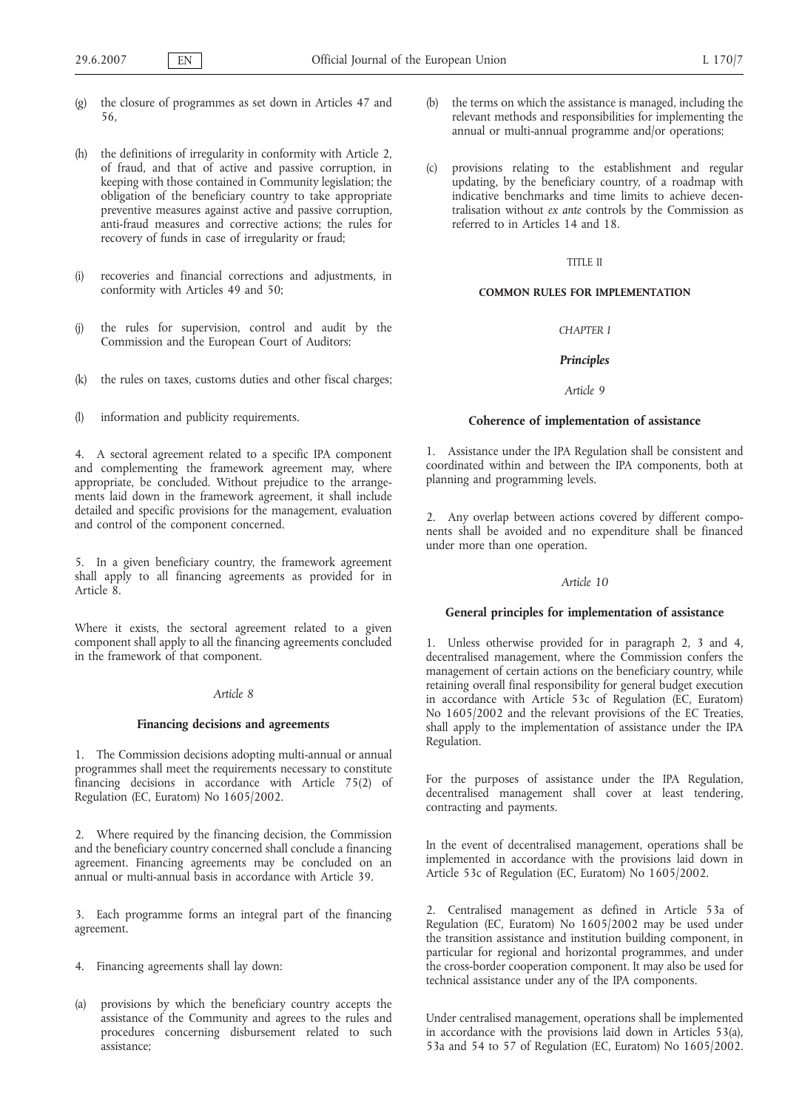- (g) the closure of programmes as set down in Articles 47 and 56,
- (h) the definitions of irregularity in conformity with Article 2, of fraud, and that of active and passive corruption, in keeping with those contained in Community legislation; the obligation of the beneficiary country to take appropriate preventive measures against active and passive corruption, anti-fraud measures and corrective actions; the rules for recovery of funds in case of irregularity or fraud;
- (i) recoveries and financial corrections and adjustments, in conformity with Articles 49 and 50;
- (j) the rules for supervision, control and audit by the Commission and the European Court of Auditors;
- (k) the rules on taxes, customs duties and other fiscal charges;
- (l) information and publicity requirements.

4. A sectoral agreement related to a specific IPA component and complementing the framework agreement may, where appropriate, be concluded. Without prejudice to the arrangements laid down in the framework agreement, it shall include detailed and specific provisions for the management, evaluation and control of the component concerned.

5. In a given beneficiary country, the framework agreement shall apply to all financing agreements as provided for in Article 8.

Where it exists, the sectoral agreement related to a given component shall apply to all the financing agreements concluded in the framework of that component.

# *Article 8*

#### **Financing decisions and agreements**

1. The Commission decisions adopting multi-annual or annual programmes shall meet the requirements necessary to constitute financing decisions in accordance with Article 75(2) of Regulation (EC, Euratom) No 1605/2002.

2. Where required by the financing decision, the Commission and the beneficiary country concerned shall conclude a financing agreement. Financing agreements may be concluded on an annual or multi-annual basis in accordance with Article 39.

3. Each programme forms an integral part of the financing agreement.

- 4. Financing agreements shall lay down:
- (a) provisions by which the beneficiary country accepts the assistance of the Community and agrees to the rules and procedures concerning disbursement related to such assistance;
- (b) the terms on which the assistance is managed, including the relevant methods and responsibilities for implementing the annual or multi-annual programme and/or operations;
- (c) provisions relating to the establishment and regular updating, by the beneficiary country, of a roadmap with indicative benchmarks and time limits to achieve decentralisation without *ex ante* controls by the Commission as referred to in Articles 14 and 18.

#### TITLE II

#### **COMMON RULES FOR IMPLEMENTATION**

# *CHAPTER I*

#### *Principles*

#### *Article 9*

#### **Coherence of implementation of assistance**

1. Assistance under the IPA Regulation shall be consistent and coordinated within and between the IPA components, both at planning and programming levels.

2. Any overlap between actions covered by different components shall be avoided and no expenditure shall be financed under more than one operation.

### *Article 10*

# **General principles for implementation of assistance**

1. Unless otherwise provided for in paragraph 2, 3 and 4, decentralised management, where the Commission confers the management of certain actions on the beneficiary country, while retaining overall final responsibility for general budget execution in accordance with Article 53c of Regulation (EC, Euratom) No 1605/2002 and the relevant provisions of the EC Treaties, shall apply to the implementation of assistance under the IPA Regulation.

For the purposes of assistance under the IPA Regulation, decentralised management shall cover at least tendering, contracting and payments.

In the event of decentralised management, operations shall be implemented in accordance with the provisions laid down in Article 53c of Regulation (EC, Euratom) No 1605/2002.

2. Centralised management as defined in Article 53a of Regulation (EC, Euratom) No 1605/2002 may be used under the transition assistance and institution building component, in particular for regional and horizontal programmes, and under the cross-border cooperation component. It may also be used for technical assistance under any of the IPA components.

Under centralised management, operations shall be implemented in accordance with the provisions laid down in Articles 53(a), 53a and 54 to 57 of Regulation (EC, Euratom) No 1605/2002.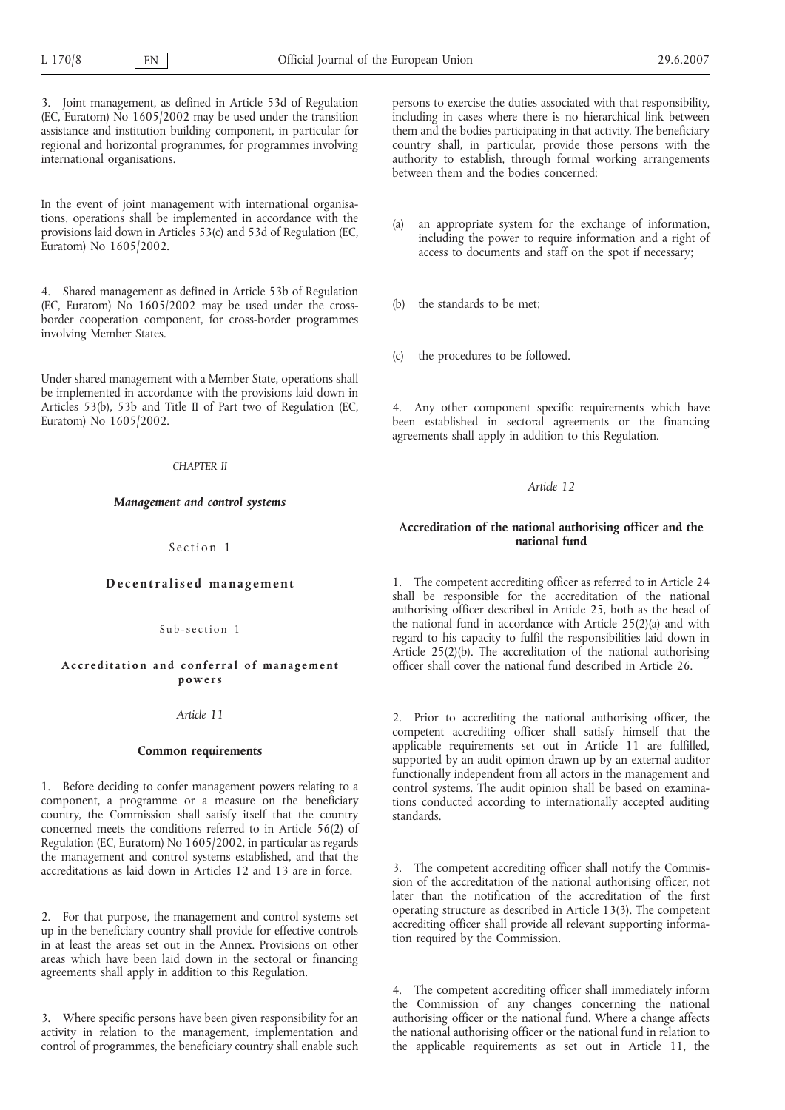3. Joint management, as defined in Article 53d of Regulation (EC, Euratom) No 1605/2002 may be used under the transition assistance and institution building component, in particular for regional and horizontal programmes, for programmes involving international organisations.

In the event of joint management with international organisations, operations shall be implemented in accordance with the provisions laid down in Articles 53(c) and 53d of Regulation (EC, Euratom) No 1605/2002.

4. Shared management as defined in Article 53b of Regulation (EC, Euratom) No 1605/2002 may be used under the crossborder cooperation component, for cross-border programmes involving Member States.

Under shared management with a Member State, operations shall be implemented in accordance with the provisions laid down in Articles 53(b), 53b and Title II of Part two of Regulation (EC, Euratom) No 1605/2002.

### *CHAPTER II*

#### *Management and control systems*

Section 1

### **Decentralised management**

Sub-section 1

#### **Accreditation and conferral of management powers**

### *Article 11*

### **Common requirements**

1. Before deciding to confer management powers relating to a component, a programme or a measure on the beneficiary country, the Commission shall satisfy itself that the country concerned meets the conditions referred to in Article 56(2) of Regulation (EC, Euratom) No 1605/2002, in particular as regards the management and control systems established, and that the accreditations as laid down in Articles 12 and 13 are in force.

2. For that purpose, the management and control systems set up in the beneficiary country shall provide for effective controls in at least the areas set out in the Annex. Provisions on other areas which have been laid down in the sectoral or financing agreements shall apply in addition to this Regulation.

3. Where specific persons have been given responsibility for an activity in relation to the management, implementation and control of programmes, the beneficiary country shall enable such

persons to exercise the duties associated with that responsibility, including in cases where there is no hierarchical link between them and the bodies participating in that activity. The beneficiary country shall, in particular, provide those persons with the authority to establish, through formal working arrangements between them and the bodies concerned:

- (a) an appropriate system for the exchange of information, including the power to require information and a right of access to documents and staff on the spot if necessary;
- (b) the standards to be met;
- (c) the procedures to be followed.

4. Any other component specific requirements which have been established in sectoral agreements or the financing agreements shall apply in addition to this Regulation.

### *Article 12*

# **Accreditation of the national authorising officer and the national fund**

1. The competent accrediting officer as referred to in Article 24 shall be responsible for the accreditation of the national authorising officer described in Article 25, both as the head of the national fund in accordance with Article 25(2)(a) and with regard to his capacity to fulfil the responsibilities laid down in Article 25(2)(b). The accreditation of the national authorising officer shall cover the national fund described in Article 26.

2. Prior to accrediting the national authorising officer, the competent accrediting officer shall satisfy himself that the applicable requirements set out in Article 11 are fulfilled, supported by an audit opinion drawn up by an external auditor functionally independent from all actors in the management and control systems. The audit opinion shall be based on examinations conducted according to internationally accepted auditing standards.

3. The competent accrediting officer shall notify the Commission of the accreditation of the national authorising officer, not later than the notification of the accreditation of the first operating structure as described in Article 13(3). The competent accrediting officer shall provide all relevant supporting information required by the Commission.

4. The competent accrediting officer shall immediately inform the Commission of any changes concerning the national authorising officer or the national fund. Where a change affects the national authorising officer or the national fund in relation to the applicable requirements as set out in Article 11, the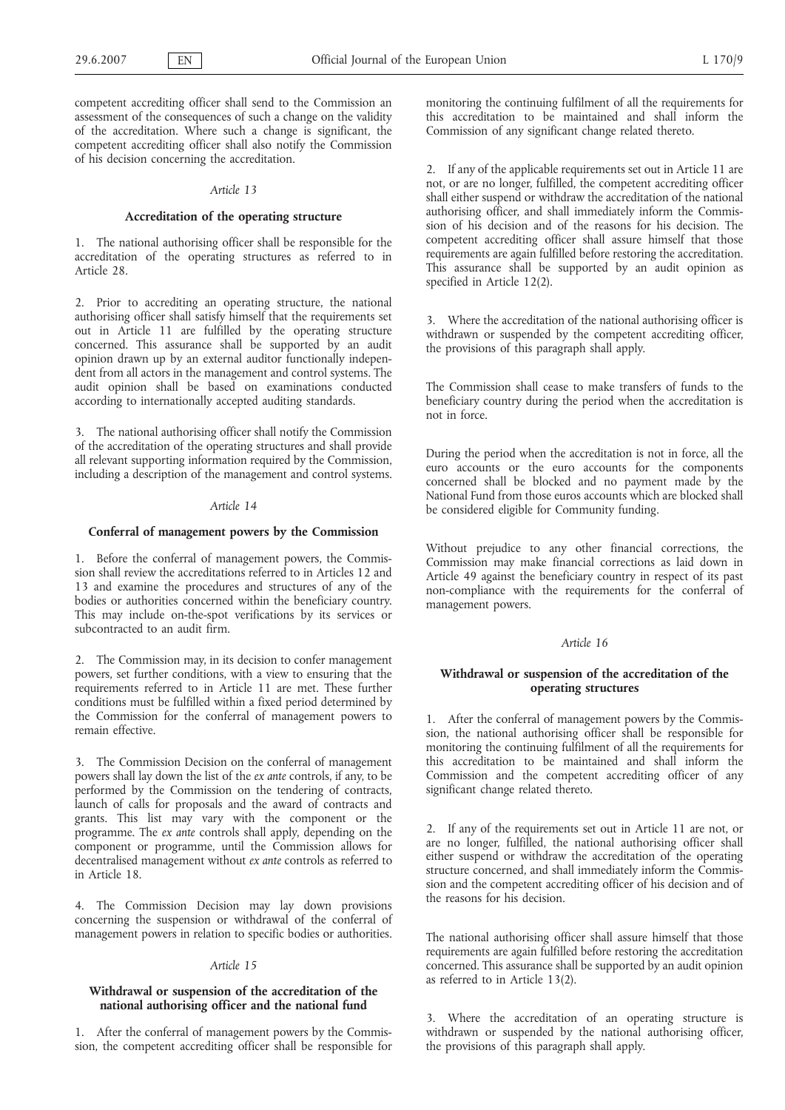competent accrediting officer shall send to the Commission an assessment of the consequences of such a change on the validity of the accreditation. Where such a change is significant, the competent accrediting officer shall also notify the Commission of his decision concerning the accreditation.

#### *Article 13*

### **Accreditation of the operating structure**

1. The national authorising officer shall be responsible for the accreditation of the operating structures as referred to in Article 28.

2. Prior to accrediting an operating structure, the national authorising officer shall satisfy himself that the requirements set out in Article 11 are fulfilled by the operating structure concerned. This assurance shall be supported by an audit opinion drawn up by an external auditor functionally independent from all actors in the management and control systems. The audit opinion shall be based on examinations conducted according to internationally accepted auditing standards.

3. The national authorising officer shall notify the Commission of the accreditation of the operating structures and shall provide all relevant supporting information required by the Commission, including a description of the management and control systems.

#### *Article 14*

### **Conferral of management powers by the Commission**

1. Before the conferral of management powers, the Commission shall review the accreditations referred to in Articles 12 and 13 and examine the procedures and structures of any of the bodies or authorities concerned within the beneficiary country. This may include on-the-spot verifications by its services or subcontracted to an audit firm.

2. The Commission may, in its decision to confer management powers, set further conditions, with a view to ensuring that the requirements referred to in Article 11 are met. These further conditions must be fulfilled within a fixed period determined by the Commission for the conferral of management powers to remain effective.

3. The Commission Decision on the conferral of management powers shall lay down the list of the *ex ante* controls, if any, to be performed by the Commission on the tendering of contracts, launch of calls for proposals and the award of contracts and grants. This list may vary with the component or the programme. The *ex ante* controls shall apply, depending on the component or programme, until the Commission allows for decentralised management without *ex ante* controls as referred to in Article 18.

4. The Commission Decision may lay down provisions concerning the suspension or withdrawal of the conferral of management powers in relation to specific bodies or authorities.

#### *Article 15*

# **Withdrawal or suspension of the accreditation of the national authorising officer and the national fund**

1. After the conferral of management powers by the Commission, the competent accrediting officer shall be responsible for monitoring the continuing fulfilment of all the requirements for this accreditation to be maintained and shall inform the Commission of any significant change related thereto.

2. If any of the applicable requirements set out in Article 11 are not, or are no longer, fulfilled, the competent accrediting officer shall either suspend or withdraw the accreditation of the national authorising officer, and shall immediately inform the Commission of his decision and of the reasons for his decision. The competent accrediting officer shall assure himself that those requirements are again fulfilled before restoring the accreditation. This assurance shall be supported by an audit opinion as specified in Article 12(2).

3. Where the accreditation of the national authorising officer is withdrawn or suspended by the competent accrediting officer, the provisions of this paragraph shall apply.

The Commission shall cease to make transfers of funds to the beneficiary country during the period when the accreditation is not in force.

During the period when the accreditation is not in force, all the euro accounts or the euro accounts for the components concerned shall be blocked and no payment made by the National Fund from those euros accounts which are blocked shall be considered eligible for Community funding.

Without prejudice to any other financial corrections, the Commission may make financial corrections as laid down in Article 49 against the beneficiary country in respect of its past non-compliance with the requirements for the conferral of management powers.

### *Article 16*

# **Withdrawal or suspension of the accreditation of the operating structures**

1. After the conferral of management powers by the Commission, the national authorising officer shall be responsible for monitoring the continuing fulfilment of all the requirements for this accreditation to be maintained and shall inform the Commission and the competent accrediting officer of any significant change related thereto.

2. If any of the requirements set out in Article 11 are not, or are no longer, fulfilled, the national authorising officer shall either suspend or withdraw the accreditation of the operating structure concerned, and shall immediately inform the Commission and the competent accrediting officer of his decision and of the reasons for his decision.

The national authorising officer shall assure himself that those requirements are again fulfilled before restoring the accreditation concerned. This assurance shall be supported by an audit opinion as referred to in Article 13(2).

3. Where the accreditation of an operating structure is withdrawn or suspended by the national authorising officer, the provisions of this paragraph shall apply.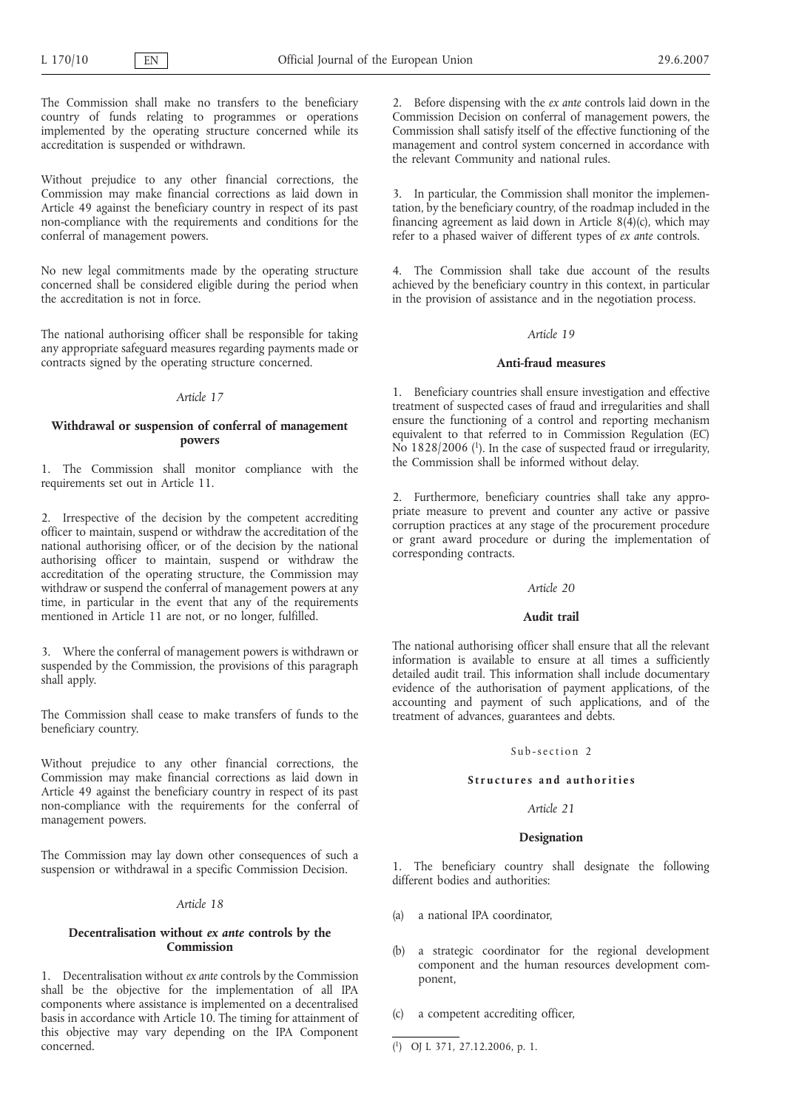The Commission shall make no transfers to the beneficiary country of funds relating to programmes or operations implemented by the operating structure concerned while its accreditation is suspended or withdrawn.

Without prejudice to any other financial corrections, the Commission may make financial corrections as laid down in Article 49 against the beneficiary country in respect of its past non-compliance with the requirements and conditions for the conferral of management powers.

No new legal commitments made by the operating structure concerned shall be considered eligible during the period when the accreditation is not in force.

The national authorising officer shall be responsible for taking any appropriate safeguard measures regarding payments made or contracts signed by the operating structure concerned.

# *Article 17*

# **Withdrawal or suspension of conferral of management powers**

1. The Commission shall monitor compliance with the requirements set out in Article 11.

2. Irrespective of the decision by the competent accrediting officer to maintain, suspend or withdraw the accreditation of the national authorising officer, or of the decision by the national authorising officer to maintain, suspend or withdraw the accreditation of the operating structure, the Commission may withdraw or suspend the conferral of management powers at any time, in particular in the event that any of the requirements mentioned in Article 11 are not, or no longer, fulfilled.

3. Where the conferral of management powers is withdrawn or suspended by the Commission, the provisions of this paragraph shall apply.

The Commission shall cease to make transfers of funds to the beneficiary country.

Without prejudice to any other financial corrections, the Commission may make financial corrections as laid down in Article 49 against the beneficiary country in respect of its past non-compliance with the requirements for the conferral of management powers.

The Commission may lay down other consequences of such a suspension or withdrawal in a specific Commission Decision.

## *Article 18*

## **Decentralisation without** *ex ante* **controls by the Commission**

1. Decentralisation without *ex ante* controls by the Commission shall be the objective for the implementation of all IPA components where assistance is implemented on a decentralised basis in accordance with Article 10. The timing for attainment of this objective may vary depending on the IPA Component concerned.

2. Before dispensing with the *ex ante* controls laid down in the Commission Decision on conferral of management powers, the Commission shall satisfy itself of the effective functioning of the management and control system concerned in accordance with the relevant Community and national rules.

3. In particular, the Commission shall monitor the implementation, by the beneficiary country, of the roadmap included in the financing agreement as laid down in Article  $8(\hat{4})(c)$ , which may refer to a phased waiver of different types of *ex ante* controls.

4. The Commission shall take due account of the results achieved by the beneficiary country in this context, in particular in the provision of assistance and in the negotiation process.

#### *Article 19*

### **Anti-fraud measures**

1. Beneficiary countries shall ensure investigation and effective treatment of suspected cases of fraud and irregularities and shall ensure the functioning of a control and reporting mechanism equivalent to that referred to in Commission Regulation (EC) No  $1828/2006$  (<sup>1</sup>). In the case of suspected fraud or irregularity, the Commission shall be informed without delay.

2. Furthermore, beneficiary countries shall take any appropriate measure to prevent and counter any active or passive corruption practices at any stage of the procurement procedure or grant award procedure or during the implementation of corresponding contracts.

### *Article 20*

#### **Audit trail**

The national authorising officer shall ensure that all the relevant information is available to ensure at all times a sufficiently detailed audit trail. This information shall include documentary evidence of the authorisation of payment applications, of the accounting and payment of such applications, and of the treatment of advances, guarantees and debts.

### Sub-section 2

### **Structures and authorities**

### *Article 21*

### **Designation**

1. The beneficiary country shall designate the following different bodies and authorities:

- (a) a national IPA coordinator,
- (b) a strategic coordinator for the regional development component and the human resources development component,
- (c) a competent accrediting officer,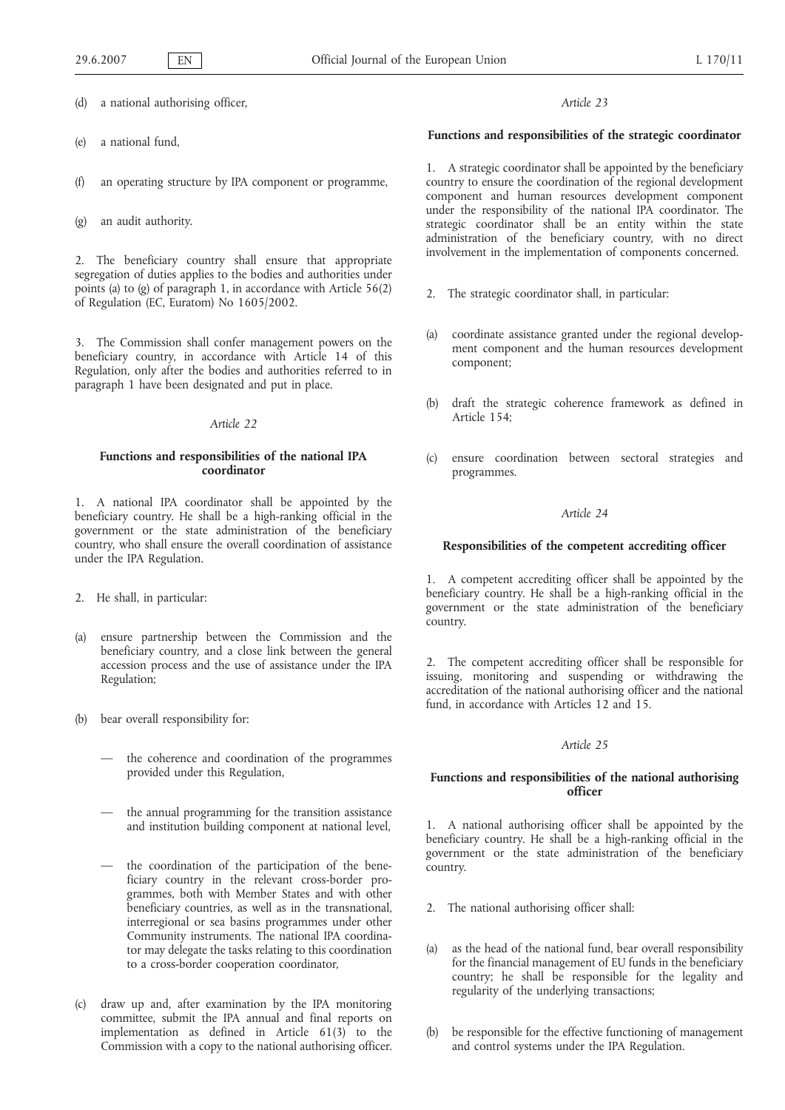(d) a national authorising officer,

(e) a national fund,

(f) an operating structure by IPA component or programme,

(g) an audit authority.

2. The beneficiary country shall ensure that appropriate segregation of duties applies to the bodies and authorities under points (a) to (g) of paragraph 1, in accordance with Article 56(2) of Regulation (EC, Euratom) No 1605/2002.

3. The Commission shall confer management powers on the beneficiary country, in accordance with Article 14 of this Regulation, only after the bodies and authorities referred to in paragraph 1 have been designated and put in place.

### *Article 22*

# **Functions and responsibilities of the national IPA coordinator**

1. A national IPA coordinator shall be appointed by the beneficiary country. He shall be a high-ranking official in the government or the state administration of the beneficiary country, who shall ensure the overall coordination of assistance under the IPA Regulation.

- 2. He shall, in particular:
- (a) ensure partnership between the Commission and the beneficiary country, and a close link between the general accession process and the use of assistance under the IPA Regulation;
- (b) bear overall responsibility for:
	- the coherence and coordination of the programmes provided under this Regulation,
	- the annual programming for the transition assistance and institution building component at national level,
	- the coordination of the participation of the beneficiary country in the relevant cross-border programmes, both with Member States and with other beneficiary countries, as well as in the transnational, interregional or sea basins programmes under other Community instruments. The national IPA coordinator may delegate the tasks relating to this coordination to a cross-border cooperation coordinator,
- (c) draw up and, after examination by the IPA monitoring committee, submit the IPA annual and final reports on implementation as defined in Article  $61(3)$  to the Commission with a copy to the national authorising officer.

# *Article 23*

# **Functions and responsibilities of the strategic coordinator**

1. A strategic coordinator shall be appointed by the beneficiary country to ensure the coordination of the regional development component and human resources development component under the responsibility of the national IPA coordinator. The strategic coordinator shall be an entity within the state administration of the beneficiary country, with no direct involvement in the implementation of components concerned.

- 2. The strategic coordinator shall, in particular:
- (a) coordinate assistance granted under the regional development component and the human resources development component;
- (b) draft the strategic coherence framework as defined in Article 154;
- (c) ensure coordination between sectoral strategies and programmes.

# *Article 24*

#### **Responsibilities of the competent accrediting officer**

1. A competent accrediting officer shall be appointed by the beneficiary country. He shall be a high-ranking official in the government or the state administration of the beneficiary country.

2. The competent accrediting officer shall be responsible for issuing, monitoring and suspending or withdrawing the accreditation of the national authorising officer and the national fund, in accordance with Articles 12 and 15.

# *Article 25*

# **Functions and responsibilities of the national authorising officer**

1. A national authorising officer shall be appointed by the beneficiary country. He shall be a high-ranking official in the government or the state administration of the beneficiary country.

- 2. The national authorising officer shall:
- (a) as the head of the national fund, bear overall responsibility for the financial management of EU funds in the beneficiary country; he shall be responsible for the legality and regularity of the underlying transactions;
- be responsible for the effective functioning of management and control systems under the IPA Regulation.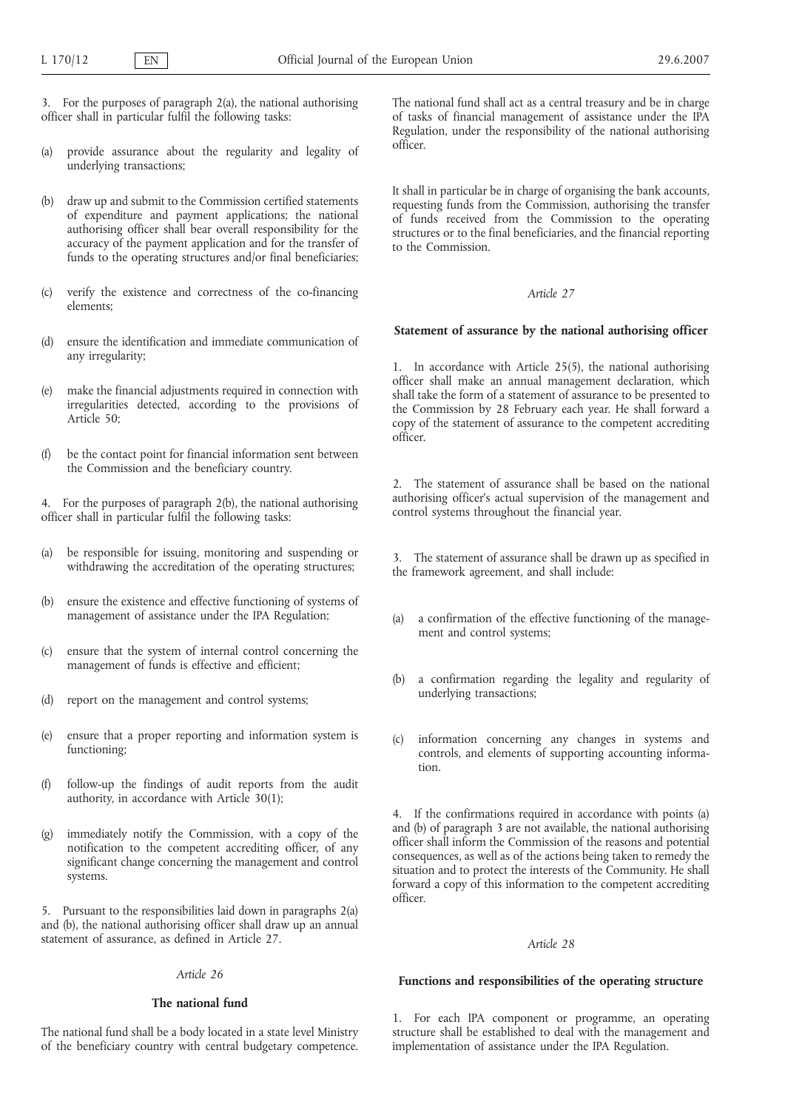3. For the purposes of paragraph 2(a), the national authorising officer shall in particular fulfil the following tasks:

- (a) provide assurance about the regularity and legality of underlying transactions;
- (b) draw up and submit to the Commission certified statements of expenditure and payment applications; the national authorising officer shall bear overall responsibility for the accuracy of the payment application and for the transfer of funds to the operating structures and/or final beneficiaries;
- (c) verify the existence and correctness of the co-financing elements;
- (d) ensure the identification and immediate communication of any irregularity;
- (e) make the financial adjustments required in connection with irregularities detected, according to the provisions of Article 50;
- (f) be the contact point for financial information sent between the Commission and the beneficiary country.

4. For the purposes of paragraph 2(b), the national authorising officer shall in particular fulfil the following tasks:

- (a) be responsible for issuing, monitoring and suspending or withdrawing the accreditation of the operating structures;
- (b) ensure the existence and effective functioning of systems of management of assistance under the IPA Regulation;
- (c) ensure that the system of internal control concerning the management of funds is effective and efficient;
- (d) report on the management and control systems;
- (e) ensure that a proper reporting and information system is functioning;
- (f) follow-up the findings of audit reports from the audit authority, in accordance with Article 30(1);
- (g) immediately notify the Commission, with a copy of the notification to the competent accrediting officer, of any significant change concerning the management and control systems.

5. Pursuant to the responsibilities laid down in paragraphs 2(a) and (b), the national authorising officer shall draw up an annual statement of assurance, as defined in Article 27.

# *Article 26*

# **The national fund**

The national fund shall be a body located in a state level Ministry of the beneficiary country with central budgetary competence. The national fund shall act as a central treasury and be in charge of tasks of financial management of assistance under the IPA Regulation, under the responsibility of the national authorising officer.

It shall in particular be in charge of organising the bank accounts, requesting funds from the Commission, authorising the transfer of funds received from the Commission to the operating structures or to the final beneficiaries, and the financial reporting to the Commission.

# *Article 27*

### **Statement of assurance by the national authorising officer**

1. In accordance with Article 25(5), the national authorising officer shall make an annual management declaration, which shall take the form of a statement of assurance to be presented to the Commission by 28 February each year. He shall forward a copy of the statement of assurance to the competent accrediting officer.

2. The statement of assurance shall be based on the national authorising officer's actual supervision of the management and control systems throughout the financial year.

3. The statement of assurance shall be drawn up as specified in the framework agreement, and shall include:

- (a) a confirmation of the effective functioning of the management and control systems;
- (b) a confirmation regarding the legality and regularity of underlying transactions;
- (c) information concerning any changes in systems and controls, and elements of supporting accounting information.

4. If the confirmations required in accordance with points (a) and (b) of paragraph 3 are not available, the national authorising officer shall inform the Commission of the reasons and potential consequences, as well as of the actions being taken to remedy the situation and to protect the interests of the Community. He shall forward a copy of this information to the competent accrediting officer.

### *Article 28*

#### **Functions and responsibilities of the operating structure**

1. For each IPA component or programme, an operating structure shall be established to deal with the management and implementation of assistance under the IPA Regulation.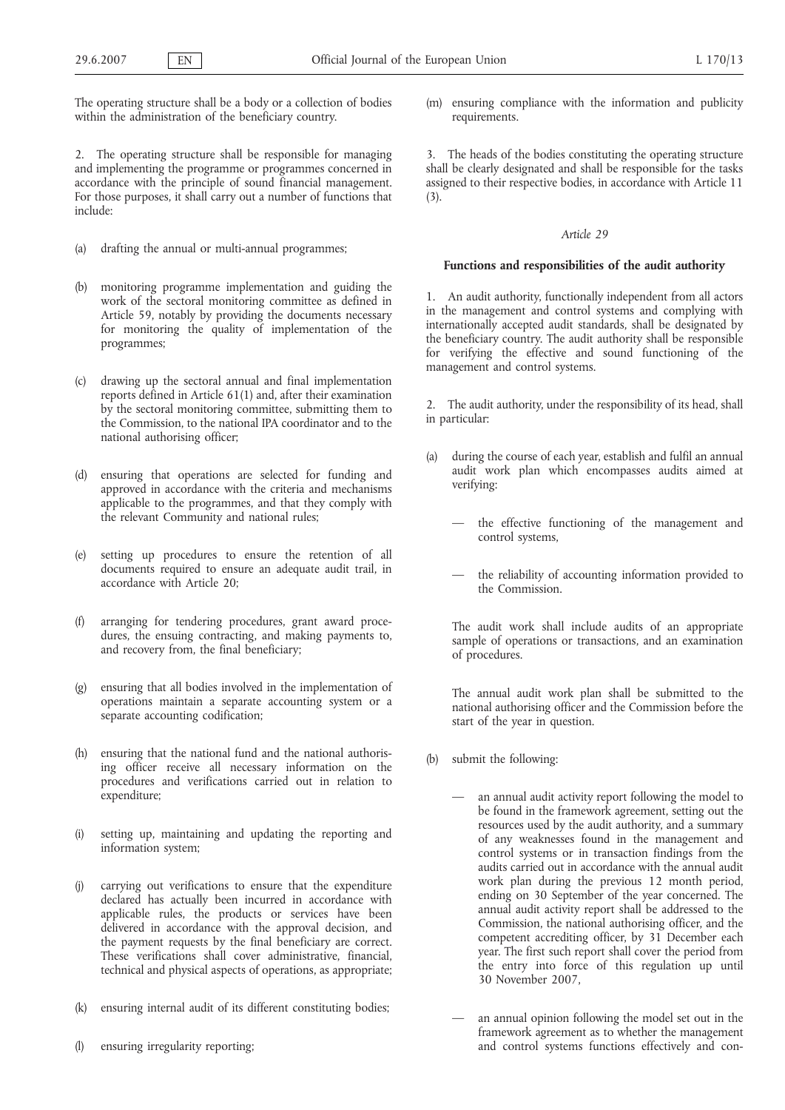The operating structure shall be a body or a collection of bodies within the administration of the beneficiary country.

2. The operating structure shall be responsible for managing and implementing the programme or programmes concerned in accordance with the principle of sound financial management. For those purposes, it shall carry out a number of functions that include:

- (a) drafting the annual or multi-annual programmes;
- (b) monitoring programme implementation and guiding the work of the sectoral monitoring committee as defined in Article 59, notably by providing the documents necessary for monitoring the quality of implementation of the programmes;
- (c) drawing up the sectoral annual and final implementation reports defined in Article 61(1) and, after their examination by the sectoral monitoring committee, submitting them to the Commission, to the national IPA coordinator and to the national authorising officer;
- (d) ensuring that operations are selected for funding and approved in accordance with the criteria and mechanisms applicable to the programmes, and that they comply with the relevant Community and national rules;
- (e) setting up procedures to ensure the retention of all documents required to ensure an adequate audit trail, in accordance with Article 20;
- (f) arranging for tendering procedures, grant award procedures, the ensuing contracting, and making payments to, and recovery from, the final beneficiary;
- (g) ensuring that all bodies involved in the implementation of operations maintain a separate accounting system or a separate accounting codification;
- (h) ensuring that the national fund and the national authorising officer receive all necessary information on the procedures and verifications carried out in relation to expenditure;
- (i) setting up, maintaining and updating the reporting and information system;
- (j) carrying out verifications to ensure that the expenditure declared has actually been incurred in accordance with applicable rules, the products or services have been delivered in accordance with the approval decision, and the payment requests by the final beneficiary are correct. These verifications shall cover administrative, financial, technical and physical aspects of operations, as appropriate;
- (k) ensuring internal audit of its different constituting bodies;
- (l) ensuring irregularity reporting;

(m) ensuring compliance with the information and publicity requirements.

3. The heads of the bodies constituting the operating structure shall be clearly designated and shall be responsible for the tasks assigned to their respective bodies, in accordance with Article 11 (3).

#### *Article 29*

## **Functions and responsibilities of the audit authority**

1. An audit authority, functionally independent from all actors in the management and control systems and complying with internationally accepted audit standards, shall be designated by the beneficiary country. The audit authority shall be responsible for verifying the effective and sound functioning of the management and control systems.

2. The audit authority, under the responsibility of its head, shall in particular:

- (a) during the course of each year, establish and fulfil an annual audit work plan which encompasses audits aimed at verifying:
	- the effective functioning of the management and control systems,
	- the reliability of accounting information provided to the Commission.

The audit work shall include audits of an appropriate sample of operations or transactions, and an examination of procedures.

The annual audit work plan shall be submitted to the national authorising officer and the Commission before the start of the year in question.

- (b) submit the following:
	- an annual audit activity report following the model to be found in the framework agreement, setting out the resources used by the audit authority, and a summary of any weaknesses found in the management and control systems or in transaction findings from the audits carried out in accordance with the annual audit work plan during the previous 12 month period, ending on 30 September of the year concerned. The annual audit activity report shall be addressed to the Commission, the national authorising officer, and the competent accrediting officer, by 31 December each year. The first such report shall cover the period from the entry into force of this regulation up until 30 November 2007,
	- an annual opinion following the model set out in the framework agreement as to whether the management and control systems functions effectively and con-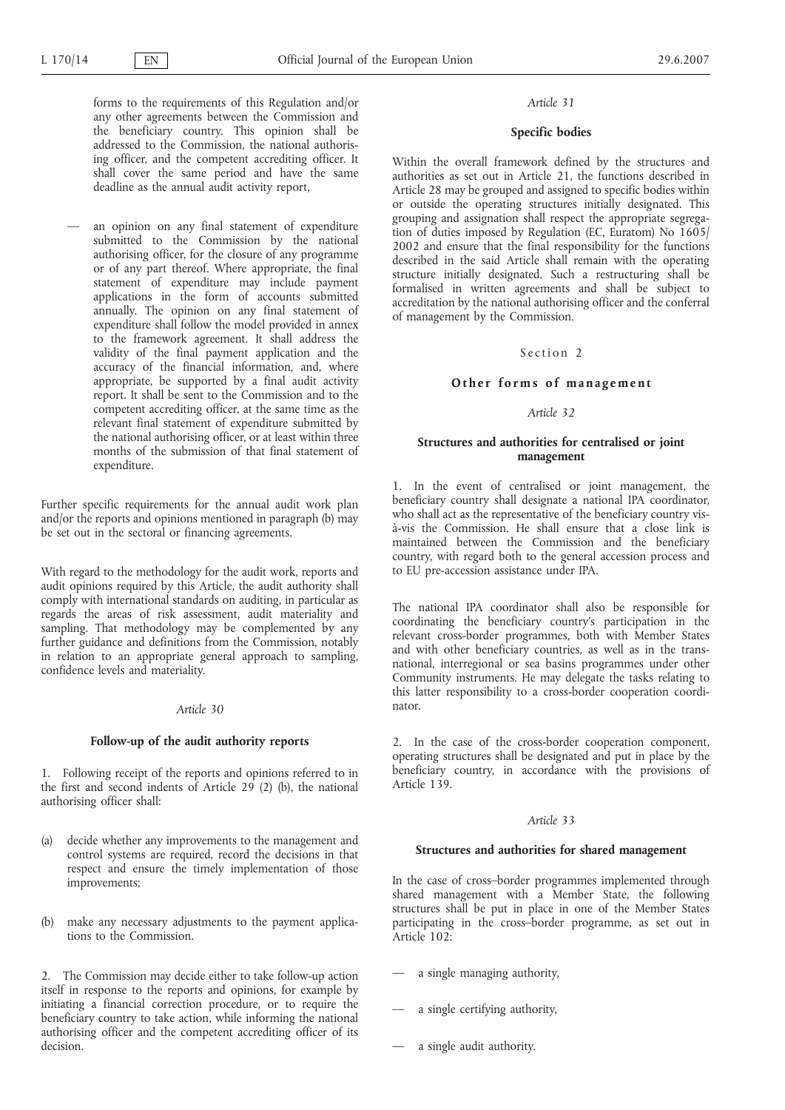forms to the requirements of this Regulation and/or any other agreements between the Commission and the beneficiary country. This opinion shall be addressed to the Commission, the national authorising officer, and the competent accrediting officer. It shall cover the same period and have the same deadline as the annual audit activity report,

an opinion on any final statement of expenditure submitted to the Commission by the national authorising officer, for the closure of any programme or of any part thereof. Where appropriate, the final statement of expenditure may include payment applications in the form of accounts submitted annually. The opinion on any final statement of expenditure shall follow the model provided in annex to the framework agreement. It shall address the validity of the final payment application and the accuracy of the financial information, and, where appropriate, be supported by a final audit activity report. It shall be sent to the Commission and to the competent accrediting officer, at the same time as the relevant final statement of expenditure submitted by the national authorising officer, or at least within three months of the submission of that final statement of expenditure.

Further specific requirements for the annual audit work plan and/or the reports and opinions mentioned in paragraph (b) may be set out in the sectoral or financing agreements.

With regard to the methodology for the audit work, reports and audit opinions required by this Article, the audit authority shall comply with international standards on auditing, in particular as regards the areas of risk assessment, audit materiality and sampling. That methodology may be complemented by any further guidance and definitions from the Commission, notably in relation to an appropriate general approach to sampling, confidence levels and materiality.

#### *Article 30*

# **Follow-up of the audit authority reports**

1. Following receipt of the reports and opinions referred to in the first and second indents of Article 29 (2) (b), the national authorising officer shall:

- (a) decide whether any improvements to the management and control systems are required, record the decisions in that respect and ensure the timely implementation of those improvements;
- (b) make any necessary adjustments to the payment applications to the Commission.

2. The Commission may decide either to take follow-up action itself in response to the reports and opinions, for example by initiating a financial correction procedure, or to require the beneficiary country to take action, while informing the national authorising officer and the competent accrediting officer of its decision.

#### *Article 31*

### **Specific bodies**

Within the overall framework defined by the structures and authorities as set out in Article 21, the functions described in Article 28 may be grouped and assigned to specific bodies within or outside the operating structures initially designated. This grouping and assignation shall respect the appropriate segregation of duties imposed by Regulation (EC, Euratom) No 1605/ 2002 and ensure that the final responsibility for the functions described in the said Article shall remain with the operating structure initially designated. Such a restructuring shall be formalised in written agreements and shall be subject to accreditation by the national authorising officer and the conferral of management by the Commission.

# Section 2

#### **Other forms of management**

# *Article 32*

### **Structures and authorities for centralised or joint management**

1. In the event of centralised or joint management, the beneficiary country shall designate a national IPA coordinator, who shall act as the representative of the beneficiary country visà-vis the Commission. He shall ensure that a close link is maintained between the Commission and the beneficiary country, with regard both to the general accession process and to EU pre-accession assistance under IPA.

The national IPA coordinator shall also be responsible for coordinating the beneficiary country's participation in the relevant cross-border programmes, both with Member States and with other beneficiary countries, as well as in the transnational, interregional or sea basins programmes under other Community instruments. He may delegate the tasks relating to this latter responsibility to a cross-border cooperation coordinator.

2. In the case of the cross-border cooperation component, operating structures shall be designated and put in place by the beneficiary country, in accordance with the provisions of Article 139.

#### *Article 33*

#### **Structures and authorities for shared management**

In the case of cross–border programmes implemented through shared management with a Member State, the following structures shall be put in place in one of the Member States participating in the cross–border programme, as set out in Article 102:

- a single managing authority,
- a single certifying authority,
- a single audit authority.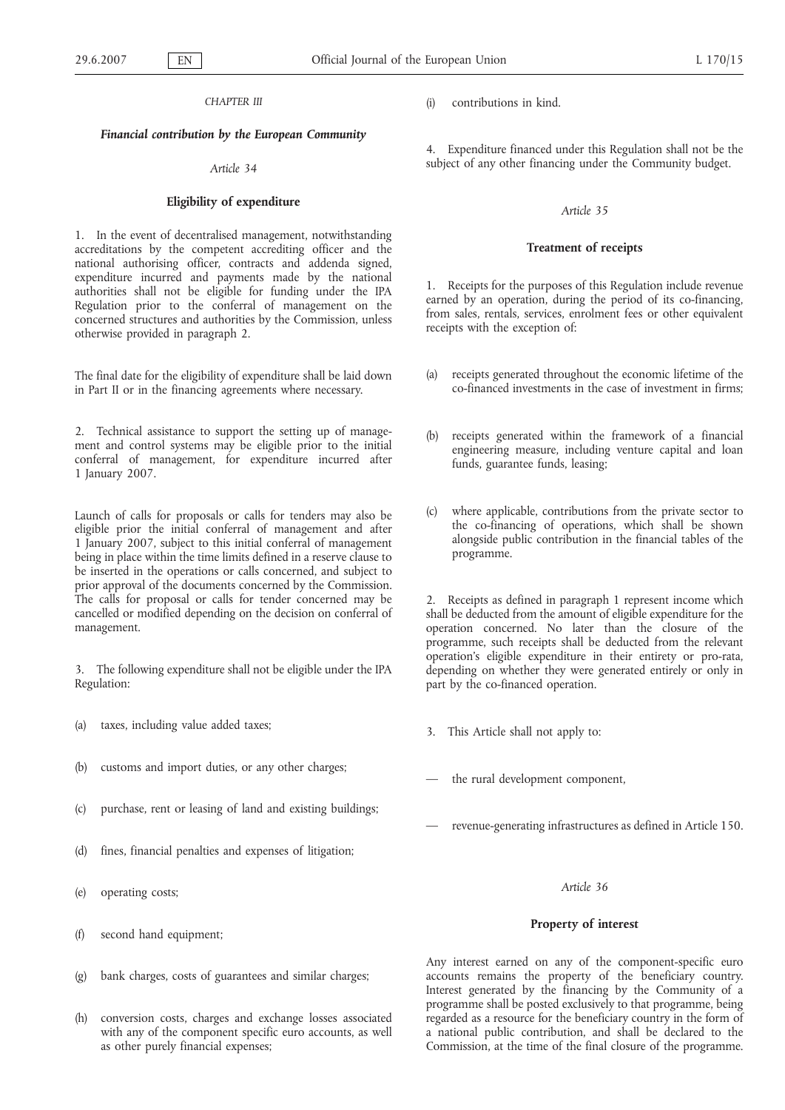### *CHAPTER III*

# *Financial contribution by the European Community*

### *Article 34*

### **Eligibility of expenditure**

1. In the event of decentralised management, notwithstanding accreditations by the competent accrediting officer and the national authorising officer, contracts and addenda signed, expenditure incurred and payments made by the national authorities shall not be eligible for funding under the IPA Regulation prior to the conferral of management on the concerned structures and authorities by the Commission, unless otherwise provided in paragraph 2.

The final date for the eligibility of expenditure shall be laid down in Part II or in the financing agreements where necessary.

2. Technical assistance to support the setting up of management and control systems may be eligible prior to the initial conferral of management, for expenditure incurred after 1 January 2007.

Launch of calls for proposals or calls for tenders may also be eligible prior the initial conferral of management and after 1 January 2007, subject to this initial conferral of management being in place within the time limits defined in a reserve clause to be inserted in the operations or calls concerned, and subject to prior approval of the documents concerned by the Commission. The calls for proposal or calls for tender concerned may be cancelled or modified depending on the decision on conferral of management.

3. The following expenditure shall not be eligible under the IPA Regulation:

- (a) taxes, including value added taxes;
- (b) customs and import duties, or any other charges;
- (c) purchase, rent or leasing of land and existing buildings;
- (d) fines, financial penalties and expenses of litigation;
- (e) operating costs;
- (f) second hand equipment;
- (g) bank charges, costs of guarantees and similar charges;
- (h) conversion costs, charges and exchange losses associated with any of the component specific euro accounts, as well as other purely financial expenses;

(i) contributions in kind.

4. Expenditure financed under this Regulation shall not be the subject of any other financing under the Community budget.

### *Article 35*

### **Treatment of receipts**

1. Receipts for the purposes of this Regulation include revenue earned by an operation, during the period of its co-financing, from sales, rentals, services, enrolment fees or other equivalent receipts with the exception of:

- (a) receipts generated throughout the economic lifetime of the co-financed investments in the case of investment in firms;
- (b) receipts generated within the framework of a financial engineering measure, including venture capital and loan funds, guarantee funds, leasing;
- (c) where applicable, contributions from the private sector to the co-financing of operations, which shall be shown alongside public contribution in the financial tables of the programme.

2. Receipts as defined in paragraph 1 represent income which shall be deducted from the amount of eligible expenditure for the operation concerned. No later than the closure of the programme, such receipts shall be deducted from the relevant operation's eligible expenditure in their entirety or pro-rata, depending on whether they were generated entirely or only in part by the co-financed operation.

- 3. This Article shall not apply to:
- the rural development component,
- revenue-generating infrastructures as defined in Article 150.

### *Article 36*

#### **Property of interest**

Any interest earned on any of the component-specific euro accounts remains the property of the beneficiary country. Interest generated by the financing by the Community of a programme shall be posted exclusively to that programme, being regarded as a resource for the beneficiary country in the form of a national public contribution, and shall be declared to the Commission, at the time of the final closure of the programme.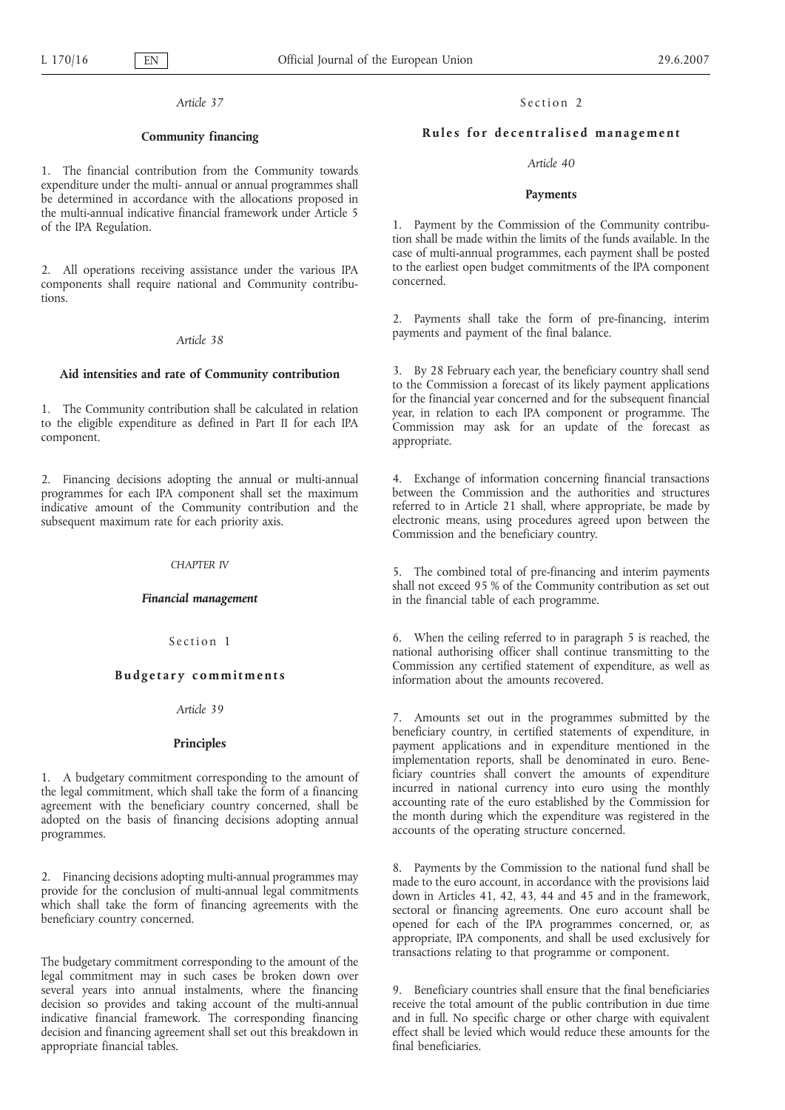## **Community financing**

1. The financial contribution from the Community towards expenditure under the multi- annual or annual programmes shall be determined in accordance with the allocations proposed in the multi-annual indicative financial framework under Article 5 of the IPA Regulation.

2. All operations receiving assistance under the various IPA components shall require national and Community contributions.

# *Article 38*

#### **Aid intensities and rate of Community contribution**

1. The Community contribution shall be calculated in relation to the eligible expenditure as defined in Part II for each IPA component.

2. Financing decisions adopting the annual or multi-annual programmes for each IPA component shall set the maximum indicative amount of the Community contribution and the subsequent maximum rate for each priority axis.

#### *CHAPTER IV*

#### *Financial management*

# Section 1

# **Budgetary commitments**

#### *Article 39*

# **Principles**

1. A budgetary commitment corresponding to the amount of the legal commitment, which shall take the form of a financing agreement with the beneficiary country concerned, shall be adopted on the basis of financing decisions adopting annual programmes.

2. Financing decisions adopting multi-annual programmes may provide for the conclusion of multi-annual legal commitments which shall take the form of financing agreements with the beneficiary country concerned.

The budgetary commitment corresponding to the amount of the legal commitment may in such cases be broken down over several years into annual instalments, where the financing decision so provides and taking account of the multi-annual indicative financial framework. The corresponding financing decision and financing agreement shall set out this breakdown in appropriate financial tables.

# Section 2

# **Rules for decentralised management**

#### *Article 40*

#### **Payments**

1. Payment by the Commission of the Community contribution shall be made within the limits of the funds available. In the case of multi-annual programmes, each payment shall be posted to the earliest open budget commitments of the IPA component concerned.

2. Payments shall take the form of pre-financing, interim payments and payment of the final balance.

3. By 28 February each year, the beneficiary country shall send to the Commission a forecast of its likely payment applications for the financial year concerned and for the subsequent financial year, in relation to each IPA component or programme. The Commission may ask for an update of the forecast as appropriate.

4. Exchange of information concerning financial transactions between the Commission and the authorities and structures referred to in Article 21 shall, where appropriate, be made by electronic means, using procedures agreed upon between the Commission and the beneficiary country.

5. The combined total of pre-financing and interim payments shall not exceed 95 % of the Community contribution as set out in the financial table of each programme.

6. When the ceiling referred to in paragraph 5 is reached, the national authorising officer shall continue transmitting to the Commission any certified statement of expenditure, as well as information about the amounts recovered.

7. Amounts set out in the programmes submitted by the beneficiary country, in certified statements of expenditure, in payment applications and in expenditure mentioned in the implementation reports, shall be denominated in euro. Beneficiary countries shall convert the amounts of expenditure incurred in national currency into euro using the monthly accounting rate of the euro established by the Commission for the month during which the expenditure was registered in the accounts of the operating structure concerned.

8. Payments by the Commission to the national fund shall be made to the euro account, in accordance with the provisions laid down in Articles 41, 42, 43, 44 and 45 and in the framework, sectoral or financing agreements. One euro account shall be opened for each of the IPA programmes concerned, or, as appropriate, IPA components, and shall be used exclusively for transactions relating to that programme or component.

9. Beneficiary countries shall ensure that the final beneficiaries receive the total amount of the public contribution in due time and in full. No specific charge or other charge with equivalent effect shall be levied which would reduce these amounts for the final beneficiaries.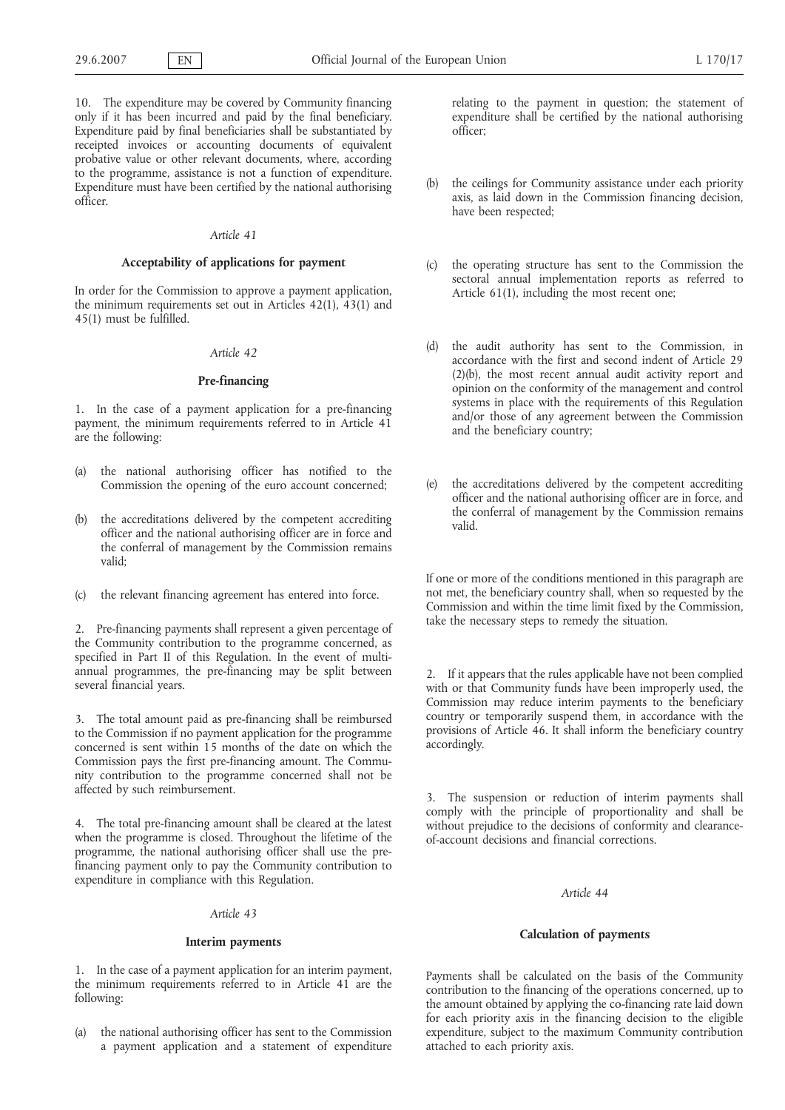10. The expenditure may be covered by Community financing only if it has been incurred and paid by the final beneficiary. Expenditure paid by final beneficiaries shall be substantiated by receipted invoices or accounting documents of equivalent probative value or other relevant documents, where, according to the programme, assistance is not a function of expenditure. Expenditure must have been certified by the national authorising officer.

#### *Article 41*

### **Acceptability of applications for payment**

In order for the Commission to approve a payment application, the minimum requirements set out in Articles 42(1), 43(1) and 45(1) must be fulfilled.

# *Article 42*

# **Pre-financing**

1. In the case of a payment application for a pre-financing payment, the minimum requirements referred to in Article 41 are the following:

- (a) the national authorising officer has notified to the Commission the opening of the euro account concerned;
- (b) the accreditations delivered by the competent accrediting officer and the national authorising officer are in force and the conferral of management by the Commission remains valid;
- the relevant financing agreement has entered into force.

2. Pre-financing payments shall represent a given percentage of the Community contribution to the programme concerned, as specified in Part II of this Regulation. In the event of multiannual programmes, the pre-financing may be split between several financial years.

3. The total amount paid as pre-financing shall be reimbursed to the Commission if no payment application for the programme concerned is sent within 15 months of the date on which the Commission pays the first pre-financing amount. The Community contribution to the programme concerned shall not be affected by such reimbursement.

4. The total pre-financing amount shall be cleared at the latest when the programme is closed. Throughout the lifetime of the programme, the national authorising officer shall use the prefinancing payment only to pay the Community contribution to expenditure in compliance with this Regulation.

# *Article 43*

# **Interim payments**

1. In the case of a payment application for an interim payment, the minimum requirements referred to in Article 41 are the following:

(a) the national authorising officer has sent to the Commission a payment application and a statement of expenditure relating to the payment in question; the statement of expenditure shall be certified by the national authorising officer;

- (b) the ceilings for Community assistance under each priority axis, as laid down in the Commission financing decision, have been respected;
- (c) the operating structure has sent to the Commission the sectoral annual implementation reports as referred to Article 61(1), including the most recent one;
- (d) the audit authority has sent to the Commission, in accordance with the first and second indent of Article 29 (2)(b), the most recent annual audit activity report and opinion on the conformity of the management and control systems in place with the requirements of this Regulation and/or those of any agreement between the Commission and the beneficiary country;
- (e) the accreditations delivered by the competent accrediting officer and the national authorising officer are in force, and the conferral of management by the Commission remains valid.

If one or more of the conditions mentioned in this paragraph are not met, the beneficiary country shall, when so requested by the Commission and within the time limit fixed by the Commission, take the necessary steps to remedy the situation.

2. If it appears that the rules applicable have not been complied with or that Community funds have been improperly used, the Commission may reduce interim payments to the beneficiary country or temporarily suspend them, in accordance with the provisions of Article 46. It shall inform the beneficiary country accordingly.

3. The suspension or reduction of interim payments shall comply with the principle of proportionality and shall be without prejudice to the decisions of conformity and clearanceof-account decisions and financial corrections.

## *Article 44*

# **Calculation of payments**

Payments shall be calculated on the basis of the Community contribution to the financing of the operations concerned, up to the amount obtained by applying the co-financing rate laid down for each priority axis in the financing decision to the eligible expenditure, subject to the maximum Community contribution attached to each priority axis.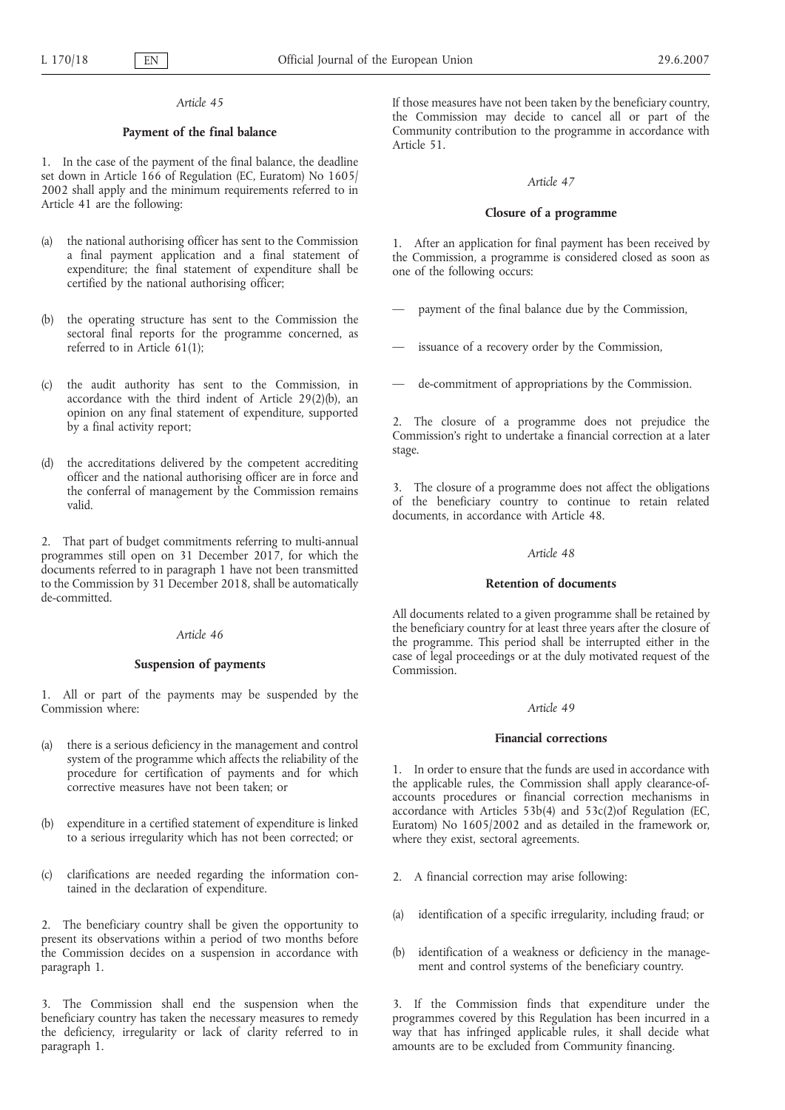# **Payment of the final balance**

1. In the case of the payment of the final balance, the deadline set down in Article 166 of Regulation (EC, Euratom) No 1605/ 2002 shall apply and the minimum requirements referred to in Article 41 are the following:

- (a) the national authorising officer has sent to the Commission a final payment application and a final statement of expenditure; the final statement of expenditure shall be certified by the national authorising officer;
- (b) the operating structure has sent to the Commission the sectoral final reports for the programme concerned, as referred to in Article 61(1);
- (c) the audit authority has sent to the Commission, in accordance with the third indent of Article 29(2)(b), an opinion on any final statement of expenditure, supported by a final activity report;
- (d) the accreditations delivered by the competent accrediting officer and the national authorising officer are in force and the conferral of management by the Commission remains valid.

2. That part of budget commitments referring to multi-annual programmes still open on 31 December 2017, for which the documents referred to in paragraph 1 have not been transmitted to the Commission by 31 December 2018, shall be automatically de-committed.

### *Article 46*

### **Suspension of payments**

1. All or part of the payments may be suspended by the Commission where:

- (a) there is a serious deficiency in the management and control system of the programme which affects the reliability of the procedure for certification of payments and for which corrective measures have not been taken; or
- (b) expenditure in a certified statement of expenditure is linked to a serious irregularity which has not been corrected; or
- (c) clarifications are needed regarding the information contained in the declaration of expenditure.

2. The beneficiary country shall be given the opportunity to present its observations within a period of two months before the Commission decides on a suspension in accordance with paragraph 1.

3. The Commission shall end the suspension when the beneficiary country has taken the necessary measures to remedy the deficiency, irregularity or lack of clarity referred to in paragraph 1.

If those measures have not been taken by the beneficiary country, the Commission may decide to cancel all or part of the Community contribution to the programme in accordance with Article 51.

### *Article 47*

## **Closure of a programme**

1. After an application for final payment has been received by the Commission, a programme is considered closed as soon as one of the following occurs:

- payment of the final balance due by the Commission,
- issuance of a recovery order by the Commission,
- de-commitment of appropriations by the Commission.

2. The closure of a programme does not prejudice the Commission's right to undertake a financial correction at a later stage.

3. The closure of a programme does not affect the obligations of the beneficiary country to continue to retain related documents, in accordance with Article 48.

# *Article 48*

# **Retention of documents**

All documents related to a given programme shall be retained by the beneficiary country for at least three years after the closure of the programme. This period shall be interrupted either in the case of legal proceedings or at the duly motivated request of the Commission.

#### *Article 49*

#### **Financial corrections**

1. In order to ensure that the funds are used in accordance with the applicable rules, the Commission shall apply clearance-ofaccounts procedures or financial correction mechanisms in accordance with Articles 53b(4) and 53c(2)of Regulation (EC, Euratom) No 1605/2002 and as detailed in the framework or, where they exist, sectoral agreements.

- 2. A financial correction may arise following:
- (a) identification of a specific irregularity, including fraud; or
- (b) identification of a weakness or deficiency in the management and control systems of the beneficiary country.

3. If the Commission finds that expenditure under the programmes covered by this Regulation has been incurred in a way that has infringed applicable rules, it shall decide what amounts are to be excluded from Community financing.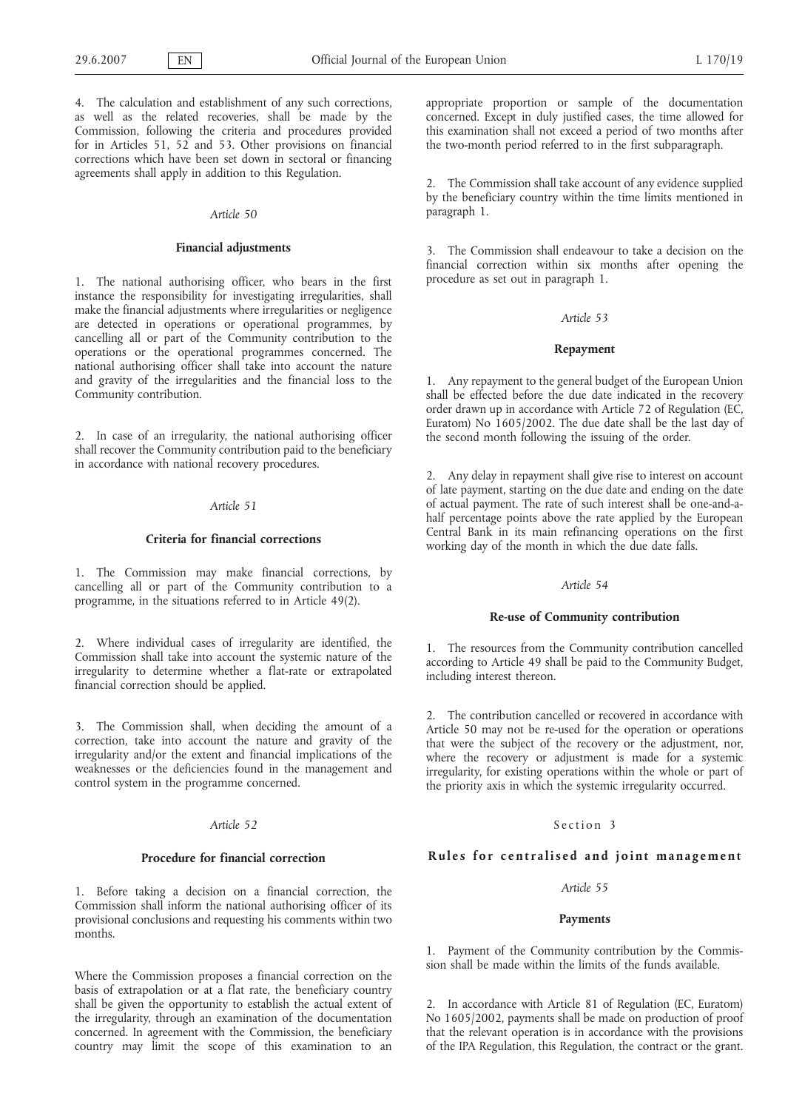4. The calculation and establishment of any such corrections, as well as the related recoveries, shall be made by the Commission, following the criteria and procedures provided for in Articles 51, 52 and 53. Other provisions on financial corrections which have been set down in sectoral or financing agreements shall apply in addition to this Regulation.

#### *Article 50*

#### **Financial adjustments**

1. The national authorising officer, who bears in the first instance the responsibility for investigating irregularities, shall make the financial adjustments where irregularities or negligence are detected in operations or operational programmes, by cancelling all or part of the Community contribution to the operations or the operational programmes concerned. The national authorising officer shall take into account the nature and gravity of the irregularities and the financial loss to the Community contribution.

2. In case of an irregularity, the national authorising officer shall recover the Community contribution paid to the beneficiary in accordance with national recovery procedures.

### *Article 51*

### **Criteria for financial corrections**

1. The Commission may make financial corrections, by cancelling all or part of the Community contribution to a programme, in the situations referred to in Article 49(2).

2. Where individual cases of irregularity are identified, the Commission shall take into account the systemic nature of the irregularity to determine whether a flat-rate or extrapolated financial correction should be applied.

3. The Commission shall, when deciding the amount of a correction, take into account the nature and gravity of the irregularity and/or the extent and financial implications of the weaknesses or the deficiencies found in the management and control system in the programme concerned.

#### *Article 52*

#### **Procedure for financial correction**

1. Before taking a decision on a financial correction, the Commission shall inform the national authorising officer of its provisional conclusions and requesting his comments within two months.

Where the Commission proposes a financial correction on the basis of extrapolation or at a flat rate, the beneficiary country shall be given the opportunity to establish the actual extent of the irregularity, through an examination of the documentation concerned. In agreement with the Commission, the beneficiary country may limit the scope of this examination to an

appropriate proportion or sample of the documentation concerned. Except in duly justified cases, the time allowed for this examination shall not exceed a period of two months after the two-month period referred to in the first subparagraph.

2. The Commission shall take account of any evidence supplied by the beneficiary country within the time limits mentioned in paragraph 1.

3. The Commission shall endeavour to take a decision on the financial correction within six months after opening the procedure as set out in paragraph 1.

#### *Article 53*

#### **Repayment**

1. Any repayment to the general budget of the European Union shall be effected before the due date indicated in the recovery order drawn up in accordance with Article 72 of Regulation (EC, Euratom) No 1605/2002. The due date shall be the last day of the second month following the issuing of the order.

2. Any delay in repayment shall give rise to interest on account of late payment, starting on the due date and ending on the date of actual payment. The rate of such interest shall be one-and-ahalf percentage points above the rate applied by the European Central Bank in its main refinancing operations on the first working day of the month in which the due date falls.

### *Article 54*

#### **Re-use of Community contribution**

1. The resources from the Community contribution cancelled according to Article 49 shall be paid to the Community Budget, including interest thereon.

2. The contribution cancelled or recovered in accordance with Article 50 may not be re-used for the operation or operations that were the subject of the recovery or the adjustment, nor, where the recovery or adjustment is made for a systemic irregularity, for existing operations within the whole or part of the priority axis in which the systemic irregularity occurred.

### Section 3

# **Rules for centralised and joint management**

# *Article 55*

# **Payments**

1. Payment of the Community contribution by the Commission shall be made within the limits of the funds available.

2. In accordance with Article 81 of Regulation (EC, Euratom) No 1605/2002, payments shall be made on production of proof that the relevant operation is in accordance with the provisions of the IPA Regulation, this Regulation, the contract or the grant.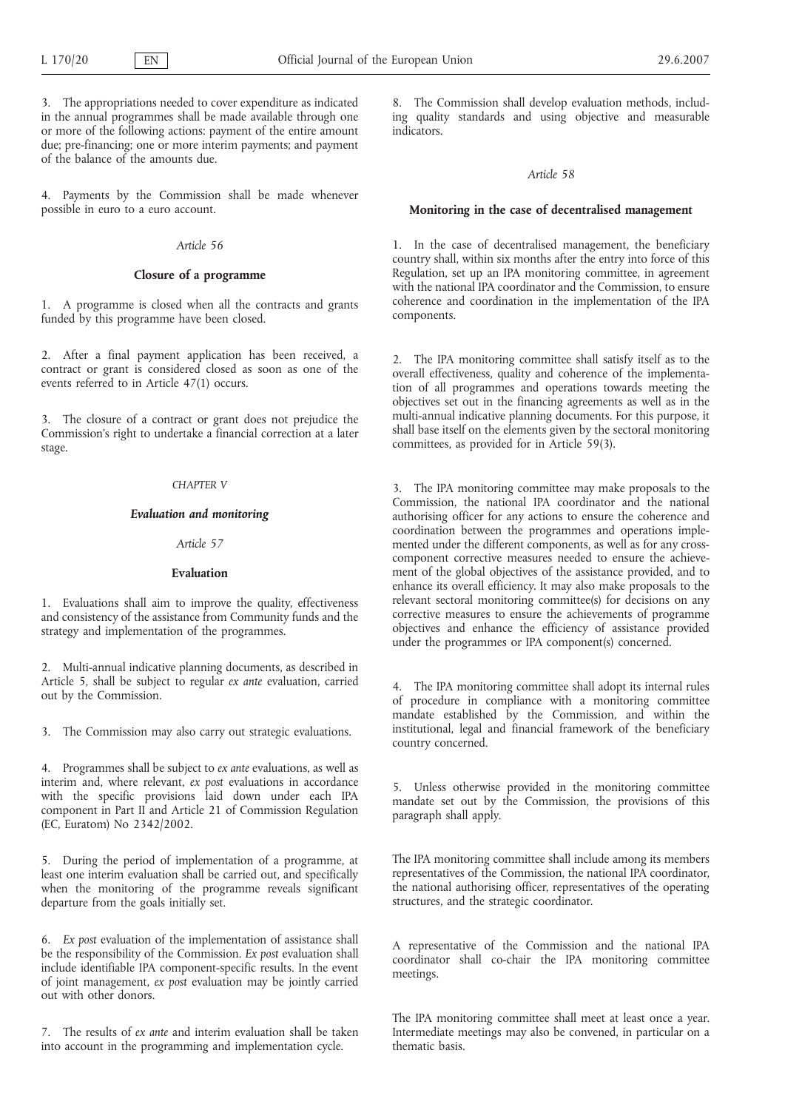3. The appropriations needed to cover expenditure as indicated in the annual programmes shall be made available through one or more of the following actions: payment of the entire amount due; pre-financing; one or more interim payments; and payment of the balance of the amounts due.

4. Payments by the Commission shall be made whenever possible in euro to a euro account.

# *Article 56*

# **Closure of a programme**

1. A programme is closed when all the contracts and grants funded by this programme have been closed.

2. After a final payment application has been received, a contract or grant is considered closed as soon as one of the events referred to in Article 47(1) occurs.

3. The closure of a contract or grant does not prejudice the Commission's right to undertake a financial correction at a later stage.

#### *CHAPTER V*

### *Evaluation and monitoring*

#### *Article 57*

### **Evaluation**

1. Evaluations shall aim to improve the quality, effectiveness and consistency of the assistance from Community funds and the strategy and implementation of the programmes.

2. Multi-annual indicative planning documents, as described in Article 5, shall be subject to regular *ex ante* evaluation, carried out by the Commission.

3. The Commission may also carry out strategic evaluations.

4. Programmes shall be subject to *ex ante* evaluations, as well as interim and, where relevant, *ex post* evaluations in accordance with the specific provisions laid down under each IPA component in Part II and Article 21 of Commission Regulation (EC, Euratom) No 2342/2002.

5. During the period of implementation of a programme, at least one interim evaluation shall be carried out, and specifically when the monitoring of the programme reveals significant departure from the goals initially set.

6. *Ex post* evaluation of the implementation of assistance shall be the responsibility of the Commission. *Ex post* evaluation shall include identifiable IPA component-specific results. In the event of joint management, *ex post* evaluation may be jointly carried out with other donors.

7. The results of *ex ante* and interim evaluation shall be taken into account in the programming and implementation cycle.

8. The Commission shall develop evaluation methods, including quality standards and using objective and measurable indicators.

### *Article 58*

#### **Monitoring in the case of decentralised management**

1. In the case of decentralised management, the beneficiary country shall, within six months after the entry into force of this Regulation, set up an IPA monitoring committee, in agreement with the national IPA coordinator and the Commission, to ensure coherence and coordination in the implementation of the IPA components.

2. The IPA monitoring committee shall satisfy itself as to the overall effectiveness, quality and coherence of the implementation of all programmes and operations towards meeting the objectives set out in the financing agreements as well as in the multi-annual indicative planning documents. For this purpose, it shall base itself on the elements given by the sectoral monitoring committees, as provided for in Article 59(3).

3. The IPA monitoring committee may make proposals to the Commission, the national IPA coordinator and the national authorising officer for any actions to ensure the coherence and coordination between the programmes and operations implemented under the different components, as well as for any crosscomponent corrective measures needed to ensure the achievement of the global objectives of the assistance provided, and to enhance its overall efficiency. It may also make proposals to the relevant sectoral monitoring committee(s) for decisions on any corrective measures to ensure the achievements of programme objectives and enhance the efficiency of assistance provided under the programmes or IPA component(s) concerned.

4. The IPA monitoring committee shall adopt its internal rules of procedure in compliance with a monitoring committee mandate established by the Commission, and within the institutional, legal and financial framework of the beneficiary country concerned.

5. Unless otherwise provided in the monitoring committee mandate set out by the Commission, the provisions of this paragraph shall apply.

The IPA monitoring committee shall include among its members representatives of the Commission, the national IPA coordinator, the national authorising officer, representatives of the operating structures, and the strategic coordinator.

A representative of the Commission and the national IPA coordinator shall co-chair the IPA monitoring committee meetings.

The IPA monitoring committee shall meet at least once a year. Intermediate meetings may also be convened, in particular on a thematic basis.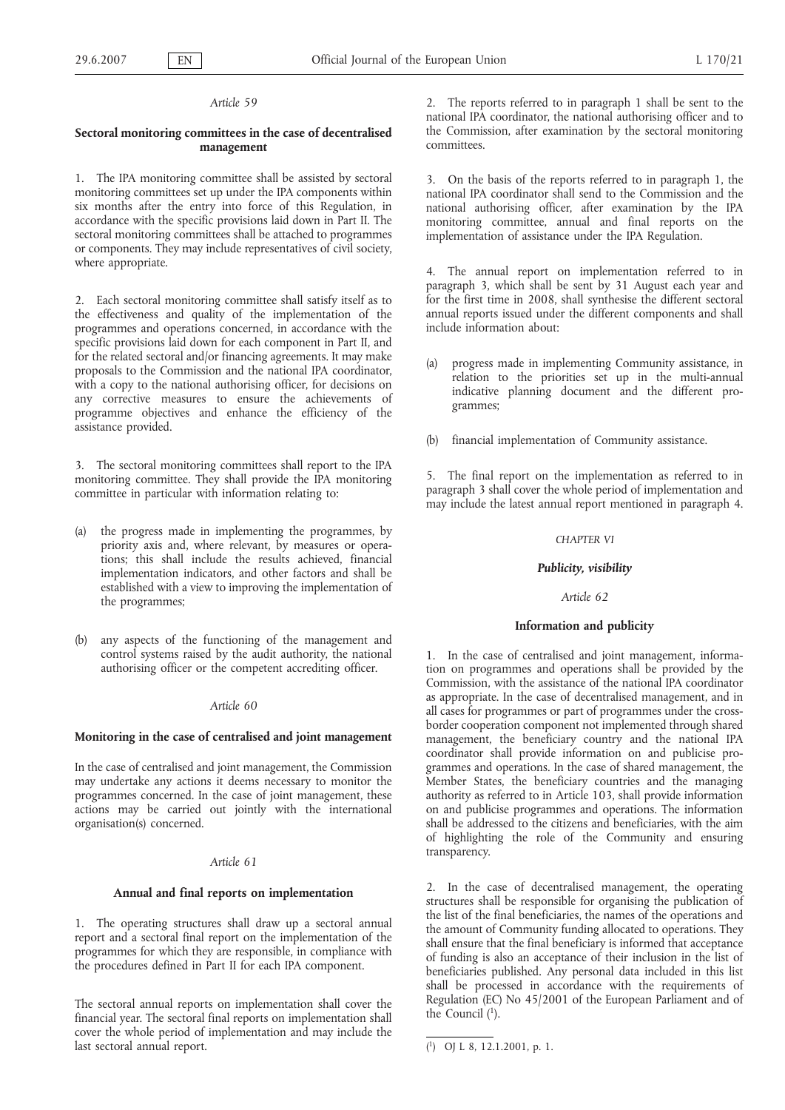# **Sectoral monitoring committees in the case of decentralised management**

1. The IPA monitoring committee shall be assisted by sectoral monitoring committees set up under the IPA components within six months after the entry into force of this Regulation, in accordance with the specific provisions laid down in Part II. The sectoral monitoring committees shall be attached to programmes or components. They may include representatives of civil society, where appropriate.

2. Each sectoral monitoring committee shall satisfy itself as to the effectiveness and quality of the implementation of the programmes and operations concerned, in accordance with the specific provisions laid down for each component in Part II, and for the related sectoral and/or financing agreements. It may make proposals to the Commission and the national IPA coordinator, with a copy to the national authorising officer, for decisions on any corrective measures to ensure the achievements of programme objectives and enhance the efficiency of the assistance provided.

3. The sectoral monitoring committees shall report to the IPA monitoring committee. They shall provide the IPA monitoring committee in particular with information relating to:

- (a) the progress made in implementing the programmes, by priority axis and, where relevant, by measures or operations; this shall include the results achieved, financial implementation indicators, and other factors and shall be established with a view to improving the implementation of the programmes;
- (b) any aspects of the functioning of the management and control systems raised by the audit authority, the national authorising officer or the competent accrediting officer.

### *Article 60*

# **Monitoring in the case of centralised and joint management**

In the case of centralised and joint management, the Commission may undertake any actions it deems necessary to monitor the programmes concerned. In the case of joint management, these actions may be carried out jointly with the international organisation(s) concerned.

### *Article 61*

#### **Annual and final reports on implementation**

1. The operating structures shall draw up a sectoral annual report and a sectoral final report on the implementation of the programmes for which they are responsible, in compliance with the procedures defined in Part II for each IPA component.

The sectoral annual reports on implementation shall cover the financial year. The sectoral final reports on implementation shall cover the whole period of implementation and may include the last sectoral annual report.

2. The reports referred to in paragraph 1 shall be sent to the national IPA coordinator, the national authorising officer and to the Commission, after examination by the sectoral monitoring committees.

3. On the basis of the reports referred to in paragraph 1, the national IPA coordinator shall send to the Commission and the national authorising officer, after examination by the IPA monitoring committee, annual and final reports on the implementation of assistance under the IPA Regulation.

4. The annual report on implementation referred to in paragraph 3, which shall be sent by 31 August each year and for the first time in 2008, shall synthesise the different sectoral annual reports issued under the different components and shall include information about:

- (a) progress made in implementing Community assistance, in relation to the priorities set up in the multi-annual indicative planning document and the different programmes;
- (b) financial implementation of Community assistance.

5. The final report on the implementation as referred to in paragraph 3 shall cover the whole period of implementation and may include the latest annual report mentioned in paragraph 4.

### *CHAPTER VI*

#### *Publicity, visibility*

### *Article 62*

# **Information and publicity**

1. In the case of centralised and joint management, information on programmes and operations shall be provided by the Commission, with the assistance of the national IPA coordinator as appropriate. In the case of decentralised management, and in all cases for programmes or part of programmes under the crossborder cooperation component not implemented through shared management, the beneficiary country and the national IPA coordinator shall provide information on and publicise programmes and operations. In the case of shared management, the Member States, the beneficiary countries and the managing authority as referred to in Article 103, shall provide information on and publicise programmes and operations. The information shall be addressed to the citizens and beneficiaries, with the aim of highlighting the role of the Community and ensuring transparency.

2. In the case of decentralised management, the operating structures shall be responsible for organising the publication of the list of the final beneficiaries, the names of the operations and the amount of Community funding allocated to operations. They shall ensure that the final beneficiary is informed that acceptance of funding is also an acceptance of their inclusion in the list of beneficiaries published. Any personal data included in this list shall be processed in accordance with the requirements of Regulation (EC) No 45/2001 of the European Parliament and of the Council  $(1)$ .

<sup>(</sup> 1) OJ L 8, 12.1.2001, p. 1.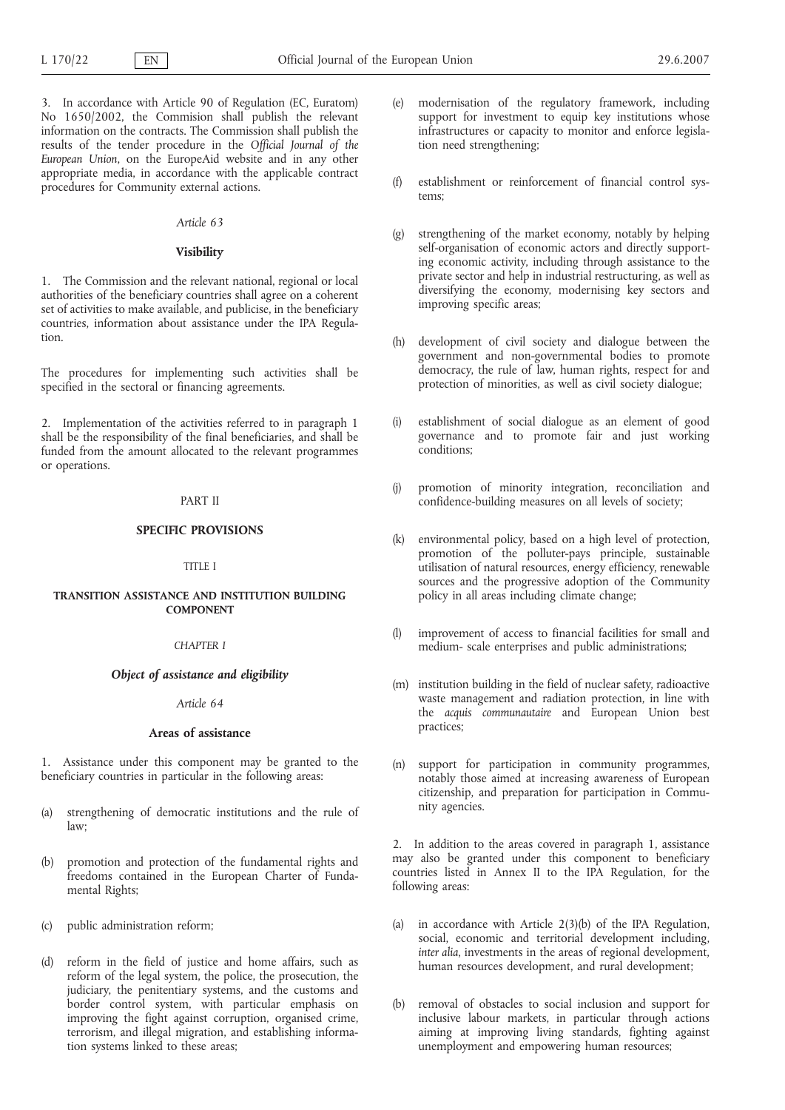3. In accordance with Article 90 of Regulation (EC, Euratom) No 1650/2002, the Commision shall publish the relevant information on the contracts. The Commission shall publish the results of the tender procedure in the *Official Journal of the European Union*, on the EuropeAid website and in any other appropriate media, in accordance with the applicable contract procedures for Community external actions.

# *Article 63*

# **Visibility**

1. The Commission and the relevant national, regional or local authorities of the beneficiary countries shall agree on a coherent set of activities to make available, and publicise, in the beneficiary countries, information about assistance under the IPA Regulation.

The procedures for implementing such activities shall be specified in the sectoral or financing agreements.

2. Implementation of the activities referred to in paragraph 1 shall be the responsibility of the final beneficiaries, and shall be funded from the amount allocated to the relevant programmes or operations.

# PART II

# **SPECIFIC PROVISIONS**

#### TITLE I

# **TRANSITION ASSISTANCE AND INSTITUTION BUILDING COMPONENT**

### *CHAPTER I*

## *Object of assistance and eligibility*

*Article 64*

# **Areas of assistance**

1. Assistance under this component may be granted to the beneficiary countries in particular in the following areas:

- (a) strengthening of democratic institutions and the rule of law;
- promotion and protection of the fundamental rights and freedoms contained in the European Charter of Fundamental Rights;
- (c) public administration reform;
- (d) reform in the field of justice and home affairs, such as reform of the legal system, the police, the prosecution, the judiciary, the penitentiary systems, and the customs and border control system, with particular emphasis on improving the fight against corruption, organised crime, terrorism, and illegal migration, and establishing information systems linked to these areas;
- (e) modernisation of the regulatory framework, including support for investment to equip key institutions whose infrastructures or capacity to monitor and enforce legislation need strengthening;
- (f) establishment or reinforcement of financial control systems;
- (g) strengthening of the market economy, notably by helping self-organisation of economic actors and directly supporting economic activity, including through assistance to the private sector and help in industrial restructuring, as well as diversifying the economy, modernising key sectors and improving specific areas;
- (h) development of civil society and dialogue between the government and non-governmental bodies to promote democracy, the rule of law, human rights, respect for and protection of minorities, as well as civil society dialogue;
- (i) establishment of social dialogue as an element of good governance and to promote fair and just working conditions;
- (j) promotion of minority integration, reconciliation and confidence-building measures on all levels of society;
- (k) environmental policy, based on a high level of protection, promotion of the polluter-pays principle, sustainable utilisation of natural resources, energy efficiency, renewable sources and the progressive adoption of the Community policy in all areas including climate change;
- (l) improvement of access to financial facilities for small and medium- scale enterprises and public administrations;
- (m) institution building in the field of nuclear safety, radioactive waste management and radiation protection, in line with the *acquis communautaire* and European Union best practices;
- (n) support for participation in community programmes, notably those aimed at increasing awareness of European citizenship, and preparation for participation in Community agencies.

2. In addition to the areas covered in paragraph 1, assistance may also be granted under this component to beneficiary countries listed in Annex II to the IPA Regulation, for the following areas:

- (a) in accordance with Article 2(3)(b) of the IPA Regulation, social, economic and territorial development including, *inter alia*, investments in the areas of regional development, human resources development, and rural development;
- (b) removal of obstacles to social inclusion and support for inclusive labour markets, in particular through actions aiming at improving living standards, fighting against unemployment and empowering human resources;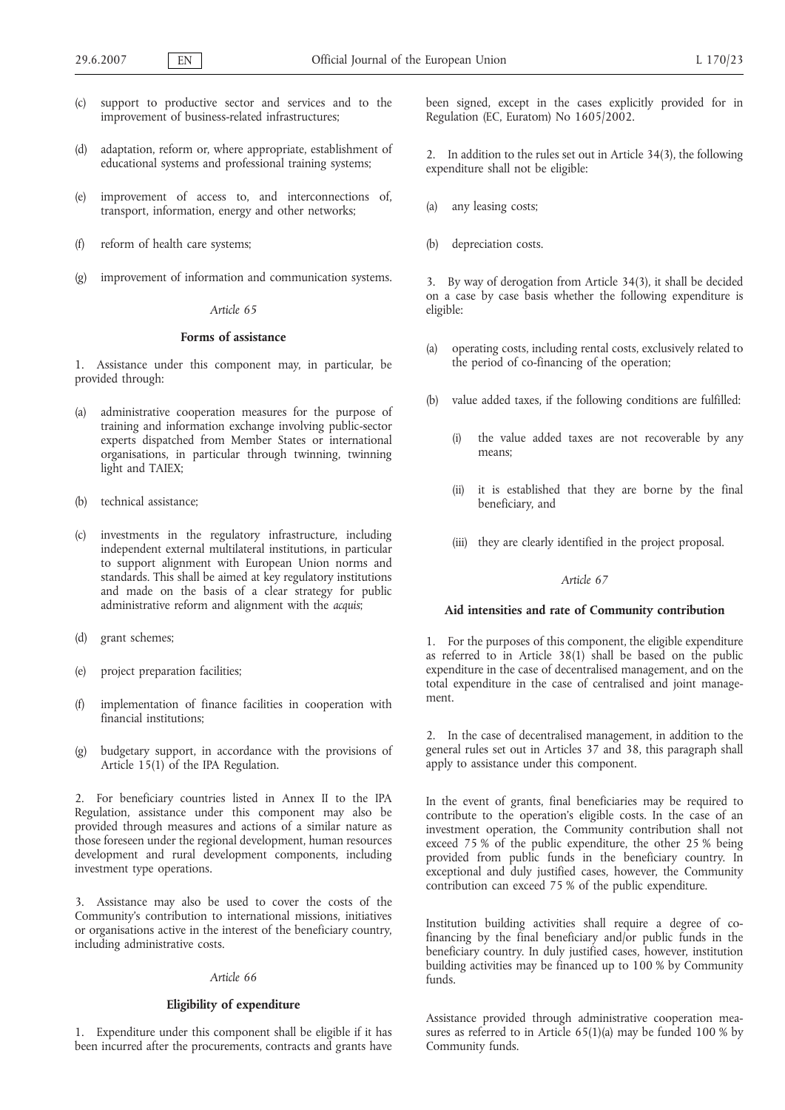- (c) support to productive sector and services and to the improvement of business-related infrastructures;
- (d) adaptation, reform or, where appropriate, establishment of educational systems and professional training systems;
- (e) improvement of access to, and interconnections of, transport, information, energy and other networks;
- (f) reform of health care systems;
- (g) improvement of information and communication systems.

# **Forms of assistance**

1. Assistance under this component may, in particular, be provided through:

- (a) administrative cooperation measures for the purpose of training and information exchange involving public-sector experts dispatched from Member States or international organisations, in particular through twinning, twinning light and TAIEX;
- (b) technical assistance;
- (c) investments in the regulatory infrastructure, including independent external multilateral institutions, in particular to support alignment with European Union norms and standards. This shall be aimed at key regulatory institutions and made on the basis of a clear strategy for public administrative reform and alignment with the *acquis*;
- (d) grant schemes;
- (e) project preparation facilities;
- (f) implementation of finance facilities in cooperation with financial institutions;
- (g) budgetary support, in accordance with the provisions of Article 15(1) of the IPA Regulation.

2. For beneficiary countries listed in Annex II to the IPA Regulation, assistance under this component may also be provided through measures and actions of a similar nature as those foreseen under the regional development, human resources development and rural development components, including investment type operations.

3. Assistance may also be used to cover the costs of the Community's contribution to international missions, initiatives or organisations active in the interest of the beneficiary country, including administrative costs.

# *Article 66*

# **Eligibility of expenditure**

1. Expenditure under this component shall be eligible if it has been incurred after the procurements, contracts and grants have been signed, except in the cases explicitly provided for in Regulation (EC, Euratom) No 1605/2002.

2. In addition to the rules set out in Article 34(3), the following expenditure shall not be eligible:

- any leasing costs;
- (b) depreciation costs.

3. By way of derogation from Article 34(3), it shall be decided on a case by case basis whether the following expenditure is eligible:

- (a) operating costs, including rental costs, exclusively related to the period of co-financing of the operation;
- (b) value added taxes, if the following conditions are fulfilled:
	- (i) the value added taxes are not recoverable by any means;
	- (ii) it is established that they are borne by the final beneficiary, and
	- (iii) they are clearly identified in the project proposal.

#### *Article 67*

#### **Aid intensities and rate of Community contribution**

1. For the purposes of this component, the eligible expenditure as referred to in Article 38(1) shall be based on the public expenditure in the case of decentralised management, and on the total expenditure in the case of centralised and joint management.

2. In the case of decentralised management, in addition to the general rules set out in Articles 37 and 38, this paragraph shall apply to assistance under this component.

In the event of grants, final beneficiaries may be required to contribute to the operation's eligible costs. In the case of an investment operation, the Community contribution shall not exceed 75 % of the public expenditure, the other 25 % being provided from public funds in the beneficiary country. In exceptional and duly justified cases, however, the Community contribution can exceed 75 % of the public expenditure.

Institution building activities shall require a degree of cofinancing by the final beneficiary and/or public funds in the beneficiary country. In duly justified cases, however, institution building activities may be financed up to 100 % by Community funds.

Assistance provided through administrative cooperation measures as referred to in Article 65(1)(a) may be funded 100 % by Community funds.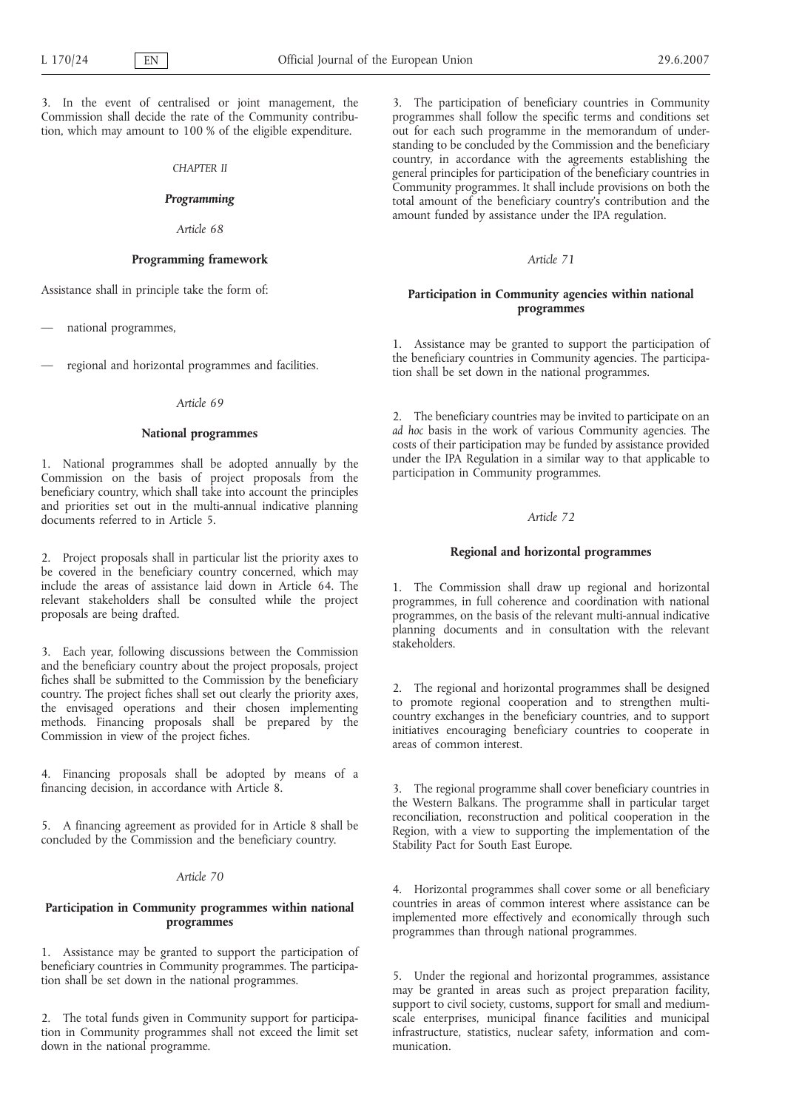3. In the event of centralised or joint management, the Commission shall decide the rate of the Community contribution, which may amount to 100 % of the eligible expenditure.

#### *CHAPTER II*

### *Programming*

### *Article 68*

### **Programming framework**

Assistance shall in principle take the form of:

— national programmes,

— regional and horizontal programmes and facilities.

#### *Article 69*

#### **National programmes**

1. National programmes shall be adopted annually by the Commission on the basis of project proposals from the beneficiary country, which shall take into account the principles and priorities set out in the multi-annual indicative planning documents referred to in Article 5.

2. Project proposals shall in particular list the priority axes to be covered in the beneficiary country concerned, which may include the areas of assistance laid down in Article 64. The relevant stakeholders shall be consulted while the project proposals are being drafted.

3. Each year, following discussions between the Commission and the beneficiary country about the project proposals, project fiches shall be submitted to the Commission by the beneficiary country. The project fiches shall set out clearly the priority axes, the envisaged operations and their chosen implementing methods. Financing proposals shall be prepared by the Commission in view of the project fiches.

4. Financing proposals shall be adopted by means of a financing decision, in accordance with Article 8.

5. A financing agreement as provided for in Article 8 shall be concluded by the Commission and the beneficiary country.

# *Article 70*

# **Participation in Community programmes within national programmes**

1. Assistance may be granted to support the participation of beneficiary countries in Community programmes. The participation shall be set down in the national programmes.

2. The total funds given in Community support for participation in Community programmes shall not exceed the limit set down in the national programme.

3. The participation of beneficiary countries in Community programmes shall follow the specific terms and conditions set out for each such programme in the memorandum of understanding to be concluded by the Commission and the beneficiary country, in accordance with the agreements establishing the general principles for participation of the beneficiary countries in Community programmes. It shall include provisions on both the total amount of the beneficiary country's contribution and the amount funded by assistance under the IPA regulation.

#### *Article 71*

# **Participation in Community agencies within national programmes**

1. Assistance may be granted to support the participation of the beneficiary countries in Community agencies. The participation shall be set down in the national programmes.

2. The beneficiary countries may be invited to participate on an *ad hoc* basis in the work of various Community agencies. The costs of their participation may be funded by assistance provided under the IPA Regulation in a similar way to that applicable to participation in Community programmes.

#### *Article 72*

# **Regional and horizontal programmes**

1. The Commission shall draw up regional and horizontal programmes, in full coherence and coordination with national programmes, on the basis of the relevant multi-annual indicative planning documents and in consultation with the relevant stakeholders.

2. The regional and horizontal programmes shall be designed to promote regional cooperation and to strengthen multicountry exchanges in the beneficiary countries, and to support initiatives encouraging beneficiary countries to cooperate in areas of common interest.

3. The regional programme shall cover beneficiary countries in the Western Balkans. The programme shall in particular target reconciliation, reconstruction and political cooperation in the Region, with a view to supporting the implementation of the Stability Pact for South East Europe.

4. Horizontal programmes shall cover some or all beneficiary countries in areas of common interest where assistance can be implemented more effectively and economically through such programmes than through national programmes.

5. Under the regional and horizontal programmes, assistance may be granted in areas such as project preparation facility, support to civil society, customs, support for small and mediumscale enterprises, municipal finance facilities and municipal infrastructure, statistics, nuclear safety, information and communication.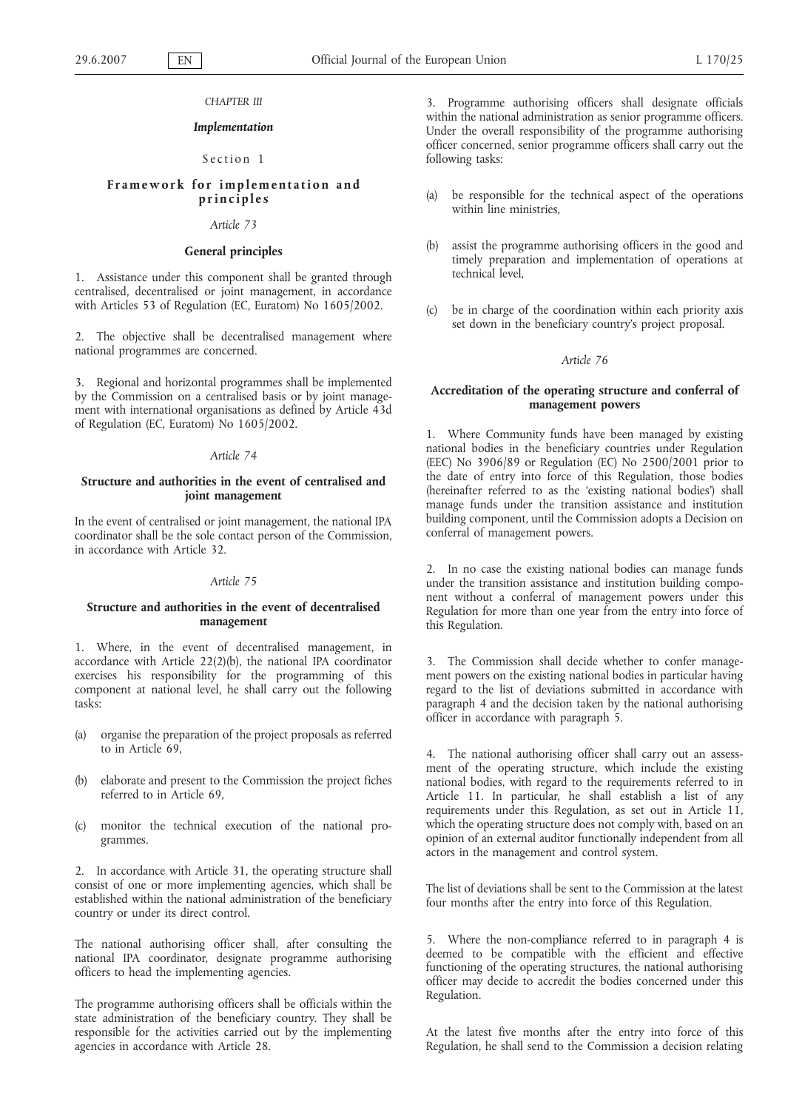#### *CHAPTER III*

### *Implementation*

# Section 1

# **Framework for implementation and principles**

### *Article 73*

# **General principles**

1. Assistance under this component shall be granted through centralised, decentralised or joint management, in accordance with Articles 53 of Regulation (EC, Euratom) No 1605/2002.

2. The objective shall be decentralised management where national programmes are concerned.

3. Regional and horizontal programmes shall be implemented by the Commission on a centralised basis or by joint management with international organisations as defined by Article 43d of Regulation (EC, Euratom) No 1605/2002.

### *Article 74*

# **Structure and authorities in the event of centralised and joint management**

In the event of centralised or joint management, the national IPA coordinator shall be the sole contact person of the Commission, in accordance with Article 32.

#### *Article 75*

## **Structure and authorities in the event of decentralised management**

1. Where, in the event of decentralised management, in accordance with Article 22(2)(b), the national IPA coordinator exercises his responsibility for the programming of this component at national level, he shall carry out the following tasks:

- (a) organise the preparation of the project proposals as referred to in Article 69,
- (b) elaborate and present to the Commission the project fiches referred to in Article 69,
- (c) monitor the technical execution of the national programmes.

2. In accordance with Article 31, the operating structure shall consist of one or more implementing agencies, which shall be established within the national administration of the beneficiary country or under its direct control.

The national authorising officer shall, after consulting the national IPA coordinator, designate programme authorising officers to head the implementing agencies.

The programme authorising officers shall be officials within the state administration of the beneficiary country. They shall be responsible for the activities carried out by the implementing agencies in accordance with Article 28.

3. Programme authorising officers shall designate officials within the national administration as senior programme officers. Under the overall responsibility of the programme authorising officer concerned, senior programme officers shall carry out the following tasks:

- be responsible for the technical aspect of the operations within line ministries,
- (b) assist the programme authorising officers in the good and timely preparation and implementation of operations at technical level,
- (c) be in charge of the coordination within each priority axis set down in the beneficiary country's project proposal.

### *Article 76*

### **Accreditation of the operating structure and conferral of management powers**

1. Where Community funds have been managed by existing national bodies in the beneficiary countries under Regulation (EEC) No 3906/89 or Regulation (EC) No 2500/2001 prior to the date of entry into force of this Regulation, those bodies (hereinafter referred to as the 'existing national bodies') shall manage funds under the transition assistance and institution building component, until the Commission adopts a Decision on conferral of management powers.

2. In no case the existing national bodies can manage funds under the transition assistance and institution building component without a conferral of management powers under this Regulation for more than one year from the entry into force of this Regulation.

3. The Commission shall decide whether to confer management powers on the existing national bodies in particular having regard to the list of deviations submitted in accordance with paragraph 4 and the decision taken by the national authorising officer in accordance with paragraph 5.

4. The national authorising officer shall carry out an assessment of the operating structure, which include the existing national bodies, with regard to the requirements referred to in Article 11. In particular, he shall establish a list of any requirements under this Regulation, as set out in Article 11, which the operating structure does not comply with, based on an opinion of an external auditor functionally independent from all actors in the management and control system.

The list of deviations shall be sent to the Commission at the latest four months after the entry into force of this Regulation.

5. Where the non-compliance referred to in paragraph 4 is deemed to be compatible with the efficient and effective functioning of the operating structures, the national authorising officer may decide to accredit the bodies concerned under this Regulation.

At the latest five months after the entry into force of this Regulation, he shall send to the Commission a decision relating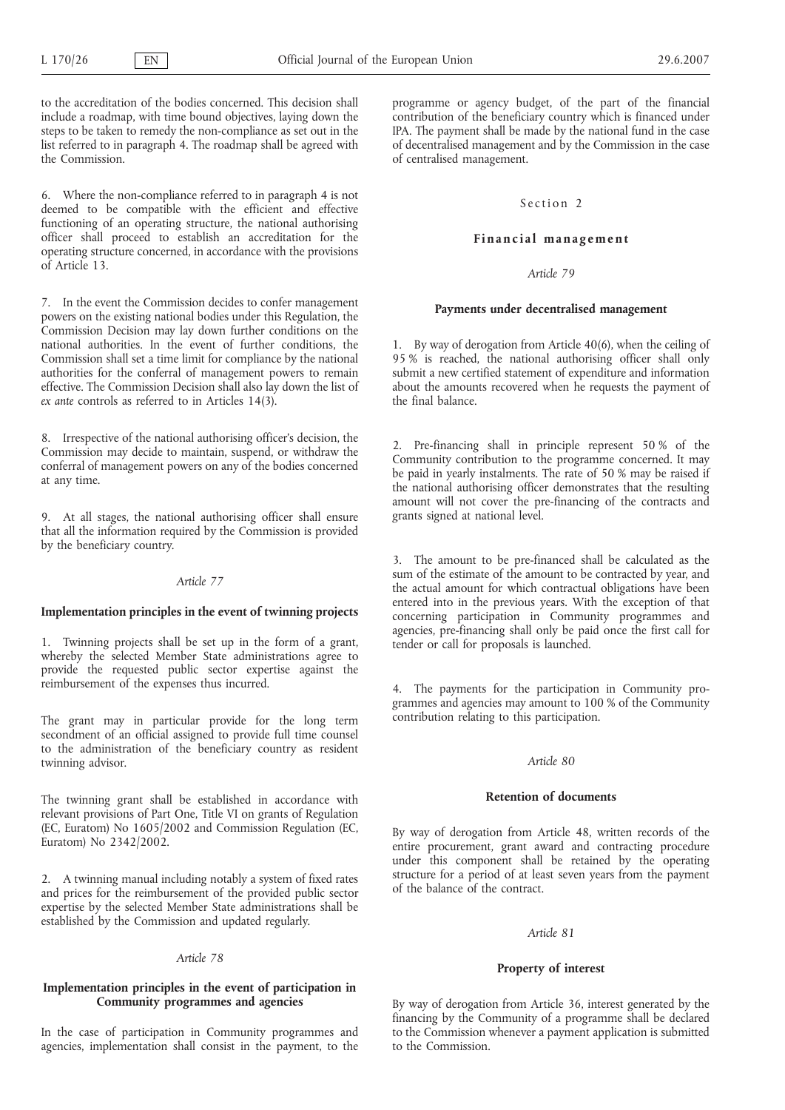to the accreditation of the bodies concerned. This decision shall include a roadmap, with time bound objectives, laying down the steps to be taken to remedy the non-compliance as set out in the list referred to in paragraph 4. The roadmap shall be agreed with the Commission.

6. Where the non-compliance referred to in paragraph 4 is not deemed to be compatible with the efficient and effective functioning of an operating structure, the national authorising officer shall proceed to establish an accreditation for the operating structure concerned, in accordance with the provisions of Article 13.

7. In the event the Commission decides to confer management powers on the existing national bodies under this Regulation, the Commission Decision may lay down further conditions on the national authorities. In the event of further conditions, the Commission shall set a time limit for compliance by the national authorities for the conferral of management powers to remain effective. The Commission Decision shall also lay down the list of *ex ante* controls as referred to in Articles 14(3).

8. Irrespective of the national authorising officer's decision, the Commission may decide to maintain, suspend, or withdraw the conferral of management powers on any of the bodies concerned at any time.

9. At all stages, the national authorising officer shall ensure that all the information required by the Commission is provided by the beneficiary country.

# *Article 77*

# **Implementation principles in the event of twinning projects**

1. Twinning projects shall be set up in the form of a grant, whereby the selected Member State administrations agree to provide the requested public sector expertise against the reimbursement of the expenses thus incurred.

The grant may in particular provide for the long term secondment of an official assigned to provide full time counsel to the administration of the beneficiary country as resident twinning advisor.

The twinning grant shall be established in accordance with relevant provisions of Part One, Title VI on grants of Regulation (EC, Euratom) No 1605/2002 and Commission Regulation (EC, Euratom) No 2342/2002.

2. A twinning manual including notably a system of fixed rates and prices for the reimbursement of the provided public sector expertise by the selected Member State administrations shall be established by the Commission and updated regularly.

#### *Article 78*

## **Implementation principles in the event of participation in Community programmes and agencies**

In the case of participation in Community programmes and agencies, implementation shall consist in the payment, to the programme or agency budget, of the part of the financial contribution of the beneficiary country which is financed under IPA. The payment shall be made by the national fund in the case of decentralised management and by the Commission in the case of centralised management.

# Section 2

### **Financial management**

## *Article 79*

# **Payments under decentralised management**

1. By way of derogation from Article 40(6), when the ceiling of 95 % is reached, the national authorising officer shall only submit a new certified statement of expenditure and information about the amounts recovered when he requests the payment of the final balance.

2. Pre-financing shall in principle represent 50 % of the Community contribution to the programme concerned. It may be paid in yearly instalments. The rate of 50 % may be raised if the national authorising officer demonstrates that the resulting amount will not cover the pre-financing of the contracts and grants signed at national level.

3. The amount to be pre-financed shall be calculated as the sum of the estimate of the amount to be contracted by year, and the actual amount for which contractual obligations have been entered into in the previous years. With the exception of that concerning participation in Community programmes and agencies, pre-financing shall only be paid once the first call for tender or call for proposals is launched.

4. The payments for the participation in Community programmes and agencies may amount to 100 % of the Community contribution relating to this participation.

### *Article 80*

#### **Retention of documents**

By way of derogation from Article 48, written records of the entire procurement, grant award and contracting procedure under this component shall be retained by the operating structure for a period of at least seven years from the payment of the balance of the contract.

#### *Article 81*

#### **Property of interest**

By way of derogation from Article 36, interest generated by the financing by the Community of a programme shall be declared to the Commission whenever a payment application is submitted to the Commission.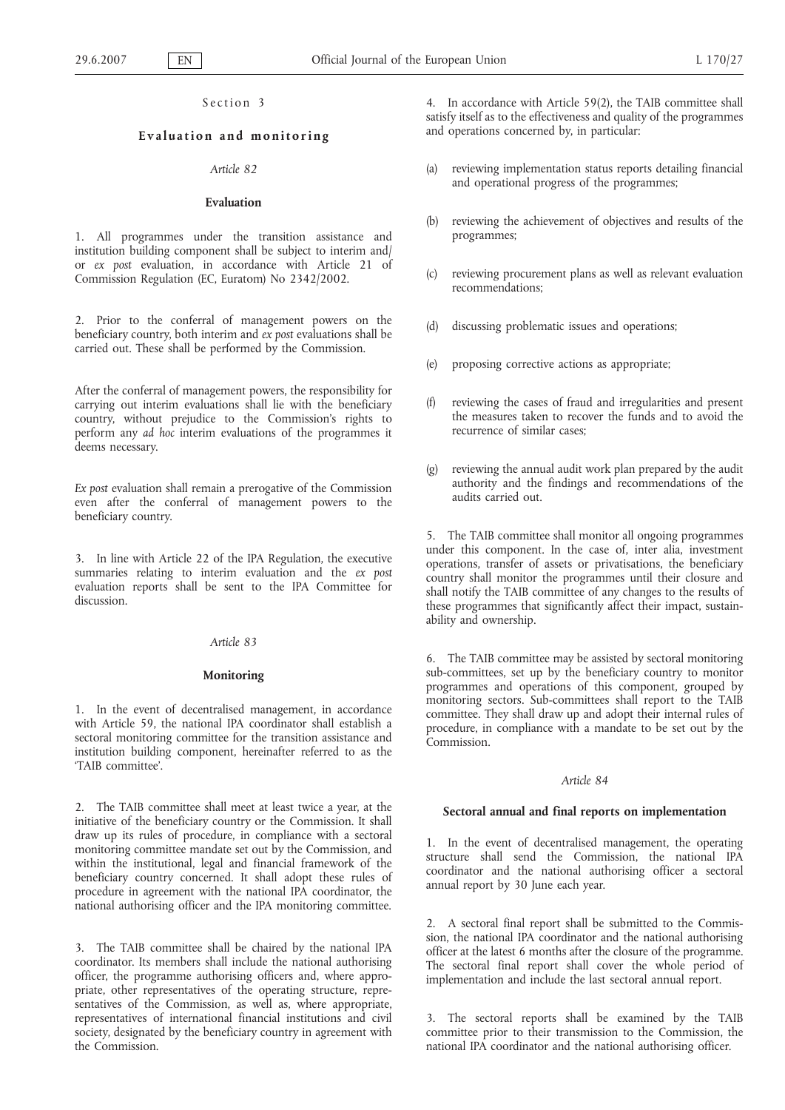### Section 3

# **Evaluation and monitoring**

# *Article 82*

#### **Evaluation**

1. All programmes under the transition assistance and institution building component shall be subject to interim and/ or *ex post* evaluation, in accordance with Article 21 of Commission Regulation (EC, Euratom) No 2342/2002.

2. Prior to the conferral of management powers on the beneficiary country, both interim and *ex post* evaluations shall be carried out. These shall be performed by the Commission.

After the conferral of management powers, the responsibility for carrying out interim evaluations shall lie with the beneficiary country, without prejudice to the Commission's rights to perform any *ad hoc* interim evaluations of the programmes it deems necessary.

*Ex post* evaluation shall remain a prerogative of the Commission even after the conferral of management powers to the beneficiary country.

3. In line with Article 22 of the IPA Regulation, the executive summaries relating to interim evaluation and the *ex post* evaluation reports shall be sent to the IPA Committee for discussion.

### *Article 83*

#### **Monitoring**

1. In the event of decentralised management, in accordance with Article 59, the national IPA coordinator shall establish a sectoral monitoring committee for the transition assistance and institution building component, hereinafter referred to as the 'TAIB committee'.

2. The TAIB committee shall meet at least twice a year, at the initiative of the beneficiary country or the Commission. It shall draw up its rules of procedure, in compliance with a sectoral monitoring committee mandate set out by the Commission, and within the institutional, legal and financial framework of the beneficiary country concerned. It shall adopt these rules of procedure in agreement with the national IPA coordinator, the national authorising officer and the IPA monitoring committee.

3. The TAIB committee shall be chaired by the national IPA coordinator. Its members shall include the national authorising officer, the programme authorising officers and, where appropriate, other representatives of the operating structure, representatives of the Commission, as well as, where appropriate, representatives of international financial institutions and civil society, designated by the beneficiary country in agreement with the Commission.

4. In accordance with Article 59(2), the TAIB committee shall satisfy itself as to the effectiveness and quality of the programmes and operations concerned by, in particular:

- (a) reviewing implementation status reports detailing financial and operational progress of the programmes;
- (b) reviewing the achievement of objectives and results of the programmes;
- (c) reviewing procurement plans as well as relevant evaluation recommendations;
- (d) discussing problematic issues and operations;
- (e) proposing corrective actions as appropriate;
- reviewing the cases of fraud and irregularities and present the measures taken to recover the funds and to avoid the recurrence of similar cases;
- reviewing the annual audit work plan prepared by the audit authority and the findings and recommendations of the audits carried out.

5. The TAIB committee shall monitor all ongoing programmes under this component. In the case of, inter alia, investment operations, transfer of assets or privatisations, the beneficiary country shall monitor the programmes until their closure and shall notify the TAIB committee of any changes to the results of these programmes that significantly affect their impact, sustainability and ownership.

6. The TAIB committee may be assisted by sectoral monitoring sub-committees, set up by the beneficiary country to monitor programmes and operations of this component, grouped by monitoring sectors. Sub-committees shall report to the TAIB committee. They shall draw up and adopt their internal rules of procedure, in compliance with a mandate to be set out by the .<br>Commission

#### *Article 84*

# **Sectoral annual and final reports on implementation**

1. In the event of decentralised management, the operating structure shall send the Commission, the national IPA coordinator and the national authorising officer a sectoral annual report by 30 June each year.

2. A sectoral final report shall be submitted to the Commission, the national IPA coordinator and the national authorising officer at the latest 6 months after the closure of the programme. The sectoral final report shall cover the whole period of implementation and include the last sectoral annual report.

3. The sectoral reports shall be examined by the TAIB committee prior to their transmission to the Commission, the national IPA coordinator and the national authorising officer.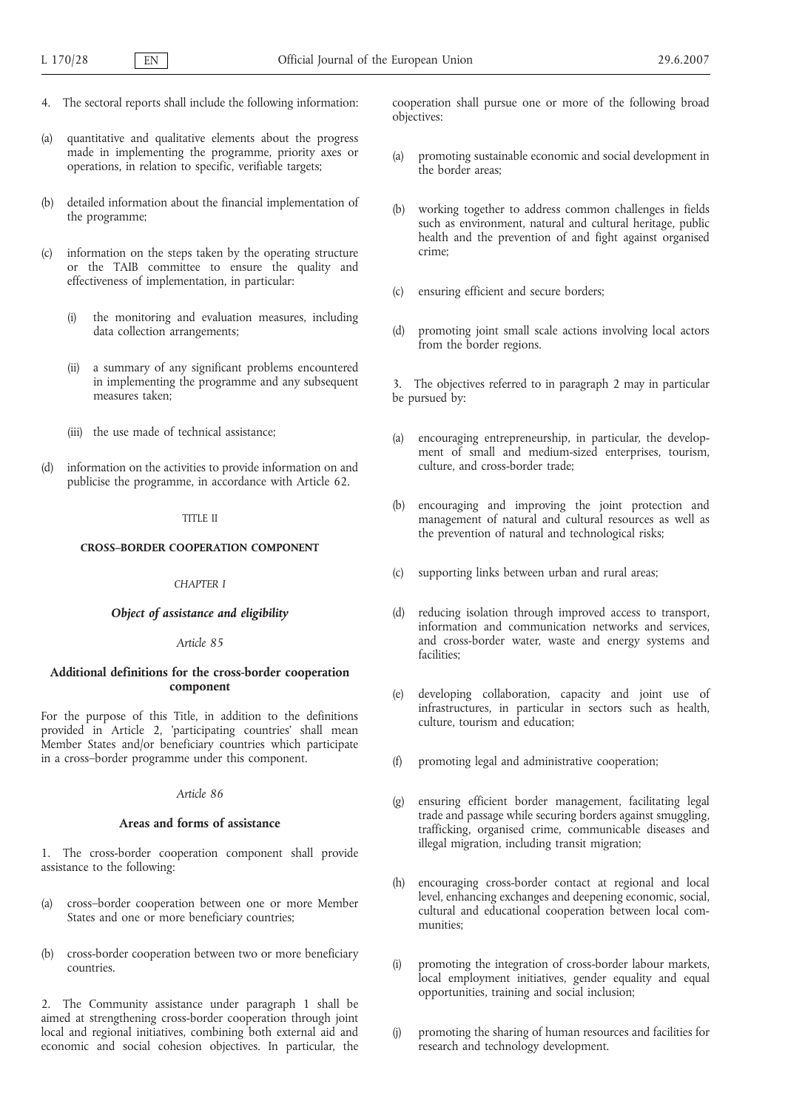- 4. The sectoral reports shall include the following information:
- (a) quantitative and qualitative elements about the progress made in implementing the programme, priority axes or operations, in relation to specific, verifiable targets;
- detailed information about the financial implementation of the programme;
- (c) information on the steps taken by the operating structure or the TAIB committee to ensure the quality and effectiveness of implementation, in particular:
	- the monitoring and evaluation measures, including data collection arrangements;
	- (ii) a summary of any significant problems encountered in implementing the programme and any subsequent measures taken;
	- (iii) the use made of technical assistance;
- (d) information on the activities to provide information on and publicise the programme, in accordance with Article 62.

#### TITLE II

#### **CROSS–BORDER COOPERATION COMPONENT**

#### *CHAPTER I*

### *Object of assistance and eligibility*

#### *Article 85*

# **Additional definitions for the cross-border cooperation component**

For the purpose of this Title, in addition to the definitions provided in Article 2, 'participating countries' shall mean Member States and/or beneficiary countries which participate in a cross–border programme under this component.

#### *Article 86*

### **Areas and forms of assistance**

1. The cross-border cooperation component shall provide assistance to the following:

- (a) cross–border cooperation between one or more Member States and one or more beneficiary countries:
- (b) cross-border cooperation between two or more beneficiary countries.

2. The Community assistance under paragraph 1 shall be aimed at strengthening cross-border cooperation through joint local and regional initiatives, combining both external aid and economic and social cohesion objectives. In particular, the cooperation shall pursue one or more of the following broad objectives:

- (a) promoting sustainable economic and social development in the border areas;
- (b) working together to address common challenges in fields such as environment, natural and cultural heritage, public health and the prevention of and fight against organised crime;
- (c) ensuring efficient and secure borders;
- (d) promoting joint small scale actions involving local actors from the border regions.

3. The objectives referred to in paragraph 2 may in particular be pursued by:

- (a) encouraging entrepreneurship, in particular, the development of small and medium-sized enterprises, tourism, culture, and cross-border trade;
- (b) encouraging and improving the joint protection and management of natural and cultural resources as well as the prevention of natural and technological risks;
- (c) supporting links between urban and rural areas;
- (d) reducing isolation through improved access to transport, information and communication networks and services, and cross-border water, waste and energy systems and facilities;
- (e) developing collaboration, capacity and joint use of infrastructures, in particular in sectors such as health, culture, tourism and education;
- (f) promoting legal and administrative cooperation;
- (g) ensuring efficient border management, facilitating legal trade and passage while securing borders against smuggling, trafficking, organised crime, communicable diseases and illegal migration, including transit migration;
- (h) encouraging cross-border contact at regional and local level, enhancing exchanges and deepening economic, social, cultural and educational cooperation between local communities;
- (i) promoting the integration of cross-border labour markets, local employment initiatives, gender equality and equal opportunities, training and social inclusion;
- (j) promoting the sharing of human resources and facilities for research and technology development.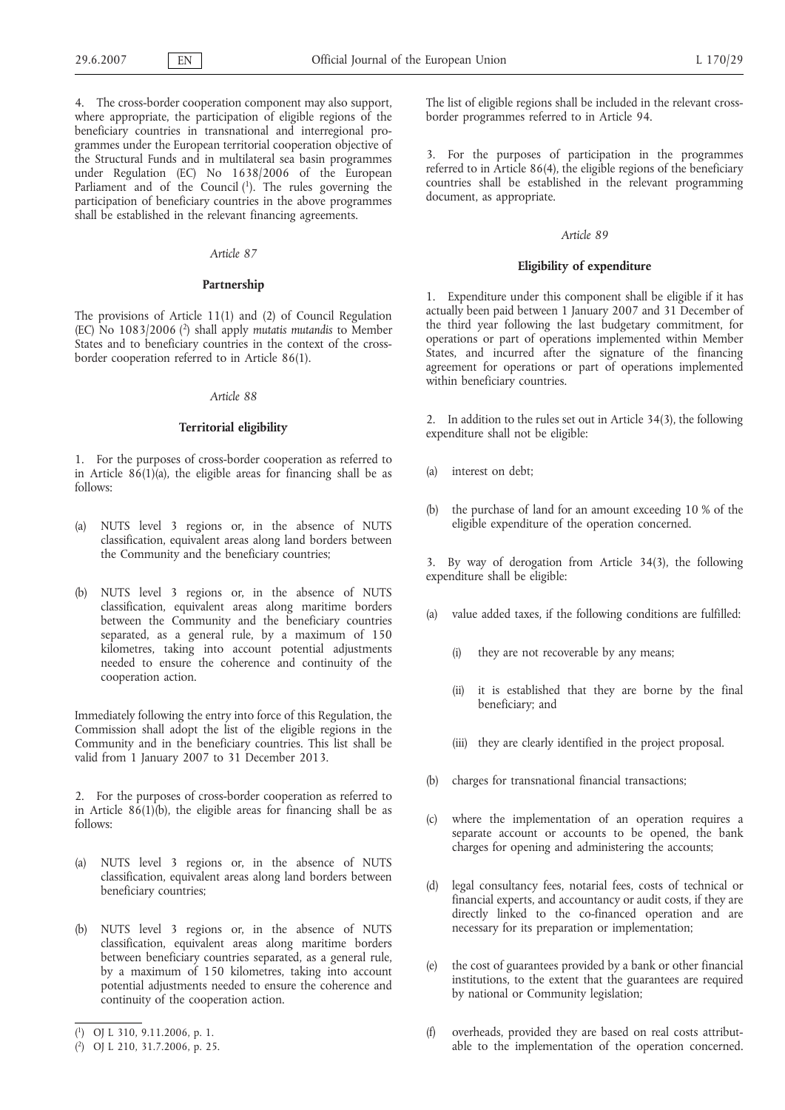4. The cross-border cooperation component may also support, where appropriate, the participation of eligible regions of the beneficiary countries in transnational and interregional programmes under the European territorial cooperation objective of the Structural Funds and in multilateral sea basin programmes under Regulation (EC) No 1638/2006 of the European Parliament and of the Council (1). The rules governing the participation of beneficiary countries in the above programmes shall be established in the relevant financing agreements.

### *Article 87*

#### **Partnership**

The provisions of Article 11(1) and (2) of Council Regulation (EC) No 1083/2006 (2) shall apply *mutatis mutandis* to Member States and to beneficiary countries in the context of the crossborder cooperation referred to in Article 86(1).

# *Article 88*

#### **Territorial eligibility**

1. For the purposes of cross-border cooperation as referred to in Article  $86(1)(a)$ , the eligible areas for financing shall be as follows:

- (a) NUTS level 3 regions or, in the absence of NUTS classification, equivalent areas along land borders between the Community and the beneficiary countries;
- (b) NUTS level 3 regions or, in the absence of NUTS classification, equivalent areas along maritime borders between the Community and the beneficiary countries separated, as a general rule, by a maximum of 150 kilometres, taking into account potential adjustments needed to ensure the coherence and continuity of the cooperation action.

Immediately following the entry into force of this Regulation, the Commission shall adopt the list of the eligible regions in the Community and in the beneficiary countries. This list shall be valid from 1 January 2007 to 31 December 2013.

2. For the purposes of cross-border cooperation as referred to in Article 86(1)(b), the eligible areas for financing shall be as follows:

- (a) NUTS level 3 regions or, in the absence of NUTS classification, equivalent areas along land borders between beneficiary countries;
- (b) NUTS level 3 regions or, in the absence of NUTS classification, equivalent areas along maritime borders between beneficiary countries separated, as a general rule, by a maximum of 150 kilometres, taking into account potential adjustments needed to ensure the coherence and continuity of the cooperation action.

The list of eligible regions shall be included in the relevant crossborder programmes referred to in Article 94.

3. For the purposes of participation in the programmes referred to in Article 86(4), the eligible regions of the beneficiary countries shall be established in the relevant programming document, as appropriate.

#### *Article 89*

### **Eligibility of expenditure**

1. Expenditure under this component shall be eligible if it has actually been paid between 1 January 2007 and 31 December of the third year following the last budgetary commitment, for operations or part of operations implemented within Member States, and incurred after the signature of the financing agreement for operations or part of operations implemented within beneficiary countries.

2. In addition to the rules set out in Article 34(3), the following expenditure shall not be eligible:

- (a) interest on debt;
- (b) the purchase of land for an amount exceeding 10 % of the eligible expenditure of the operation concerned.

3. By way of derogation from Article 34(3), the following expenditure shall be eligible:

- (a) value added taxes, if the following conditions are fulfilled:
	- (i) they are not recoverable by any means;
	- (ii) it is established that they are borne by the final beneficiary; and
	- (iii) they are clearly identified in the project proposal.
- (b) charges for transnational financial transactions;
- (c) where the implementation of an operation requires a separate account or accounts to be opened, the bank charges for opening and administering the accounts;
- (d) legal consultancy fees, notarial fees, costs of technical or financial experts, and accountancy or audit costs, if they are directly linked to the co-financed operation and are necessary for its preparation or implementation;
- (e) the cost of guarantees provided by a bank or other financial institutions, to the extent that the guarantees are required by national or Community legislation;
- (f) overheads, provided they are based on real costs attributable to the implementation of the operation concerned.

<sup>(</sup> 1) OJ L 310, 9.11.2006, p. 1.

<sup>(</sup> 2) OJ L 210, 31.7.2006, p. 25.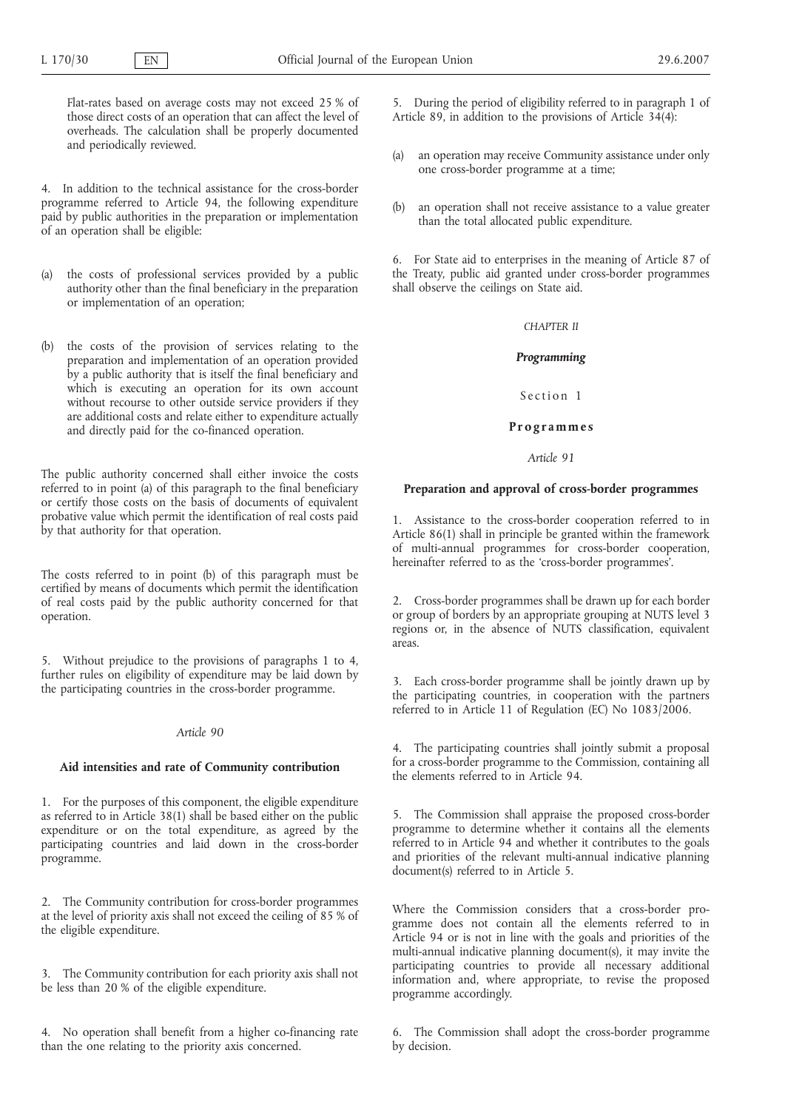Flat-rates based on average costs may not exceed 25 % of those direct costs of an operation that can affect the level of overheads. The calculation shall be properly documented and periodically reviewed.

4. In addition to the technical assistance for the cross-border programme referred to Article 94, the following expenditure paid by public authorities in the preparation or implementation of an operation shall be eligible:

- (a) the costs of professional services provided by a public authority other than the final beneficiary in the preparation or implementation of an operation;
- (b) the costs of the provision of services relating to the preparation and implementation of an operation provided by a public authority that is itself the final beneficiary and which is executing an operation for its own account without recourse to other outside service providers if they are additional costs and relate either to expenditure actually and directly paid for the co-financed operation.

The public authority concerned shall either invoice the costs referred to in point (a) of this paragraph to the final beneficiary or certify those costs on the basis of documents of equivalent probative value which permit the identification of real costs paid by that authority for that operation.

The costs referred to in point (b) of this paragraph must be certified by means of documents which permit the identification of real costs paid by the public authority concerned for that operation.

5. Without prejudice to the provisions of paragraphs 1 to 4, further rules on eligibility of expenditure may be laid down by the participating countries in the cross-border programme.

### *Article 90*

#### **Aid intensities and rate of Community contribution**

1. For the purposes of this component, the eligible expenditure as referred to in Article 38(1) shall be based either on the public expenditure or on the total expenditure, as agreed by the participating countries and laid down in the cross-border programme.

2. The Community contribution for cross-border programmes at the level of priority axis shall not exceed the ceiling of 85 % of the eligible expenditure.

3. The Community contribution for each priority axis shall not be less than 20 % of the eligible expenditure.

4. No operation shall benefit from a higher co-financing rate than the one relating to the priority axis concerned.

5. During the period of eligibility referred to in paragraph 1 of Article 89, in addition to the provisions of Article  $34(4)$ :

- (a) an operation may receive Community assistance under only one cross-border programme at a time;
- (b) an operation shall not receive assistance to a value greater than the total allocated public expenditure.

6. For State aid to enterprises in the meaning of Article 87 of the Treaty, public aid granted under cross-border programmes shall observe the ceilings on State aid.

# *CHAPTER II*

#### *Programming*

Section 1

### **Programmes**

*Article 91*

# **Preparation and approval of cross-border programmes**

1. Assistance to the cross-border cooperation referred to in Article 86(1) shall in principle be granted within the framework of multi-annual programmes for cross-border cooperation, hereinafter referred to as the 'cross-border programmes'.

2. Cross-border programmes shall be drawn up for each border or group of borders by an appropriate grouping at NUTS level 3 regions or, in the absence of NUTS classification, equivalent areas.

3. Each cross-border programme shall be jointly drawn up by the participating countries, in cooperation with the partners referred to in Article 11 of Regulation (EC) No 1083/2006.

4. The participating countries shall jointly submit a proposal for a cross-border programme to the Commission, containing all the elements referred to in Article 94.

5. The Commission shall appraise the proposed cross-border programme to determine whether it contains all the elements referred to in Article 94 and whether it contributes to the goals and priorities of the relevant multi-annual indicative planning document(s) referred to in Article 5.

Where the Commission considers that a cross-border programme does not contain all the elements referred to in Article 94 or is not in line with the goals and priorities of the multi-annual indicative planning document(s), it may invite the participating countries to provide all necessary additional information and, where appropriate, to revise the proposed programme accordingly.

6. The Commission shall adopt the cross-border programme by decision.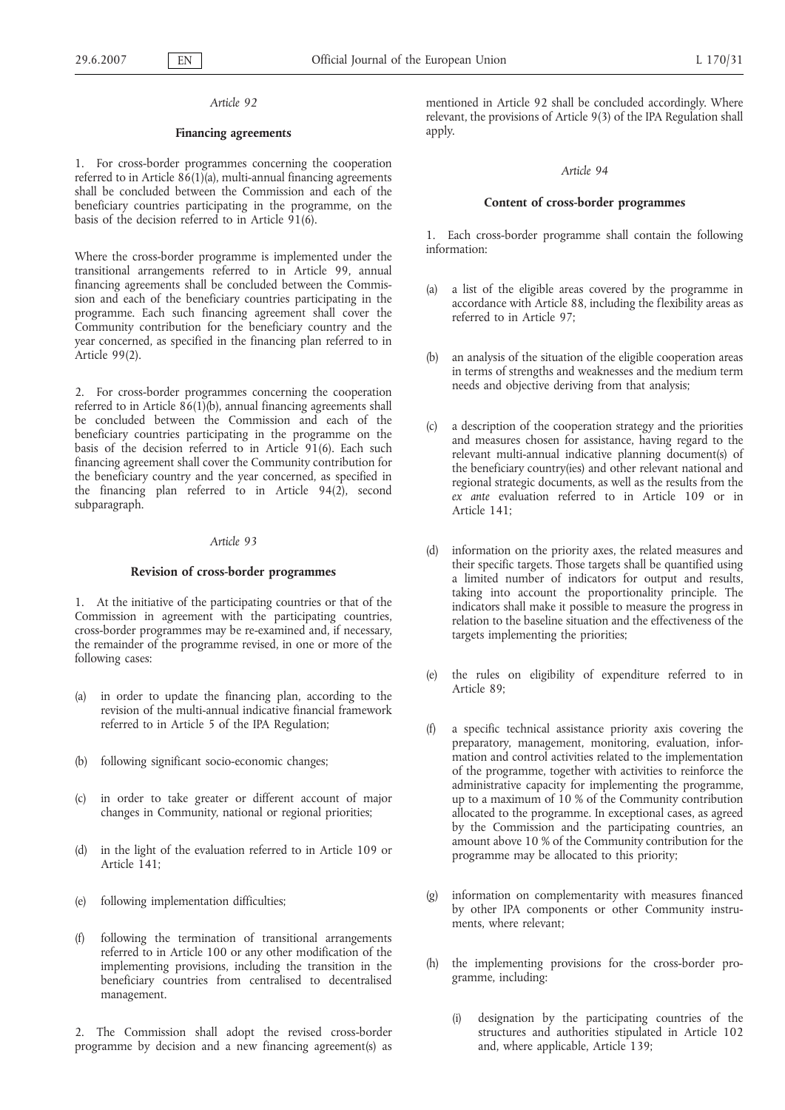#### **Financing agreements**

1. For cross-border programmes concerning the cooperation referred to in Article 86(1)(a), multi-annual financing agreements shall be concluded between the Commission and each of the beneficiary countries participating in the programme, on the basis of the decision referred to in Article 91(6).

Where the cross-border programme is implemented under the transitional arrangements referred to in Article 99, annual financing agreements shall be concluded between the Commission and each of the beneficiary countries participating in the programme. Each such financing agreement shall cover the Community contribution for the beneficiary country and the year concerned, as specified in the financing plan referred to in Article 99(2).

2. For cross-border programmes concerning the cooperation referred to in Article 86(1)(b), annual financing agreements shall be concluded between the Commission and each of the beneficiary countries participating in the programme on the basis of the decision referred to in Article 91(6). Each such financing agreement shall cover the Community contribution for the beneficiary country and the year concerned, as specified in the financing plan referred to in Article 94(2), second subparagraph.

# *Article 93*

#### **Revision of cross-border programmes**

1. At the initiative of the participating countries or that of the Commission in agreement with the participating countries, cross-border programmes may be re-examined and, if necessary, the remainder of the programme revised, in one or more of the following cases:

- (a) in order to update the financing plan, according to the revision of the multi-annual indicative financial framework referred to in Article 5 of the IPA Regulation;
- (b) following significant socio-economic changes;
- (c) in order to take greater or different account of major changes in Community, national or regional priorities;
- (d) in the light of the evaluation referred to in Article 109 or Article 141;
- (e) following implementation difficulties;
- (f) following the termination of transitional arrangements referred to in Article 100 or any other modification of the implementing provisions, including the transition in the beneficiary countries from centralised to decentralised management.

2. The Commission shall adopt the revised cross-border programme by decision and a new financing agreement(s) as mentioned in Article 92 shall be concluded accordingly. Where relevant, the provisions of Article 9(3) of the IPA Regulation shall apply.

#### *Article 94*

### **Content of cross-border programmes**

1. Each cross-border programme shall contain the following information:

- (a) a list of the eligible areas covered by the programme in accordance with Article 88, including the flexibility areas as referred to in Article 97;
- (b) an analysis of the situation of the eligible cooperation areas in terms of strengths and weaknesses and the medium term needs and objective deriving from that analysis;
- (c) a description of the cooperation strategy and the priorities and measures chosen for assistance, having regard to the relevant multi-annual indicative planning document(s) of the beneficiary country(ies) and other relevant national and regional strategic documents, as well as the results from the *ex ante* evaluation referred to in Article 109 or in Article 141;
- (d) information on the priority axes, the related measures and their specific targets. Those targets shall be quantified using a limited number of indicators for output and results, taking into account the proportionality principle. The indicators shall make it possible to measure the progress in relation to the baseline situation and the effectiveness of the targets implementing the priorities;
- (e) the rules on eligibility of expenditure referred to in Article 89;
- (f) a specific technical assistance priority axis covering the preparatory, management, monitoring, evaluation, information and control activities related to the implementation of the programme, together with activities to reinforce the administrative capacity for implementing the programme, up to a maximum of 10 % of the Community contribution allocated to the programme. In exceptional cases, as agreed by the Commission and the participating countries, an amount above 10 % of the Community contribution for the programme may be allocated to this priority;
- (g) information on complementarity with measures financed by other IPA components or other Community instruments, where relevant;
- (h) the implementing provisions for the cross-border programme, including:
	- (i) designation by the participating countries of the structures and authorities stipulated in Article 102 and, where applicable, Article 139;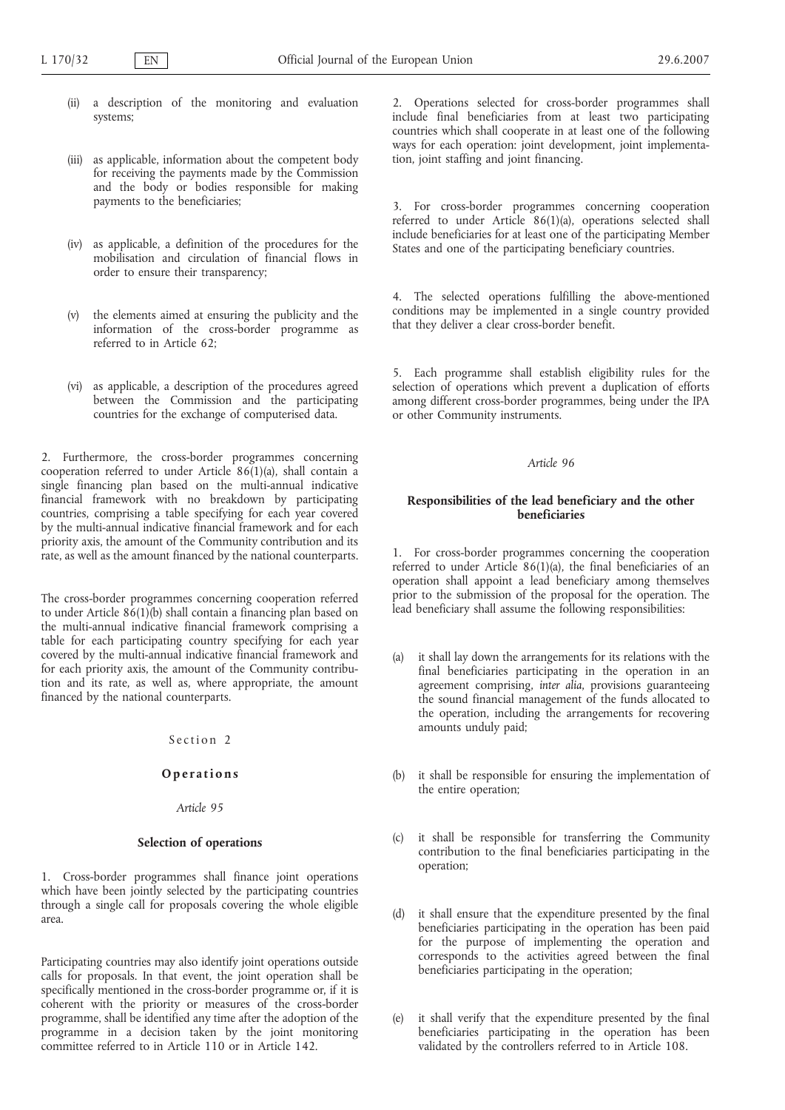- (ii) a description of the monitoring and evaluation systems;
- (iii) as applicable, information about the competent body for receiving the payments made by the Commission and the body or bodies responsible for making payments to the beneficiaries;
- (iv) as applicable, a definition of the procedures for the mobilisation and circulation of financial flows in order to ensure their transparency;
- (v) the elements aimed at ensuring the publicity and the information of the cross-border programme as referred to in Article 62;
- (vi) as applicable, a description of the procedures agreed between the Commission and the participating countries for the exchange of computerised data.

2. Furthermore, the cross-border programmes concerning cooperation referred to under Article 86(1)(a), shall contain a single financing plan based on the multi-annual indicative financial framework with no breakdown by participating countries, comprising a table specifying for each year covered by the multi-annual indicative financial framework and for each priority axis, the amount of the Community contribution and its rate, as well as the amount financed by the national counterparts.

The cross-border programmes concerning cooperation referred to under Article  $86(1)(b)$  shall contain a financing plan based on the multi-annual indicative financial framework comprising a table for each participating country specifying for each year covered by the multi-annual indicative financial framework and for each priority axis, the amount of the Community contribution and its rate, as well as, where appropriate, the amount financed by the national counterparts.

### Section 2

# **Operations**

*Article 95*

# **Selection of operations**

1. Cross-border programmes shall finance joint operations which have been jointly selected by the participating countries through a single call for proposals covering the whole eligible area.

Participating countries may also identify joint operations outside calls for proposals. In that event, the joint operation shall be specifically mentioned in the cross-border programme or, if it is coherent with the priority or measures of the cross-border programme, shall be identified any time after the adoption of the programme in a decision taken by the joint monitoring committee referred to in Article 110 or in Article 142.

2. Operations selected for cross-border programmes shall include final beneficiaries from at least two participating countries which shall cooperate in at least one of the following ways for each operation: joint development, joint implementation, joint staffing and joint financing.

3. For cross-border programmes concerning cooperation referred to under Article 86(1)(a), operations selected shall include beneficiaries for at least one of the participating Member States and one of the participating beneficiary countries.

4. The selected operations fulfilling the above-mentioned conditions may be implemented in a single country provided that they deliver a clear cross-border benefit.

5. Each programme shall establish eligibility rules for the selection of operations which prevent a duplication of efforts among different cross-border programmes, being under the IPA or other Community instruments.

### *Article 96*

# **Responsibilities of the lead beneficiary and the other beneficiaries**

1. For cross-border programmes concerning the cooperation referred to under Article 86(1)(a), the final beneficiaries of an operation shall appoint a lead beneficiary among themselves prior to the submission of the proposal for the operation. The lead beneficiary shall assume the following responsibilities:

- (a) it shall lay down the arrangements for its relations with the final beneficiaries participating in the operation in an agreement comprising, *inter alia*, provisions guaranteeing the sound financial management of the funds allocated to the operation, including the arrangements for recovering amounts unduly paid;
- (b) it shall be responsible for ensuring the implementation of the entire operation;
- (c) it shall be responsible for transferring the Community contribution to the final beneficiaries participating in the operation;
- (d) it shall ensure that the expenditure presented by the final beneficiaries participating in the operation has been paid for the purpose of implementing the operation and corresponds to the activities agreed between the final beneficiaries participating in the operation;
- (e) it shall verify that the expenditure presented by the final beneficiaries participating in the operation has been validated by the controllers referred to in Article 108.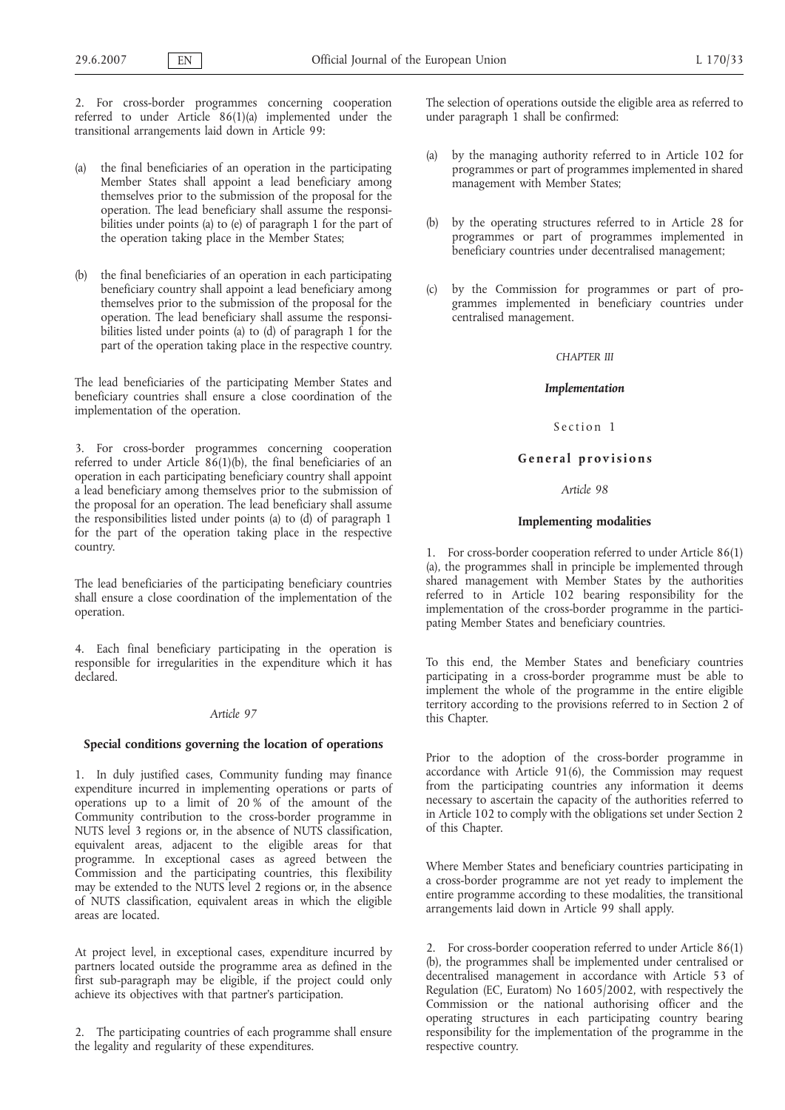2. For cross-border programmes concerning cooperation referred to under Article 86(1)(a) implemented under the transitional arrangements laid down in Article 99:

- (a) the final beneficiaries of an operation in the participating Member States shall appoint a lead beneficiary among themselves prior to the submission of the proposal for the operation. The lead beneficiary shall assume the responsibilities under points (a) to (e) of paragraph 1 for the part of the operation taking place in the Member States;
- (b) the final beneficiaries of an operation in each participating beneficiary country shall appoint a lead beneficiary among themselves prior to the submission of the proposal for the operation. The lead beneficiary shall assume the responsibilities listed under points (a) to (d) of paragraph 1 for the part of the operation taking place in the respective country.

The lead beneficiaries of the participating Member States and beneficiary countries shall ensure a close coordination of the implementation of the operation.

3. For cross-border programmes concerning cooperation referred to under Article 86(1)(b), the final beneficiaries of an operation in each participating beneficiary country shall appoint a lead beneficiary among themselves prior to the submission of the proposal for an operation. The lead beneficiary shall assume the responsibilities listed under points (a) to (d) of paragraph 1 for the part of the operation taking place in the respective country.

The lead beneficiaries of the participating beneficiary countries shall ensure a close coordination of the implementation of the operation.

4. Each final beneficiary participating in the operation is responsible for irregularities in the expenditure which it has declared.

# *Article 97*

### **Special conditions governing the location of operations**

1. In duly justified cases, Community funding may finance expenditure incurred in implementing operations or parts of operations up to a limit of 20 % of the amount of the Community contribution to the cross-border programme in NUTS level 3 regions or, in the absence of NUTS classification, equivalent areas, adjacent to the eligible areas for that programme. In exceptional cases as agreed between the Commission and the participating countries, this flexibility may be extended to the NUTS level 2 regions or, in the absence of NUTS classification, equivalent areas in which the eligible areas are located.

At project level, in exceptional cases, expenditure incurred by partners located outside the programme area as defined in the first sub-paragraph may be eligible, if the project could only achieve its objectives with that partner's participation.

2. The participating countries of each programme shall ensure the legality and regularity of these expenditures.

The selection of operations outside the eligible area as referred to under paragraph 1 shall be confirmed:

- (a) by the managing authority referred to in Article 102 for programmes or part of programmes implemented in shared management with Member States;
- (b) by the operating structures referred to in Article 28 for programmes or part of programmes implemented in beneficiary countries under decentralised management;
- (c) by the Commission for programmes or part of programmes implemented in beneficiary countries under centralised management.

## *CHAPTER III*

### *Implementation*

# Section 1

## **General provisions**

## *Article 98*

#### **Implementing modalities**

1. For cross-border cooperation referred to under Article 86(1) (a), the programmes shall in principle be implemented through shared management with Member States by the authorities referred to in Article 102 bearing responsibility for the implementation of the cross-border programme in the participating Member States and beneficiary countries.

To this end, the Member States and beneficiary countries participating in a cross-border programme must be able to implement the whole of the programme in the entire eligible territory according to the provisions referred to in Section 2 of this Chapter.

Prior to the adoption of the cross-border programme in accordance with Article 91(6), the Commission may request from the participating countries any information it deems necessary to ascertain the capacity of the authorities referred to in Article 102 to comply with the obligations set under Section 2 of this Chapter.

Where Member States and beneficiary countries participating in a cross-border programme are not yet ready to implement the entire programme according to these modalities, the transitional arrangements laid down in Article 99 shall apply.

2. For cross-border cooperation referred to under Article 86(1) (b), the programmes shall be implemented under centralised or decentralised management in accordance with Article 53 of Regulation (EC, Euratom) No 1605/2002, with respectively the Commission or the national authorising officer and the operating structures in each participating country bearing responsibility for the implementation of the programme in the respective country.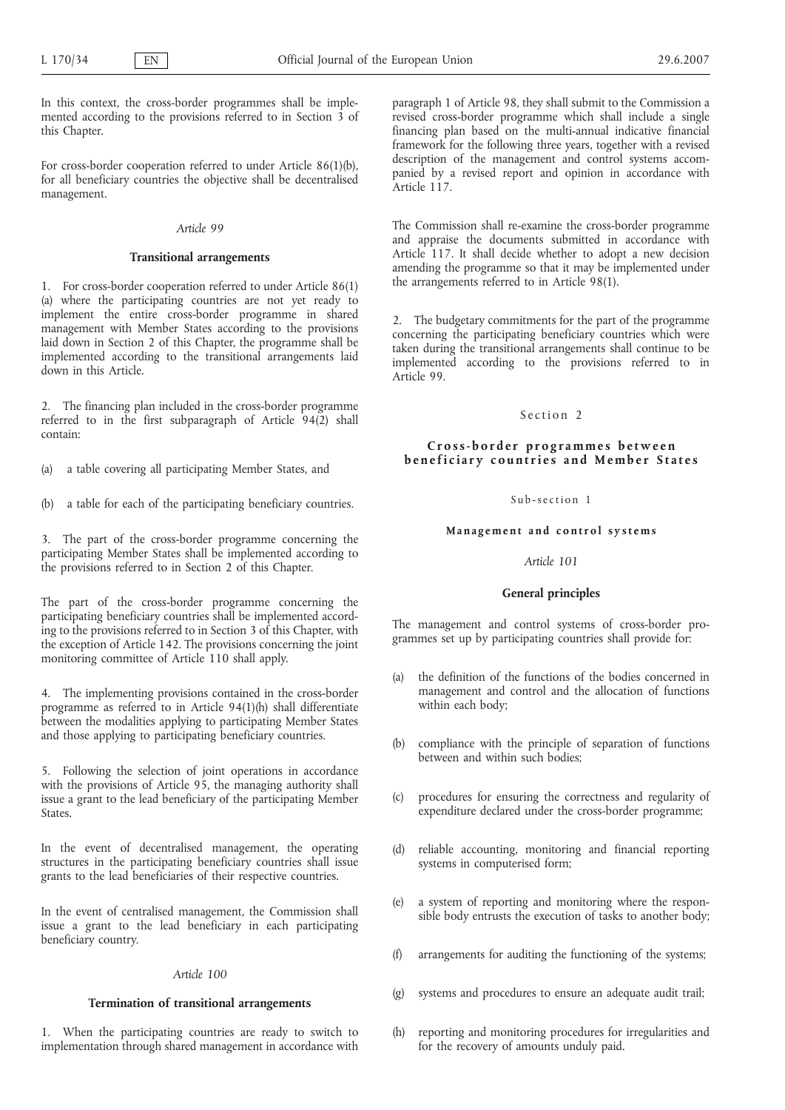In this context, the cross-border programmes shall be implemented according to the provisions referred to in Section 3 of this Chapter.

For cross-border cooperation referred to under Article 86(1)(b), for all beneficiary countries the objective shall be decentralised management.

#### *Article 99*

### **Transitional arrangements**

1. For cross-border cooperation referred to under Article 86(1) (a) where the participating countries are not yet ready to implement the entire cross-border programme in shared management with Member States according to the provisions laid down in Section 2 of this Chapter, the programme shall be implemented according to the transitional arrangements laid down in this Article.

2. The financing plan included in the cross-border programme referred to in the first subparagraph of Article  $94(2)$  shall contain:

(a) a table covering all participating Member States, and

(b) a table for each of the participating beneficiary countries.

3. The part of the cross-border programme concerning the participating Member States shall be implemented according to the provisions referred to in Section 2 of this Chapter.

The part of the cross-border programme concerning the participating beneficiary countries shall be implemented according to the provisions referred to in Section 3 of this Chapter, with the exception of Article 142. The provisions concerning the joint monitoring committee of Article 110 shall apply.

4. The implementing provisions contained in the cross-border programme as referred to in Article 94(1)(h) shall differentiate between the modalities applying to participating Member States and those applying to participating beneficiary countries.

5. Following the selection of joint operations in accordance with the provisions of Article 95, the managing authority shall issue a grant to the lead beneficiary of the participating Member States.

In the event of decentralised management, the operating structures in the participating beneficiary countries shall issue grants to the lead beneficiaries of their respective countries.

In the event of centralised management, the Commission shall issue a grant to the lead beneficiary in each participating beneficiary country.

# *Article 100*

# **Termination of transitional arrangements**

1. When the participating countries are ready to switch to implementation through shared management in accordance with paragraph 1 of Article 98, they shall submit to the Commission a revised cross-border programme which shall include a single financing plan based on the multi-annual indicative financial framework for the following three years, together with a revised description of the management and control systems accompanied by a revised report and opinion in accordance with Article 117.

The Commission shall re-examine the cross-border programme and appraise the documents submitted in accordance with Article 117. It shall decide whether to adopt a new decision amending the programme so that it may be implemented under the arrangements referred to in Article 98(1).

2. The budgetary commitments for the part of the programme concerning the participating beneficiary countries which were taken during the transitional arrangements shall continue to be implemented according to the provisions referred to in Article 99.

# Section<sub>2</sub>

# **Cross-border programmes between beneficiary countries and Member States**

### Sub-section 1

#### **Management and control systems**

#### *Article 101*

#### **General principles**

The management and control systems of cross-border programmes set up by participating countries shall provide for:

- (a) the definition of the functions of the bodies concerned in management and control and the allocation of functions within each body;
- (b) compliance with the principle of separation of functions between and within such bodies;
- (c) procedures for ensuring the correctness and regularity of expenditure declared under the cross-border programme;
- (d) reliable accounting, monitoring and financial reporting systems in computerised form;
- (e) a system of reporting and monitoring where the responsible body entrusts the execution of tasks to another body;
- (f) arrangements for auditing the functioning of the systems;
- (g) systems and procedures to ensure an adequate audit trail;
- (h) reporting and monitoring procedures for irregularities and for the recovery of amounts unduly paid.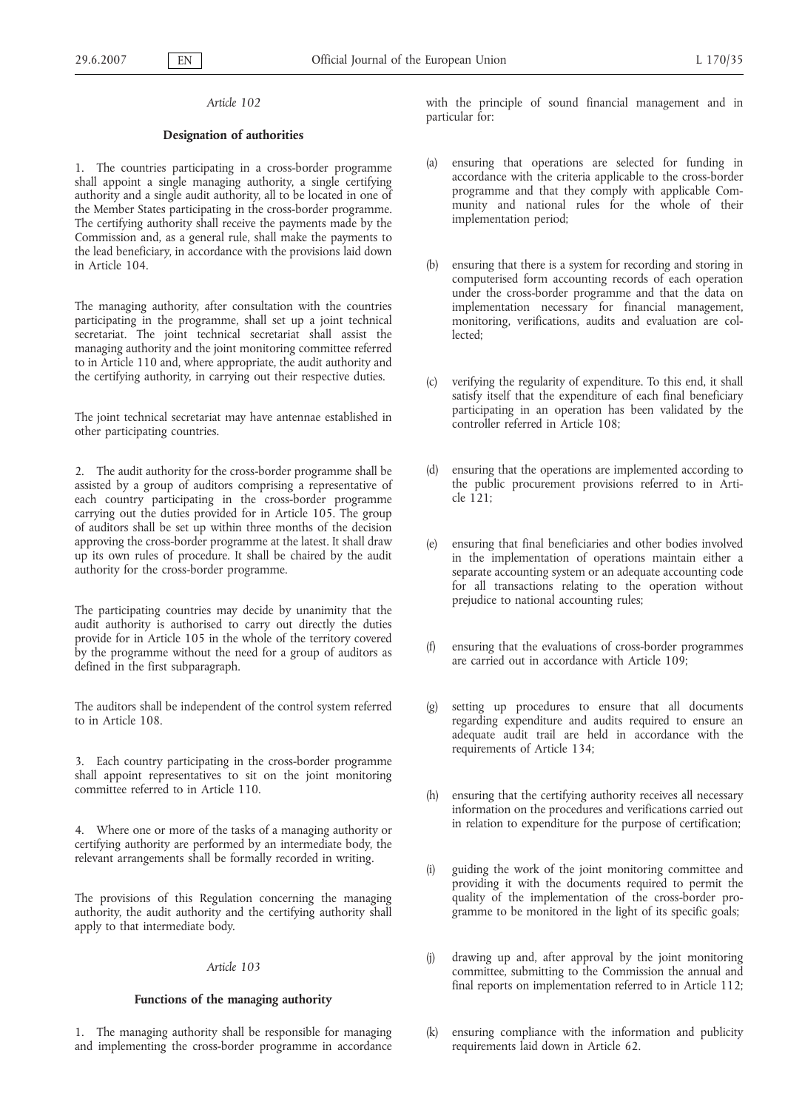## **Designation of authorities**

1. The countries participating in a cross-border programme shall appoint a single managing authority, a single certifying authority and a single audit authority, all to be located in one of the Member States participating in the cross-border programme. The certifying authority shall receive the payments made by the Commission and, as a general rule, shall make the payments to the lead beneficiary, in accordance with the provisions laid down in Article 104.

The managing authority, after consultation with the countries participating in the programme, shall set up a joint technical secretariat. The joint technical secretariat shall assist the managing authority and the joint monitoring committee referred to in Article 110 and, where appropriate, the audit authority and the certifying authority, in carrying out their respective duties.

The joint technical secretariat may have antennae established in other participating countries.

2. The audit authority for the cross-border programme shall be assisted by a group of auditors comprising a representative of each country participating in the cross-border programme carrying out the duties provided for in Article 105. The group of auditors shall be set up within three months of the decision approving the cross-border programme at the latest. It shall draw up its own rules of procedure. It shall be chaired by the audit authority for the cross-border programme.

The participating countries may decide by unanimity that the audit authority is authorised to carry out directly the duties provide for in Article 105 in the whole of the territory covered by the programme without the need for a group of auditors as defined in the first subparagraph.

The auditors shall be independent of the control system referred to in Article 108.

3. Each country participating in the cross-border programme shall appoint representatives to sit on the joint monitoring committee referred to in Article 110.

4. Where one or more of the tasks of a managing authority or certifying authority are performed by an intermediate body, the relevant arrangements shall be formally recorded in writing.

The provisions of this Regulation concerning the managing authority, the audit authority and the certifying authority shall apply to that intermediate body.

#### *Article 103*

#### **Functions of the managing authority**

1. The managing authority shall be responsible for managing and implementing the cross-border programme in accordance with the principle of sound financial management and in particular for:

- (a) ensuring that operations are selected for funding in accordance with the criteria applicable to the cross-border programme and that they comply with applicable Community and national rules for the whole of their implementation period;
- (b) ensuring that there is a system for recording and storing in computerised form accounting records of each operation under the cross-border programme and that the data on implementation necessary for financial management, monitoring, verifications, audits and evaluation are collected;
- (c) verifying the regularity of expenditure. To this end, it shall satisfy itself that the expenditure of each final beneficiary participating in an operation has been validated by the controller referred in Article 108;
- ensuring that the operations are implemented according to the public procurement provisions referred to in Article 121;
- (e) ensuring that final beneficiaries and other bodies involved in the implementation of operations maintain either a separate accounting system or an adequate accounting code for all transactions relating to the operation without prejudice to national accounting rules;
- (f) ensuring that the evaluations of cross-border programmes are carried out in accordance with Article 109;
- setting up procedures to ensure that all documents regarding expenditure and audits required to ensure an adequate audit trail are held in accordance with the requirements of Article 134;
- (h) ensuring that the certifying authority receives all necessary information on the procedures and verifications carried out in relation to expenditure for the purpose of certification;
- (i) guiding the work of the joint monitoring committee and providing it with the documents required to permit the quality of the implementation of the cross-border programme to be monitored in the light of its specific goals;
- (j) drawing up and, after approval by the joint monitoring committee, submitting to the Commission the annual and final reports on implementation referred to in Article 112;
- ensuring compliance with the information and publicity requirements laid down in Article 62.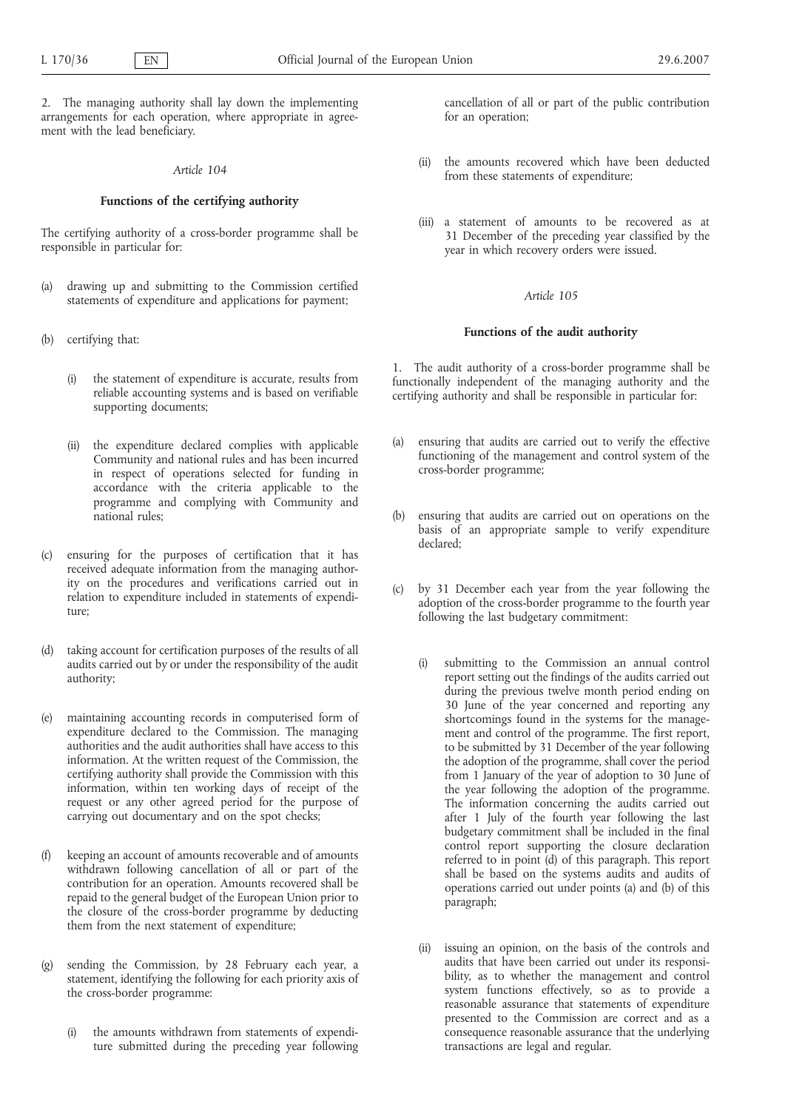2. The managing authority shall lay down the implementing arrangements for each operation, where appropriate in agreement with the lead beneficiary.

#### *Article 104*

### **Functions of the certifying authority**

The certifying authority of a cross-border programme shall be responsible in particular for:

- (a) drawing up and submitting to the Commission certified statements of expenditure and applications for payment;
- (b) certifying that:
	- (i) the statement of expenditure is accurate, results from reliable accounting systems and is based on verifiable supporting documents;
	- (ii) the expenditure declared complies with applicable Community and national rules and has been incurred in respect of operations selected for funding in accordance with the criteria applicable to the programme and complying with Community and national rules;
- (c) ensuring for the purposes of certification that it has received adequate information from the managing authority on the procedures and verifications carried out in relation to expenditure included in statements of expenditure;
- (d) taking account for certification purposes of the results of all audits carried out by or under the responsibility of the audit authority;
- (e) maintaining accounting records in computerised form of expenditure declared to the Commission. The managing authorities and the audit authorities shall have access to this information. At the written request of the Commission, the certifying authority shall provide the Commission with this information, within ten working days of receipt of the request or any other agreed period for the purpose of carrying out documentary and on the spot checks;
- (f) keeping an account of amounts recoverable and of amounts withdrawn following cancellation of all or part of the contribution for an operation. Amounts recovered shall be repaid to the general budget of the European Union prior to the closure of the cross-border programme by deducting them from the next statement of expenditure;
- (g) sending the Commission, by 28 February each year, a statement, identifying the following for each priority axis of the cross-border programme:
	- (i) the amounts withdrawn from statements of expenditure submitted during the preceding year following

cancellation of all or part of the public contribution for an operation;

- (ii) the amounts recovered which have been deducted from these statements of expenditure;
- (iii) a statement of amounts to be recovered as at 31 December of the preceding year classified by the year in which recovery orders were issued.

### *Article 105*

### **Functions of the audit authority**

1. The audit authority of a cross-border programme shall be functionally independent of the managing authority and the certifying authority and shall be responsible in particular for:

- (a) ensuring that audits are carried out to verify the effective functioning of the management and control system of the cross-border programme;
- (b) ensuring that audits are carried out on operations on the basis of an appropriate sample to verify expenditure declared;
- (c) by 31 December each year from the year following the adoption of the cross-border programme to the fourth year following the last budgetary commitment:
	- (i) submitting to the Commission an annual control report setting out the findings of the audits carried out during the previous twelve month period ending on 30 June of the year concerned and reporting any shortcomings found in the systems for the management and control of the programme. The first report, to be submitted by 31 December of the year following the adoption of the programme, shall cover the period from 1 January of the year of adoption to 30 June of the year following the adoption of the programme. The information concerning the audits carried out after 1 July of the fourth year following the last budgetary commitment shall be included in the final control report supporting the closure declaration referred to in point (d) of this paragraph. This report shall be based on the systems audits and audits of operations carried out under points (a) and (b) of this paragraph;
	- (ii) issuing an opinion, on the basis of the controls and audits that have been carried out under its responsibility, as to whether the management and control system functions effectively, so as to provide a reasonable assurance that statements of expenditure presented to the Commission are correct and as a consequence reasonable assurance that the underlying transactions are legal and regular.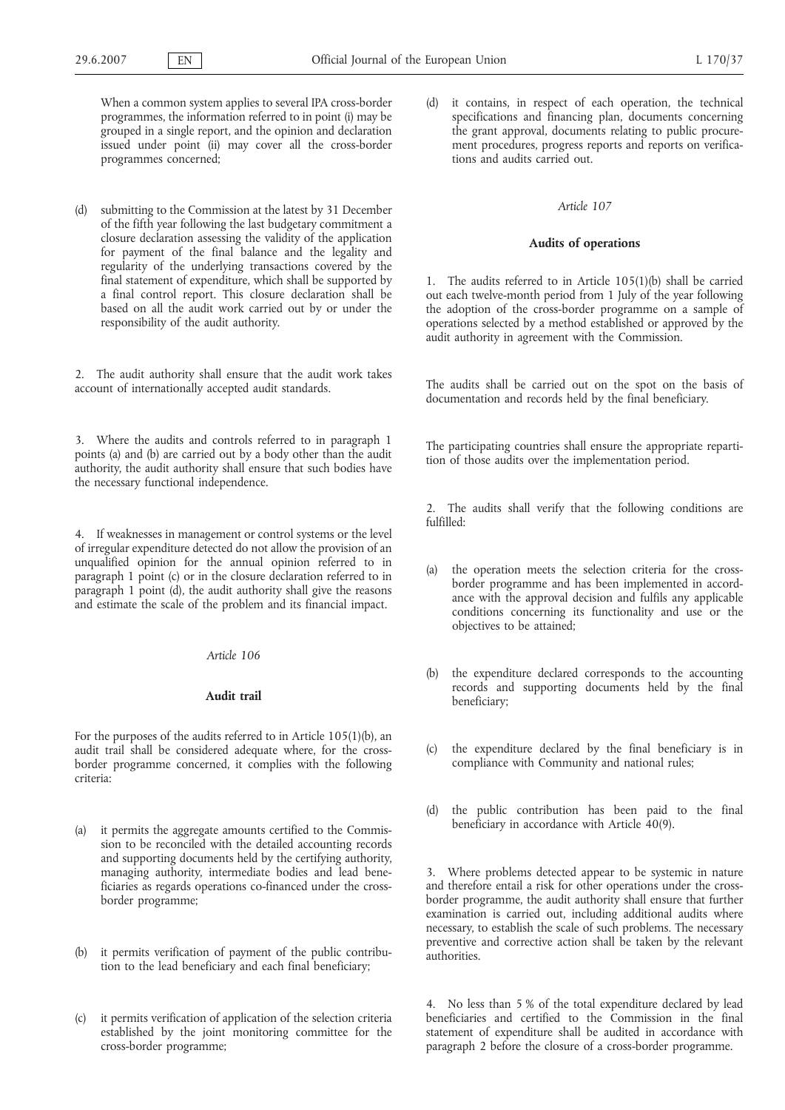When a common system applies to several IPA cross-border programmes, the information referred to in point (i) may be grouped in a single report, and the opinion and declaration issued under point (ii) may cover all the cross-border programmes concerned;

(d) submitting to the Commission at the latest by 31 December of the fifth year following the last budgetary commitment a closure declaration assessing the validity of the application for payment of the final balance and the legality and regularity of the underlying transactions covered by the final statement of expenditure, which shall be supported by a final control report. This closure declaration shall be based on all the audit work carried out by or under the responsibility of the audit authority.

2. The audit authority shall ensure that the audit work takes account of internationally accepted audit standards.

3. Where the audits and controls referred to in paragraph 1 points (a) and (b) are carried out by a body other than the audit authority, the audit authority shall ensure that such bodies have the necessary functional independence.

4. If weaknesses in management or control systems or the level of irregular expenditure detected do not allow the provision of an unqualified opinion for the annual opinion referred to in paragraph 1 point (c) or in the closure declaration referred to in paragraph 1 point (d), the audit authority shall give the reasons and estimate the scale of the problem and its financial impact.

# *Article 106*

#### **Audit trail**

For the purposes of the audits referred to in Article 105(1)(b), an audit trail shall be considered adequate where, for the crossborder programme concerned, it complies with the following criteria:

- (a) it permits the aggregate amounts certified to the Commission to be reconciled with the detailed accounting records and supporting documents held by the certifying authority, managing authority, intermediate bodies and lead beneficiaries as regards operations co-financed under the crossborder programme;
- (b) it permits verification of payment of the public contribution to the lead beneficiary and each final beneficiary;
- (c) it permits verification of application of the selection criteria established by the joint monitoring committee for the cross-border programme;

it contains, in respect of each operation, the technical specifications and financing plan, documents concerning the grant approval, documents relating to public procurement procedures, progress reports and reports on verifications and audits carried out.

#### *Article 107*

### **Audits of operations**

1. The audits referred to in Article 105(1)(b) shall be carried out each twelve-month period from 1 July of the year following the adoption of the cross-border programme on a sample of operations selected by a method established or approved by the audit authority in agreement with the Commission.

The audits shall be carried out on the spot on the basis of documentation and records held by the final beneficiary.

The participating countries shall ensure the appropriate repartition of those audits over the implementation period.

2. The audits shall verify that the following conditions are fulfilled:

- the operation meets the selection criteria for the crossborder programme and has been implemented in accordance with the approval decision and fulfils any applicable conditions concerning its functionality and use or the objectives to be attained;
- (b) the expenditure declared corresponds to the accounting records and supporting documents held by the final beneficiary;
- (c) the expenditure declared by the final beneficiary is in compliance with Community and national rules;
- (d) the public contribution has been paid to the final beneficiary in accordance with Article 40(9).

3. Where problems detected appear to be systemic in nature and therefore entail a risk for other operations under the crossborder programme, the audit authority shall ensure that further examination is carried out, including additional audits where necessary, to establish the scale of such problems. The necessary preventive and corrective action shall be taken by the relevant authorities.

4. No less than 5 % of the total expenditure declared by lead beneficiaries and certified to the Commission in the final statement of expenditure shall be audited in accordance with paragraph 2 before the closure of a cross-border programme.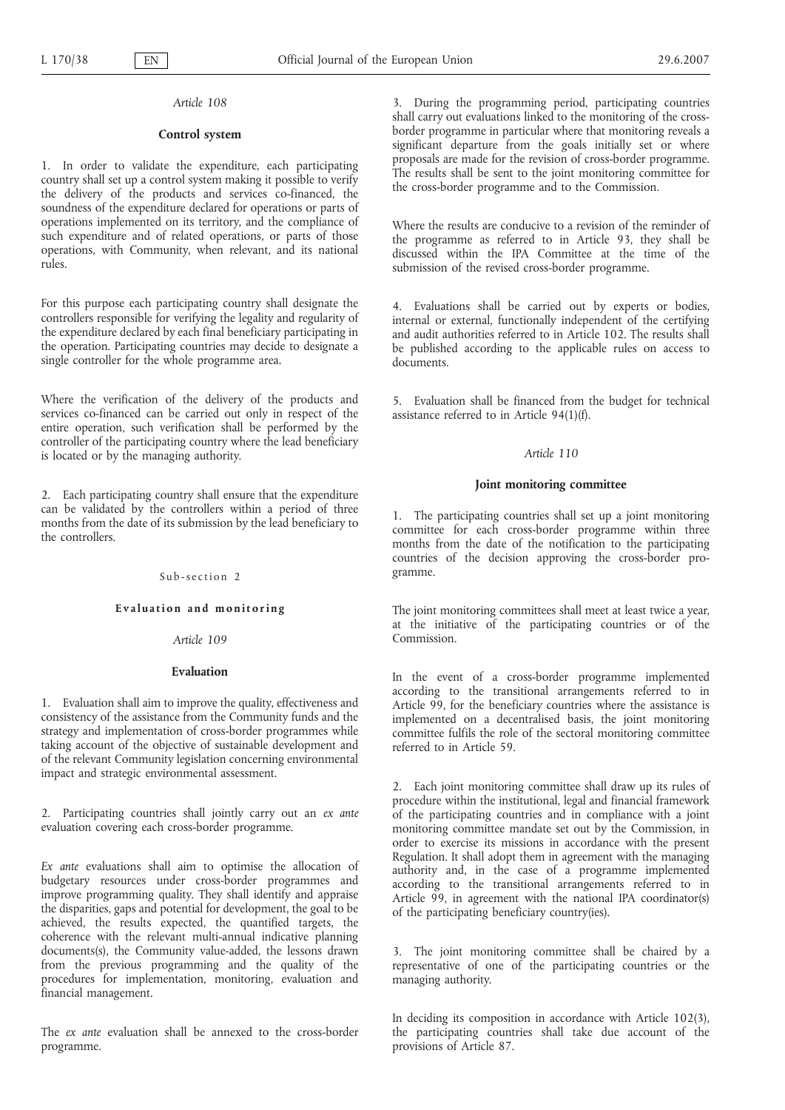# **Control system**

1. In order to validate the expenditure, each participating country shall set up a control system making it possible to verify the delivery of the products and services co-financed, the soundness of the expenditure declared for operations or parts of operations implemented on its territory, and the compliance of such expenditure and of related operations, or parts of those operations, with Community, when relevant, and its national rules.

For this purpose each participating country shall designate the controllers responsible for verifying the legality and regularity of the expenditure declared by each final beneficiary participating in the operation. Participating countries may decide to designate a single controller for the whole programme area.

Where the verification of the delivery of the products and services co-financed can be carried out only in respect of the entire operation, such verification shall be performed by the controller of the participating country where the lead beneficiary is located or by the managing authority.

2. Each participating country shall ensure that the expenditure can be validated by the controllers within a period of three months from the date of its submission by the lead beneficiary to the controllers.

#### Sub-section 2

### **Evaluation and monitoring**

### *Article 109*

#### **Evaluation**

1. Evaluation shall aim to improve the quality, effectiveness and consistency of the assistance from the Community funds and the strategy and implementation of cross-border programmes while taking account of the objective of sustainable development and of the relevant Community legislation concerning environmental impact and strategic environmental assessment.

2. Participating countries shall jointly carry out an *ex ante* evaluation covering each cross-border programme.

*Ex ante* evaluations shall aim to optimise the allocation of budgetary resources under cross-border programmes and improve programming quality. They shall identify and appraise the disparities, gaps and potential for development, the goal to be achieved, the results expected, the quantified targets, the coherence with the relevant multi-annual indicative planning documents(s), the Community value-added, the lessons drawn from the previous programming and the quality of the procedures for implementation, monitoring, evaluation and financial management.

The *ex ante* evaluation shall be annexed to the cross-border programme.

3. During the programming period, participating countries shall carry out evaluations linked to the monitoring of the crossborder programme in particular where that monitoring reveals a significant departure from the goals initially set or where proposals are made for the revision of cross-border programme. The results shall be sent to the joint monitoring committee for the cross-border programme and to the Commission.

Where the results are conducive to a revision of the reminder of the programme as referred to in Article 93, they shall be discussed within the IPA Committee at the time of the submission of the revised cross-border programme.

4. Evaluations shall be carried out by experts or bodies, internal or external, functionally independent of the certifying and audit authorities referred to in Article 102. The results shall be published according to the applicable rules on access to documents.

5. Evaluation shall be financed from the budget for technical assistance referred to in Article 94(1)(f).

### *Article 110*

#### **Joint monitoring committee**

1. The participating countries shall set up a joint monitoring committee for each cross-border programme within three months from the date of the notification to the participating countries of the decision approving the cross-border programme.

The joint monitoring committees shall meet at least twice a year, at the initiative of the participating countries or of the Commission.

In the event of a cross-border programme implemented according to the transitional arrangements referred to in Article 99, for the beneficiary countries where the assistance is implemented on a decentralised basis, the joint monitoring committee fulfils the role of the sectoral monitoring committee referred to in Article 59.

2. Each joint monitoring committee shall draw up its rules of procedure within the institutional, legal and financial framework of the participating countries and in compliance with a joint monitoring committee mandate set out by the Commission, in order to exercise its missions in accordance with the present Regulation. It shall adopt them in agreement with the managing authority and, in the case of a programme implemented according to the transitional arrangements referred to in Article 99, in agreement with the national IPA coordinator(s) of the participating beneficiary country(ies).

3. The joint monitoring committee shall be chaired by a representative of one of the participating countries or the managing authority.

In deciding its composition in accordance with Article 102(3), the participating countries shall take due account of the provisions of Article 87.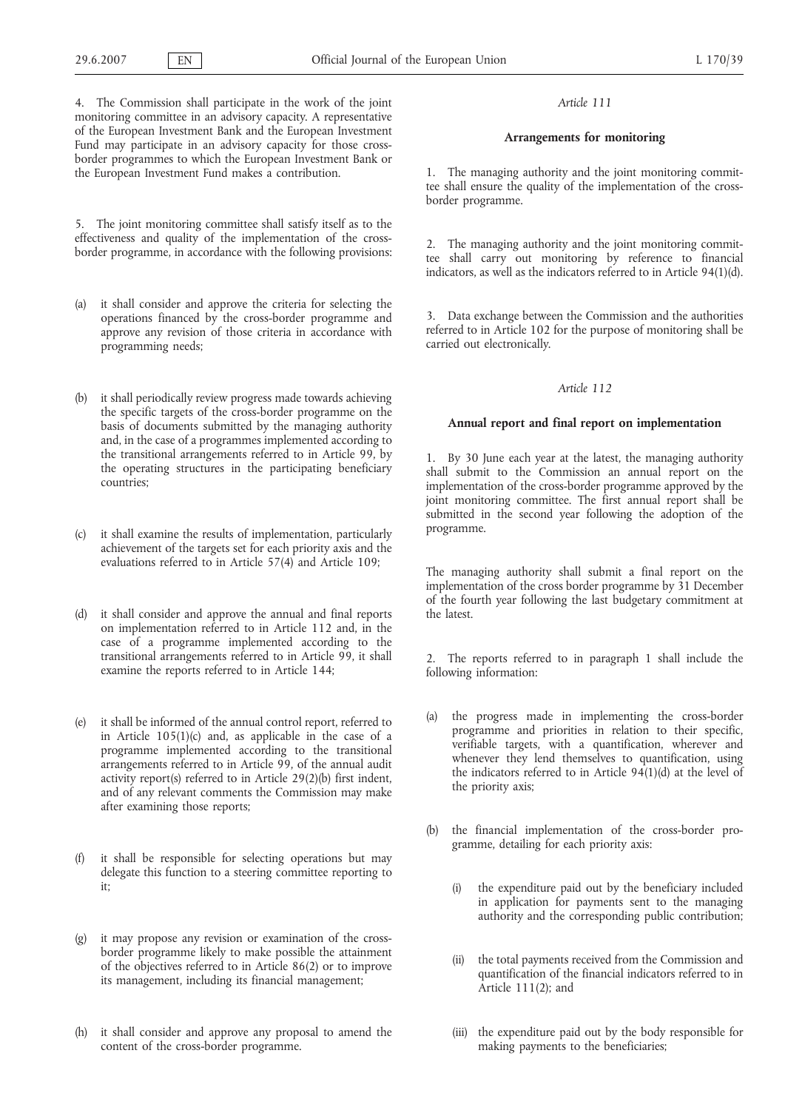4. The Commission shall participate in the work of the joint monitoring committee in an advisory capacity. A representative of the European Investment Bank and the European Investment Fund may participate in an advisory capacity for those crossborder programmes to which the European Investment Bank or the European Investment Fund makes a contribution.

5. The joint monitoring committee shall satisfy itself as to the effectiveness and quality of the implementation of the crossborder programme, in accordance with the following provisions:

- (a) it shall consider and approve the criteria for selecting the operations financed by the cross-border programme and approve any revision of those criteria in accordance with programming needs;
- (b) it shall periodically review progress made towards achieving the specific targets of the cross-border programme on the basis of documents submitted by the managing authority and, in the case of a programmes implemented according to the transitional arrangements referred to in Article 99, by the operating structures in the participating beneficiary countries;
- (c) it shall examine the results of implementation, particularly achievement of the targets set for each priority axis and the evaluations referred to in Article 57(4) and Article 109;
- (d) it shall consider and approve the annual and final reports on implementation referred to in Article 112 and, in the case of a programme implemented according to the transitional arrangements referred to in Article 99, it shall examine the reports referred to in Article 144;
- (e) it shall be informed of the annual control report, referred to in Article 105(1)(c) and, as applicable in the case of a programme implemented according to the transitional arrangements referred to in Article 99, of the annual audit activity report(s) referred to in Article 29(2)(b) first indent, and of any relevant comments the Commission may make after examining those reports;
- it shall be responsible for selecting operations but may delegate this function to a steering committee reporting to it;
- (g) it may propose any revision or examination of the crossborder programme likely to make possible the attainment of the objectives referred to in Article 86(2) or to improve its management, including its financial management;
- (h) it shall consider and approve any proposal to amend the content of the cross-border programme.

### *Article 111*

# **Arrangements for monitoring**

1. The managing authority and the joint monitoring committee shall ensure the quality of the implementation of the crossborder programme.

2. The managing authority and the joint monitoring committee shall carry out monitoring by reference to financial indicators, as well as the indicators referred to in Article 94(1)(d).

3. Data exchange between the Commission and the authorities referred to in Article 102 for the purpose of monitoring shall be carried out electronically.

#### *Article 112*

# **Annual report and final report on implementation**

1. By 30 June each year at the latest, the managing authority shall submit to the Commission an annual report on the implementation of the cross-border programme approved by the joint monitoring committee. The first annual report shall be submitted in the second year following the adoption of the programme.

The managing authority shall submit a final report on the implementation of the cross border programme by 31 December of the fourth year following the last budgetary commitment at the latest.

2. The reports referred to in paragraph 1 shall include the following information:

- (a) the progress made in implementing the cross-border programme and priorities in relation to their specific, verifiable targets, with a quantification, wherever and whenever they lend themselves to quantification, using the indicators referred to in Article  $94(1)(d)$  at the level of the priority axis;
- (b) the financial implementation of the cross-border programme, detailing for each priority axis:
	- (i) the expenditure paid out by the beneficiary included in application for payments sent to the managing authority and the corresponding public contribution;
	- (ii) the total payments received from the Commission and quantification of the financial indicators referred to in Article 111(2); and
	- (iii) the expenditure paid out by the body responsible for making payments to the beneficiaries;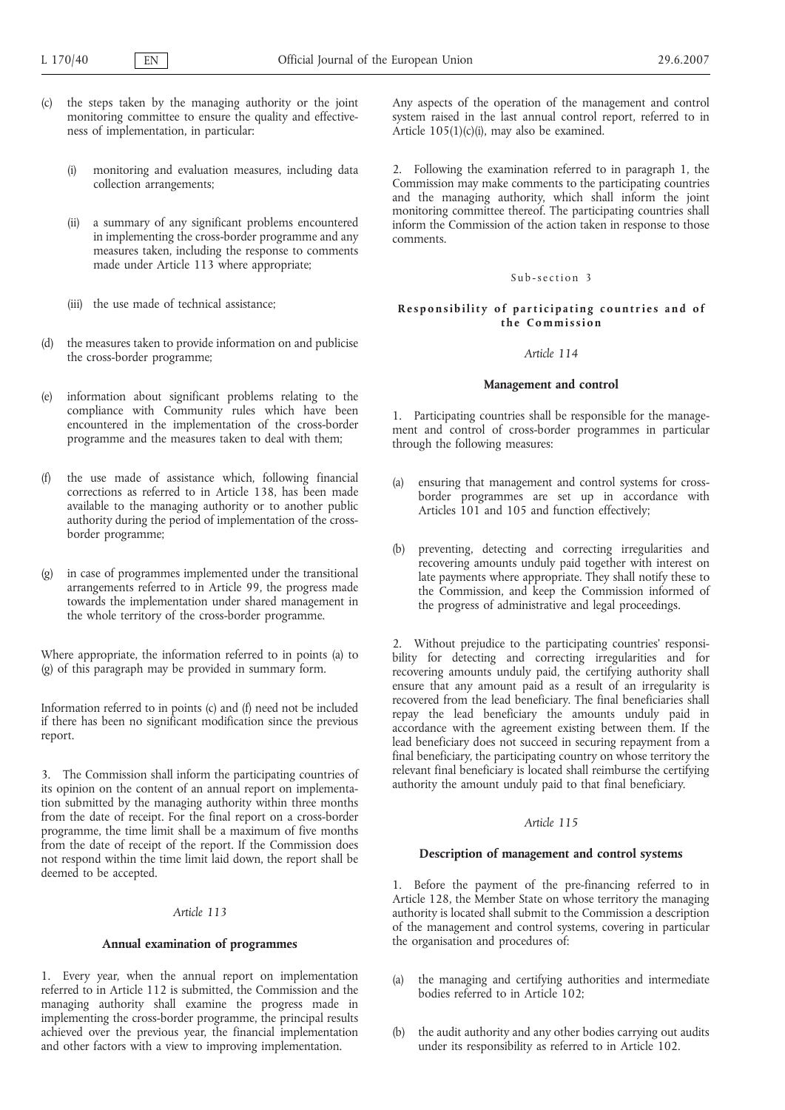- (c) the steps taken by the managing authority or the joint monitoring committee to ensure the quality and effectiveness of implementation, in particular:
	- (i) monitoring and evaluation measures, including data collection arrangements;
	- (ii) a summary of any significant problems encountered in implementing the cross-border programme and any measures taken, including the response to comments made under Article 113 where appropriate;
	- (iii) the use made of technical assistance;
- the measures taken to provide information on and publicise the cross-border programme;
- (e) information about significant problems relating to the compliance with Community rules which have been encountered in the implementation of the cross-border programme and the measures taken to deal with them;
- (f) the use made of assistance which, following financial corrections as referred to in Article 138, has been made available to the managing authority or to another public authority during the period of implementation of the crossborder programme;
- (g) in case of programmes implemented under the transitional arrangements referred to in Article 99, the progress made towards the implementation under shared management in the whole territory of the cross-border programme.

Where appropriate, the information referred to in points (a) to (g) of this paragraph may be provided in summary form.

Information referred to in points (c) and (f) need not be included if there has been no significant modification since the previous report.

3. The Commission shall inform the participating countries of its opinion on the content of an annual report on implementation submitted by the managing authority within three months from the date of receipt. For the final report on a cross-border programme, the time limit shall be a maximum of five months from the date of receipt of the report. If the Commission does not respond within the time limit laid down, the report shall be deemed to be accepted.

#### *Article 113*

# **Annual examination of programmes**

1. Every year, when the annual report on implementation referred to in Article 112 is submitted, the Commission and the managing authority shall examine the progress made in implementing the cross-border programme, the principal results achieved over the previous year, the financial implementation and other factors with a view to improving implementation.

Any aspects of the operation of the management and control system raised in the last annual control report, referred to in Article 105(1)(c)(i), may also be examined.

2. Following the examination referred to in paragraph 1, the Commission may make comments to the participating countries and the managing authority, which shall inform the joint monitoring committee thereof. The participating countries shall inform the Commission of the action taken in response to those comments.

#### Sub-section 3

### **Responsibility of participating countries and of the Commission**

# *Article 114*

#### **Management and control**

1. Participating countries shall be responsible for the management and control of cross-border programmes in particular through the following measures:

- (a) ensuring that management and control systems for crossborder programmes are set up in accordance with Articles 101 and 105 and function effectively;
- (b) preventing, detecting and correcting irregularities and recovering amounts unduly paid together with interest on late payments where appropriate. They shall notify these to the Commission, and keep the Commission informed of the progress of administrative and legal proceedings.

2. Without prejudice to the participating countries' responsibility for detecting and correcting irregularities and for recovering amounts unduly paid, the certifying authority shall ensure that any amount paid as a result of an irregularity is recovered from the lead beneficiary. The final beneficiaries shall repay the lead beneficiary the amounts unduly paid in accordance with the agreement existing between them. If the lead beneficiary does not succeed in securing repayment from a final beneficiary, the participating country on whose territory the relevant final beneficiary is located shall reimburse the certifying authority the amount unduly paid to that final beneficiary.

### *Article 115*

#### **Description of management and control systems**

1. Before the payment of the pre-financing referred to in Article 128, the Member State on whose territory the managing authority is located shall submit to the Commission a description of the management and control systems, covering in particular the organisation and procedures of:

- (a) the managing and certifying authorities and intermediate bodies referred to in Article 102;
- the audit authority and any other bodies carrying out audits under its responsibility as referred to in Article 102.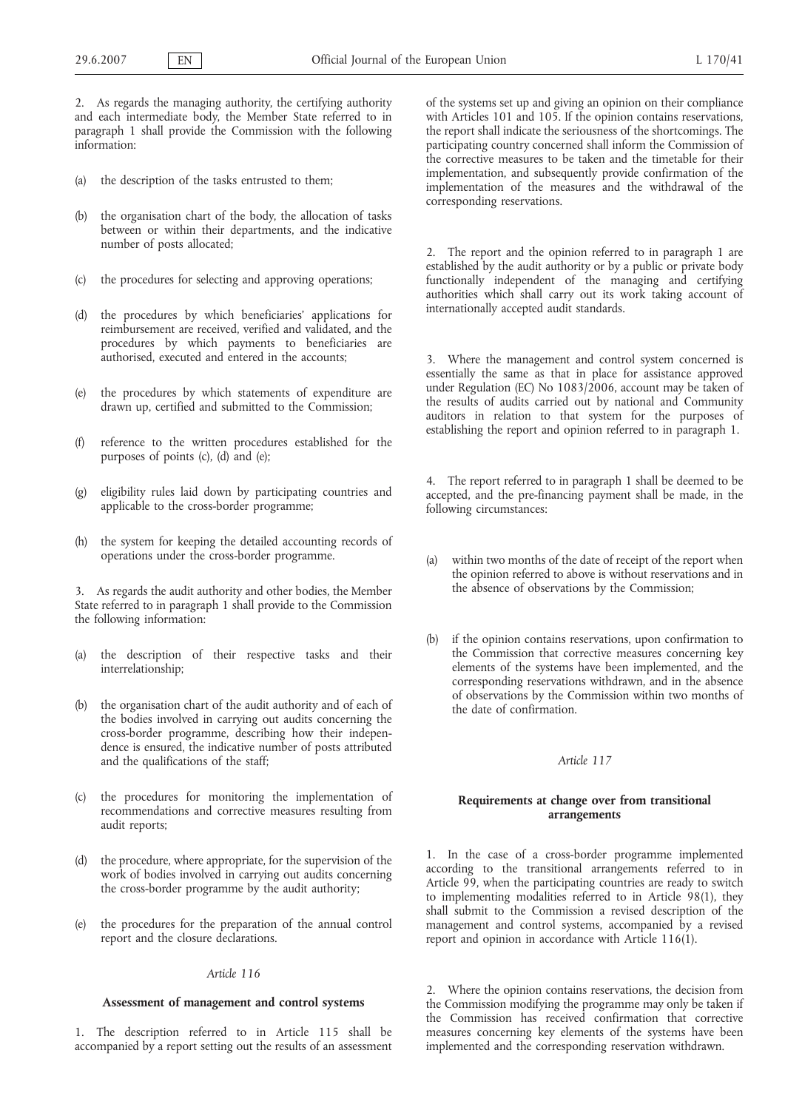2. As regards the managing authority, the certifying authority and each intermediate body, the Member State referred to in paragraph 1 shall provide the Commission with the following information:

- (a) the description of the tasks entrusted to them;
- (b) the organisation chart of the body, the allocation of tasks between or within their departments, and the indicative number of posts allocated;
- (c) the procedures for selecting and approving operations;
- (d) the procedures by which beneficiaries' applications for reimbursement are received, verified and validated, and the procedures by which payments to beneficiaries are authorised, executed and entered in the accounts;
- (e) the procedures by which statements of expenditure are drawn up, certified and submitted to the Commission;
- (f) reference to the written procedures established for the purposes of points (c), (d) and (e);
- (g) eligibility rules laid down by participating countries and applicable to the cross-border programme;
- (h) the system for keeping the detailed accounting records of operations under the cross-border programme.

3. As regards the audit authority and other bodies, the Member State referred to in paragraph 1 shall provide to the Commission the following information:

- (a) the description of their respective tasks and their interrelationship;
- (b) the organisation chart of the audit authority and of each of the bodies involved in carrying out audits concerning the cross-border programme, describing how their independence is ensured, the indicative number of posts attributed and the qualifications of the staff;
- (c) the procedures for monitoring the implementation of recommendations and corrective measures resulting from audit reports;
- (d) the procedure, where appropriate, for the supervision of the work of bodies involved in carrying out audits concerning the cross-border programme by the audit authority;
- (e) the procedures for the preparation of the annual control report and the closure declarations.

# *Article 116*

# **Assessment of management and control systems**

1. The description referred to in Article 115 shall be accompanied by a report setting out the results of an assessment of the systems set up and giving an opinion on their compliance with Articles 101 and 105. If the opinion contains reservations, the report shall indicate the seriousness of the shortcomings. The participating country concerned shall inform the Commission of the corrective measures to be taken and the timetable for their implementation, and subsequently provide confirmation of the implementation of the measures and the withdrawal of the corresponding reservations.

2. The report and the opinion referred to in paragraph 1 are established by the audit authority or by a public or private body functionally independent of the managing and certifying authorities which shall carry out its work taking account of internationally accepted audit standards.

3. Where the management and control system concerned is essentially the same as that in place for assistance approved under Regulation (EC) No 1083/2006, account may be taken of the results of audits carried out by national and Community auditors in relation to that system for the purposes of establishing the report and opinion referred to in paragraph 1.

4. The report referred to in paragraph 1 shall be deemed to be accepted, and the pre-financing payment shall be made, in the following circumstances:

- (a) within two months of the date of receipt of the report when the opinion referred to above is without reservations and in the absence of observations by the Commission;
- (b) if the opinion contains reservations, upon confirmation to the Commission that corrective measures concerning key elements of the systems have been implemented, and the corresponding reservations withdrawn, and in the absence of observations by the Commission within two months of the date of confirmation.

# *Article 117*

# **Requirements at change over from transitional arrangements**

1. In the case of a cross-border programme implemented according to the transitional arrangements referred to in Article 99, when the participating countries are ready to switch to implementing modalities referred to in Article 98(1), they shall submit to the Commission a revised description of the management and control systems, accompanied by a revised report and opinion in accordance with Article 116(1).

2. Where the opinion contains reservations, the decision from the Commission modifying the programme may only be taken if the Commission has received confirmation that corrective measures concerning key elements of the systems have been implemented and the corresponding reservation withdrawn.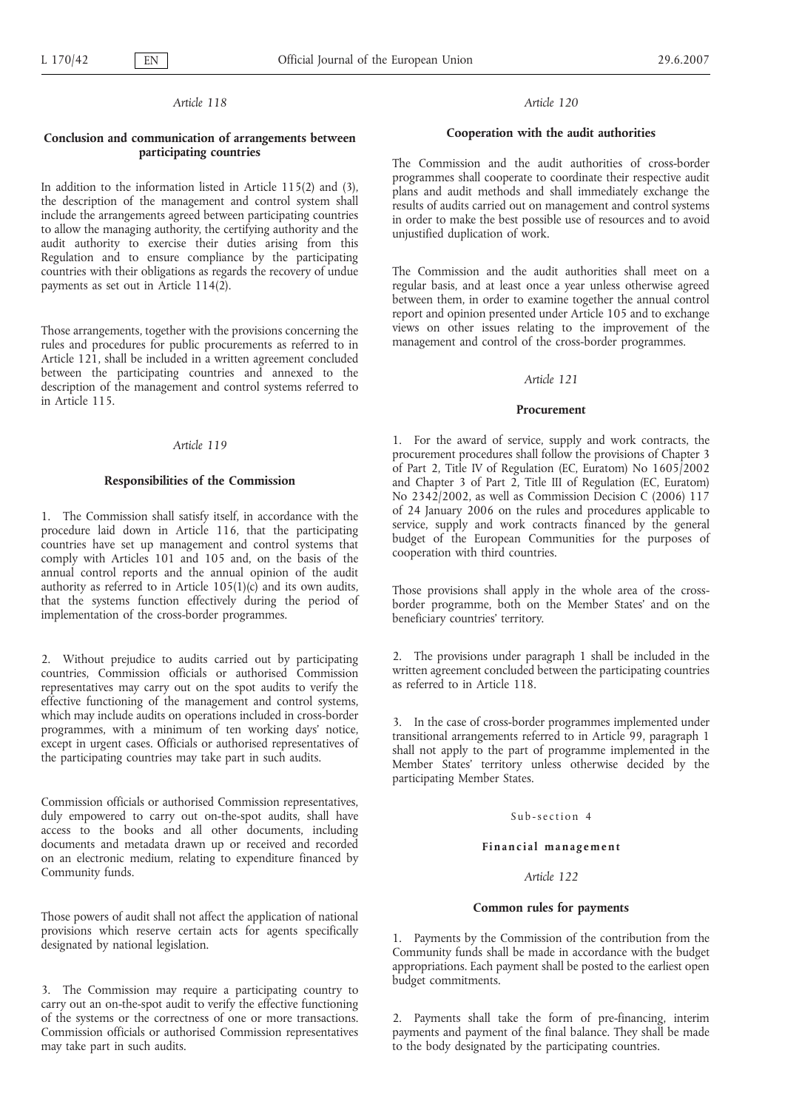# **Conclusion and communication of arrangements between participating countries**

In addition to the information listed in Article 115(2) and (3), the description of the management and control system shall include the arrangements agreed between participating countries to allow the managing authority, the certifying authority and the audit authority to exercise their duties arising from this Regulation and to ensure compliance by the participating countries with their obligations as regards the recovery of undue payments as set out in Article 114(2).

Those arrangements, together with the provisions concerning the rules and procedures for public procurements as referred to in Article 121, shall be included in a written agreement concluded between the participating countries and annexed to the description of the management and control systems referred to in Article 115.

#### *Article 119*

#### **Responsibilities of the Commission**

1. The Commission shall satisfy itself, in accordance with the procedure laid down in Article 116, that the participating countries have set up management and control systems that comply with Articles 101 and 105 and, on the basis of the annual control reports and the annual opinion of the audit authority as referred to in Article  $105(1)(c)$  and its own audits, that the systems function effectively during the period of implementation of the cross-border programmes.

2. Without prejudice to audits carried out by participating countries, Commission officials or authorised Commission representatives may carry out on the spot audits to verify the effective functioning of the management and control systems, which may include audits on operations included in cross-border programmes, with a minimum of ten working days' notice, except in urgent cases. Officials or authorised representatives of the participating countries may take part in such audits.

Commission officials or authorised Commission representatives, duly empowered to carry out on-the-spot audits, shall have access to the books and all other documents, including documents and metadata drawn up or received and recorded on an electronic medium, relating to expenditure financed by Community funds.

Those powers of audit shall not affect the application of national provisions which reserve certain acts for agents specifically designated by national legislation.

3. The Commission may require a participating country to carry out an on-the-spot audit to verify the effective functioning of the systems or the correctness of one or more transactions. Commission officials or authorised Commission representatives may take part in such audits.

#### *Article 120*

#### **Cooperation with the audit authorities**

The Commission and the audit authorities of cross-border programmes shall cooperate to coordinate their respective audit plans and audit methods and shall immediately exchange the results of audits carried out on management and control systems in order to make the best possible use of resources and to avoid unjustified duplication of work.

The Commission and the audit authorities shall meet on a regular basis, and at least once a year unless otherwise agreed between them, in order to examine together the annual control report and opinion presented under Article 105 and to exchange views on other issues relating to the improvement of the management and control of the cross-border programmes.

#### *Article 121*

#### **Procurement**

1. For the award of service, supply and work contracts, the procurement procedures shall follow the provisions of Chapter 3 of Part 2, Title IV of Regulation (EC, Euratom) No 1605/2002 and Chapter 3 of Part 2, Title III of Regulation (EC, Euratom) No 2342/2002, as well as Commission Decision C (2006) 117 of 24 January 2006 on the rules and procedures applicable to service, supply and work contracts financed by the general budget of the European Communities for the purposes of cooperation with third countries.

Those provisions shall apply in the whole area of the crossborder programme, both on the Member States' and on the beneficiary countries' territory.

2. The provisions under paragraph 1 shall be included in the written agreement concluded between the participating countries as referred to in Article 118.

3. In the case of cross-border programmes implemented under transitional arrangements referred to in Article 99, paragraph 1 shall not apply to the part of programme implemented in the Member States' territory unless otherwise decided by the participating Member States.

#### Sub-section 4

### **Financial management**

# *Article 122*

### **Common rules for payments**

1. Payments by the Commission of the contribution from the Community funds shall be made in accordance with the budget appropriations. Each payment shall be posted to the earliest open budget commitments.

2. Payments shall take the form of pre-financing, interim payments and payment of the final balance. They shall be made to the body designated by the participating countries.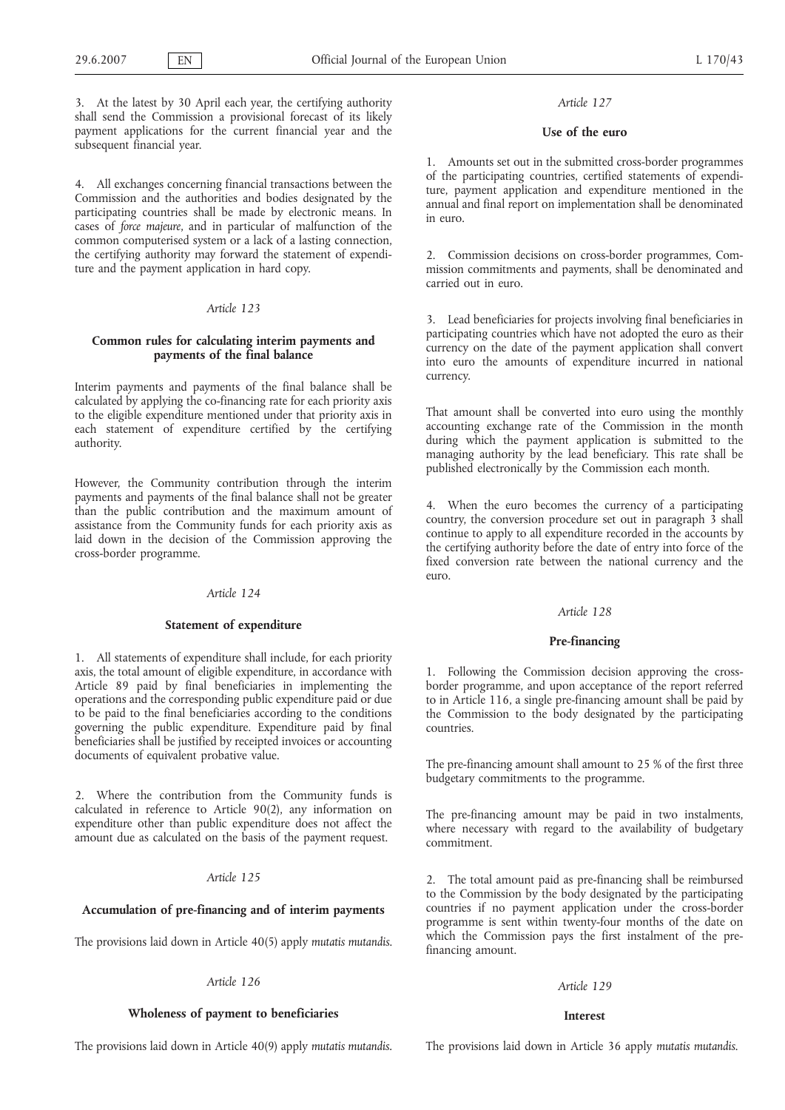3. At the latest by 30 April each year, the certifying authority shall send the Commission a provisional forecast of its likely payment applications for the current financial year and the subsequent financial year.

4. All exchanges concerning financial transactions between the Commission and the authorities and bodies designated by the participating countries shall be made by electronic means. In cases of *force majeure*, and in particular of malfunction of the common computerised system or a lack of a lasting connection, the certifying authority may forward the statement of expenditure and the payment application in hard copy.

### *Article 123*

## **Common rules for calculating interim payments and payments of the final balance**

Interim payments and payments of the final balance shall be calculated by applying the co-financing rate for each priority axis to the eligible expenditure mentioned under that priority axis in each statement of expenditure certified by the certifying authority.

However, the Community contribution through the interim payments and payments of the final balance shall not be greater than the public contribution and the maximum amount of assistance from the Community funds for each priority axis as laid down in the decision of the Commission approving the cross-border programme.

#### *Article 124*

### **Statement of expenditure**

1. All statements of expenditure shall include, for each priority axis, the total amount of eligible expenditure, in accordance with Article 89 paid by final beneficiaries in implementing the operations and the corresponding public expenditure paid or due to be paid to the final beneficiaries according to the conditions governing the public expenditure. Expenditure paid by final beneficiaries shall be justified by receipted invoices or accounting documents of equivalent probative value.

2. Where the contribution from the Community funds is calculated in reference to Article 90(2), any information on expenditure other than public expenditure does not affect the amount due as calculated on the basis of the payment request.

### *Article 125*

### **Accumulation of pre-financing and of interim payments**

The provisions laid down in Article 40(5) apply *mutatis mutandis*.

#### *Article 126*

# **Wholeness of payment to beneficiaries**

The provisions laid down in Article 40(9) apply *mutatis mutandis.*

### *Article 127*

### **Use of the euro**

1. Amounts set out in the submitted cross-border programmes of the participating countries, certified statements of expenditure, payment application and expenditure mentioned in the annual and final report on implementation shall be denominated in euro.

2. Commission decisions on cross-border programmes, Commission commitments and payments, shall be denominated and carried out in euro.

3. Lead beneficiaries for projects involving final beneficiaries in participating countries which have not adopted the euro as their currency on the date of the payment application shall convert into euro the amounts of expenditure incurred in national currency.

That amount shall be converted into euro using the monthly accounting exchange rate of the Commission in the month during which the payment application is submitted to the managing authority by the lead beneficiary. This rate shall be published electronically by the Commission each month.

4. When the euro becomes the currency of a participating country, the conversion procedure set out in paragraph 3 shall continue to apply to all expenditure recorded in the accounts by the certifying authority before the date of entry into force of the fixed conversion rate between the national currency and the  $P11TQ$ 

#### *Article 128*

## **Pre-financing**

1. Following the Commission decision approving the crossborder programme, and upon acceptance of the report referred to in Article 116, a single pre-financing amount shall be paid by the Commission to the body designated by the participating countries.

The pre-financing amount shall amount to 25 % of the first three budgetary commitments to the programme.

The pre-financing amount may be paid in two instalments, where necessary with regard to the availability of budgetary commitment.

2. The total amount paid as pre-financing shall be reimbursed to the Commission by the body designated by the participating countries if no payment application under the cross-border programme is sent within twenty-four months of the date on which the Commission pays the first instalment of the prefinancing amount.

# *Article 129*

#### **Interest**

The provisions laid down in Article 36 apply *mutatis mutandis*.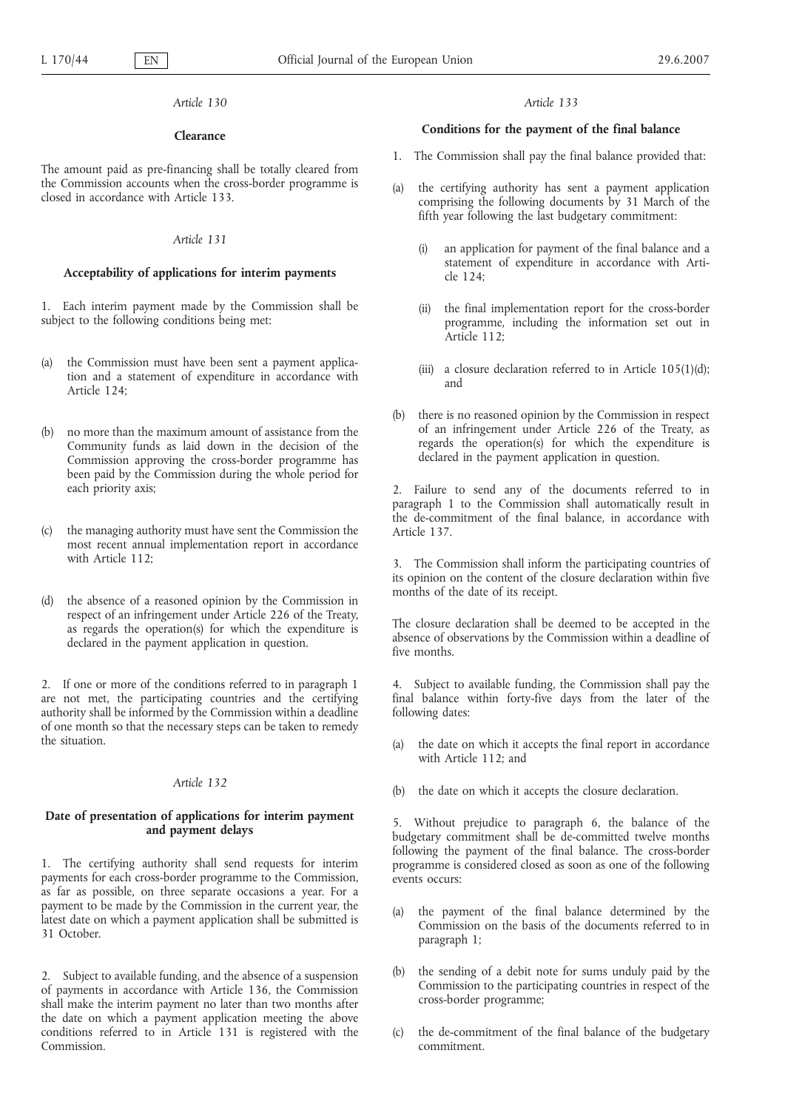### **Clearance**

The amount paid as pre-financing shall be totally cleared from the Commission accounts when the cross-border programme is closed in accordance with Article 133.

### *Article 131*

# **Acceptability of applications for interim payments**

1. Each interim payment made by the Commission shall be subject to the following conditions being met:

- (a) the Commission must have been sent a payment application and a statement of expenditure in accordance with Article 124;
- (b) no more than the maximum amount of assistance from the Community funds as laid down in the decision of the Commission approving the cross-border programme has been paid by the Commission during the whole period for each priority axis;
- (c) the managing authority must have sent the Commission the most recent annual implementation report in accordance with Article 112;
- (d) the absence of a reasoned opinion by the Commission in respect of an infringement under Article 226 of the Treaty, as regards the operation(s) for which the expenditure is declared in the payment application in question.

2. If one or more of the conditions referred to in paragraph 1 are not met, the participating countries and the certifying authority shall be informed by the Commission within a deadline of one month so that the necessary steps can be taken to remedy the situation.

#### *Article 132*

## **Date of presentation of applications for interim payment and payment delays**

1. The certifying authority shall send requests for interim payments for each cross-border programme to the Commission, as far as possible, on three separate occasions a year. For a payment to be made by the Commission in the current year, the latest date on which a payment application shall be submitted is 31 October.

2. Subject to available funding, and the absence of a suspension of payments in accordance with Article 136, the Commission shall make the interim payment no later than two months after the date on which a payment application meeting the above conditions referred to in Article 131 is registered with the Commission.

#### *Article 133*

### **Conditions for the payment of the final balance**

- 1. The Commission shall pay the final balance provided that:
- (a) the certifying authority has sent a payment application comprising the following documents by 31 March of the fifth year following the last budgetary commitment:
	- an application for payment of the final balance and a statement of expenditure in accordance with Article 124;
	- (ii) the final implementation report for the cross-border programme, including the information set out in Article 112;
	- (iii) a closure declaration referred to in Article 105(1)(d); and
- (b) there is no reasoned opinion by the Commission in respect of an infringement under Article 226 of the Treaty, as regards the operation(s) for which the expenditure is declared in the payment application in question.

2. Failure to send any of the documents referred to in paragraph 1 to the Commission shall automatically result in the de-commitment of the final balance, in accordance with Article 137.

3. The Commission shall inform the participating countries of its opinion on the content of the closure declaration within five months of the date of its receipt.

The closure declaration shall be deemed to be accepted in the absence of observations by the Commission within a deadline of five months.

4. Subject to available funding, the Commission shall pay the final balance within forty-five days from the later of the following dates:

- (a) the date on which it accepts the final report in accordance with Article 112; and
- (b) the date on which it accepts the closure declaration.

5. Without prejudice to paragraph 6, the balance of the budgetary commitment shall be de-committed twelve months following the payment of the final balance. The cross-border programme is considered closed as soon as one of the following events occurs:

- (a) the payment of the final balance determined by the Commission on the basis of the documents referred to in paragraph 1;
- (b) the sending of a debit note for sums unduly paid by the Commission to the participating countries in respect of the cross-border programme;
- (c) the de-commitment of the final balance of the budgetary commitment.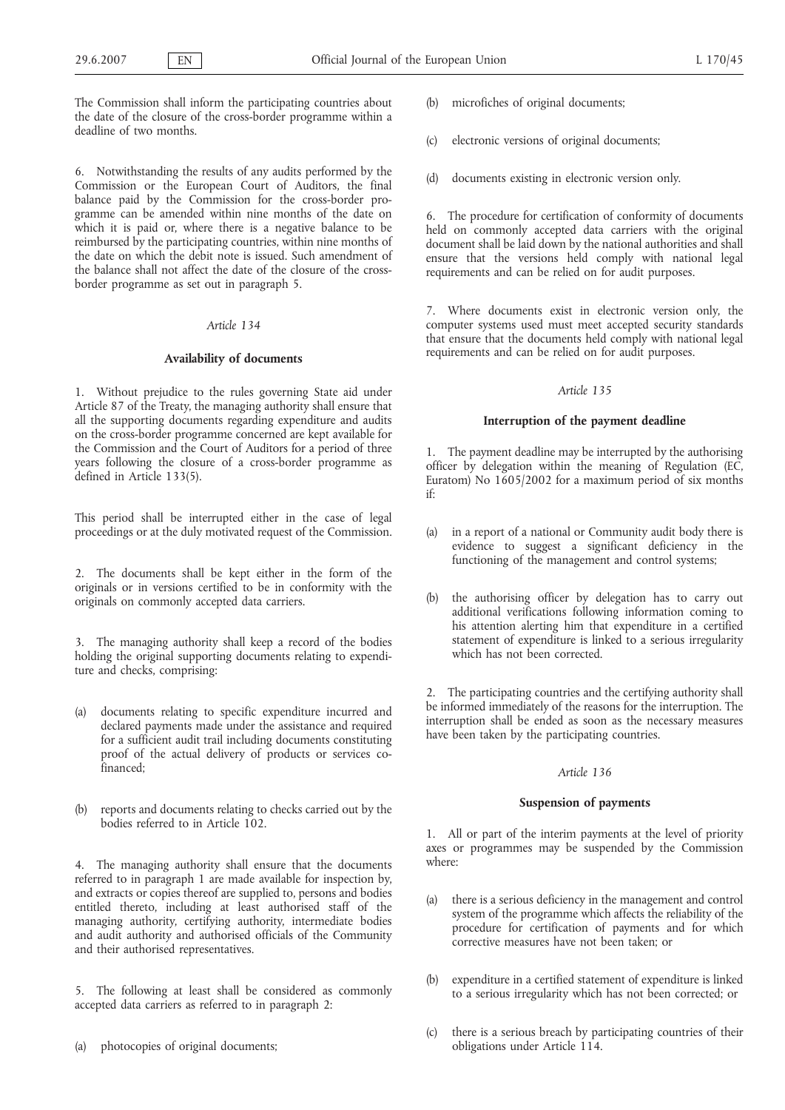The Commission shall inform the participating countries about the date of the closure of the cross-border programme within a deadline of two months.

6. Notwithstanding the results of any audits performed by the Commission or the European Court of Auditors, the final balance paid by the Commission for the cross-border programme can be amended within nine months of the date on which it is paid or, where there is a negative balance to be reimbursed by the participating countries, within nine months of the date on which the debit note is issued. Such amendment of the balance shall not affect the date of the closure of the crossborder programme as set out in paragraph 5.

# *Article 134*

### **Availability of documents**

1. Without prejudice to the rules governing State aid under Article 87 of the Treaty, the managing authority shall ensure that all the supporting documents regarding expenditure and audits on the cross-border programme concerned are kept available for the Commission and the Court of Auditors for a period of three years following the closure of a cross-border programme as defined in Article 133(5).

This period shall be interrupted either in the case of legal proceedings or at the duly motivated request of the Commission.

2. The documents shall be kept either in the form of the originals or in versions certified to be in conformity with the originals on commonly accepted data carriers.

3. The managing authority shall keep a record of the bodies holding the original supporting documents relating to expenditure and checks, comprising:

- (a) documents relating to specific expenditure incurred and declared payments made under the assistance and required for a sufficient audit trail including documents constituting proof of the actual delivery of products or services cofinanced;
- (b) reports and documents relating to checks carried out by the bodies referred to in Article 102.

4. The managing authority shall ensure that the documents referred to in paragraph 1 are made available for inspection by, and extracts or copies thereof are supplied to, persons and bodies entitled thereto, including at least authorised staff of the managing authority, certifying authority, intermediate bodies and audit authority and authorised officials of the Community and their authorised representatives.

5. The following at least shall be considered as commonly accepted data carriers as referred to in paragraph 2:

(a) photocopies of original documents;

- microfiches of original documents;
- (c) electronic versions of original documents;
- (d) documents existing in electronic version only.

6. The procedure for certification of conformity of documents held on commonly accepted data carriers with the original document shall be laid down by the national authorities and shall ensure that the versions held comply with national legal requirements and can be relied on for audit purposes.

7. Where documents exist in electronic version only, the computer systems used must meet accepted security standards that ensure that the documents held comply with national legal requirements and can be relied on for audit purposes.

#### *Article 135*

#### **Interruption of the payment deadline**

1. The payment deadline may be interrupted by the authorising officer by delegation within the meaning of Regulation (EC, Euratom) No 1605/2002 for a maximum period of six months if:

- (a) in a report of a national or Community audit body there is evidence to suggest a significant deficiency in the functioning of the management and control systems;
- (b) the authorising officer by delegation has to carry out additional verifications following information coming to his attention alerting him that expenditure in a certified statement of expenditure is linked to a serious irregularity which has not been corrected.

2. The participating countries and the certifying authority shall be informed immediately of the reasons for the interruption. The interruption shall be ended as soon as the necessary measures have been taken by the participating countries.

#### *Article 136*

### **Suspension of payments**

1. All or part of the interim payments at the level of priority axes or programmes may be suspended by the Commission where:

- (a) there is a serious deficiency in the management and control system of the programme which affects the reliability of the procedure for certification of payments and for which corrective measures have not been taken; or
- (b) expenditure in a certified statement of expenditure is linked to a serious irregularity which has not been corrected; or
- (c) there is a serious breach by participating countries of their obligations under Article 114.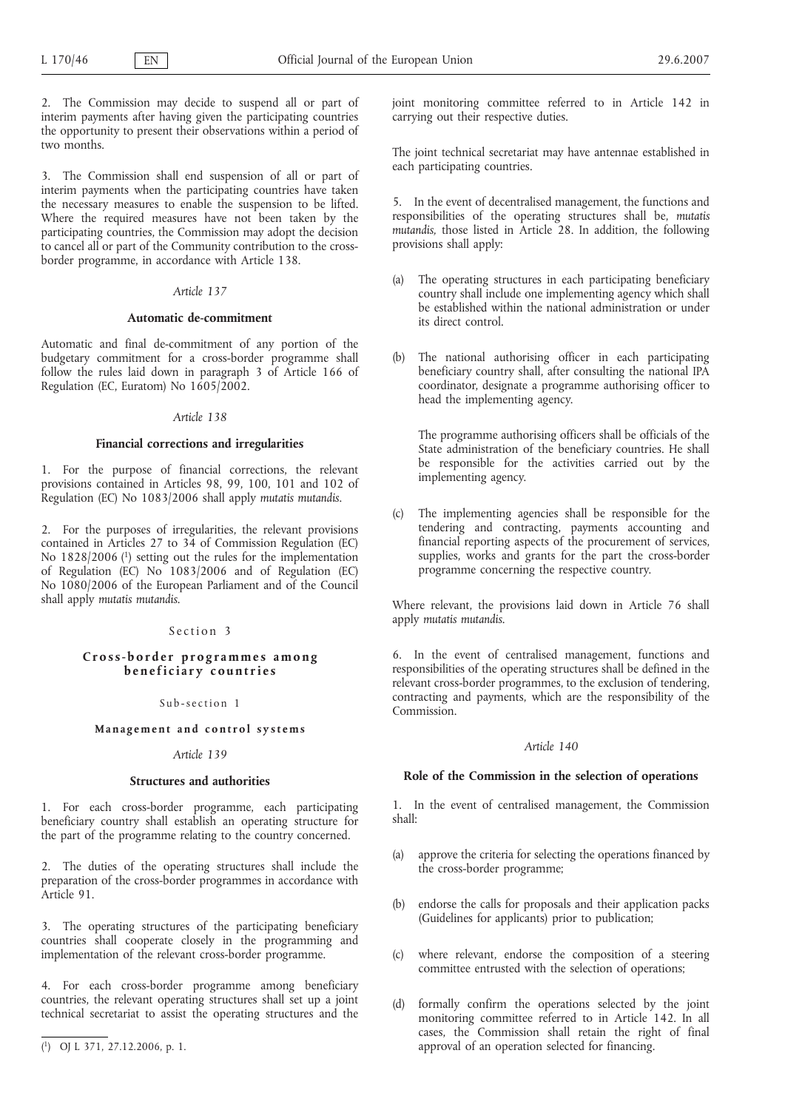2. The Commission may decide to suspend all or part of interim payments after having given the participating countries the opportunity to present their observations within a period of two months.

3. The Commission shall end suspension of all or part of interim payments when the participating countries have taken the necessary measures to enable the suspension to be lifted. Where the required measures have not been taken by the participating countries, the Commission may adopt the decision to cancel all or part of the Community contribution to the crossborder programme, in accordance with Article 138.

### *Article 137*

### **Automatic de-commitment**

Automatic and final de-commitment of any portion of the budgetary commitment for a cross-border programme shall follow the rules laid down in paragraph 3 of Article 166 of Regulation (EC, Euratom) No 1605/2002.

#### *Article 138*

### **Financial corrections and irregularities**

1. For the purpose of financial corrections, the relevant provisions contained in Articles 98, 99, 100, 101 and 102 of Regulation (EC) No 1083/2006 shall apply *mutatis mutandis*.

2. For the purposes of irregularities, the relevant provisions contained in Articles 27 to 34 of Commission Regulation (EC) No 1828/2006 (1) setting out the rules for the implementation of Regulation (EC) No 1083/2006 and of Regulation (EC) No 1080/2006 of the European Parliament and of the Council shall apply *mutatis mutandis*.

## Section 3

# **Cross-border programmes among beneficiary countries**

Sub-section 1

# **Management and control systems**

#### *Article 139*

### **Structures and authorities**

1. For each cross-border programme, each participating beneficiary country shall establish an operating structure for the part of the programme relating to the country concerned.

2. The duties of the operating structures shall include the preparation of the cross-border programmes in accordance with Article 91.

3. The operating structures of the participating beneficiary countries shall cooperate closely in the programming and implementation of the relevant cross-border programme.

4. For each cross-border programme among beneficiary countries, the relevant operating structures shall set up a joint technical secretariat to assist the operating structures and the

joint monitoring committee referred to in Article 142 in carrying out their respective duties.

The joint technical secretariat may have antennae established in each participating countries.

5. In the event of decentralised management, the functions and responsibilities of the operating structures shall be, *mutatis mutandis,* those listed in Article 28. In addition, the following provisions shall apply:

- (a) The operating structures in each participating beneficiary country shall include one implementing agency which shall be established within the national administration or under its direct control.
- (b) The national authorising officer in each participating beneficiary country shall, after consulting the national IPA coordinator, designate a programme authorising officer to head the implementing agency.

The programme authorising officers shall be officials of the State administration of the beneficiary countries. He shall be responsible for the activities carried out by the implementing agency.

(c) The implementing agencies shall be responsible for the tendering and contracting, payments accounting and financial reporting aspects of the procurement of services, supplies, works and grants for the part the cross-border programme concerning the respective country.

Where relevant, the provisions laid down in Article 76 shall apply *mutatis mutandis*.

6. In the event of centralised management, functions and responsibilities of the operating structures shall be defined in the relevant cross-border programmes, to the exclusion of tendering, contracting and payments, which are the responsibility of the Commission.

# *Article 140*

### **Role of the Commission in the selection of operations**

1. In the event of centralised management, the Commission shall:

- (a) approve the criteria for selecting the operations financed by the cross-border programme;
- (b) endorse the calls for proposals and their application packs (Guidelines for applicants) prior to publication;
- (c) where relevant, endorse the composition of a steering committee entrusted with the selection of operations;
- (d) formally confirm the operations selected by the joint monitoring committee referred to in Article 142. In all cases, the Commission shall retain the right of final approval of an operation selected for financing.

<sup>(</sup> 1) OJ L 371, 27.12.2006, p. 1.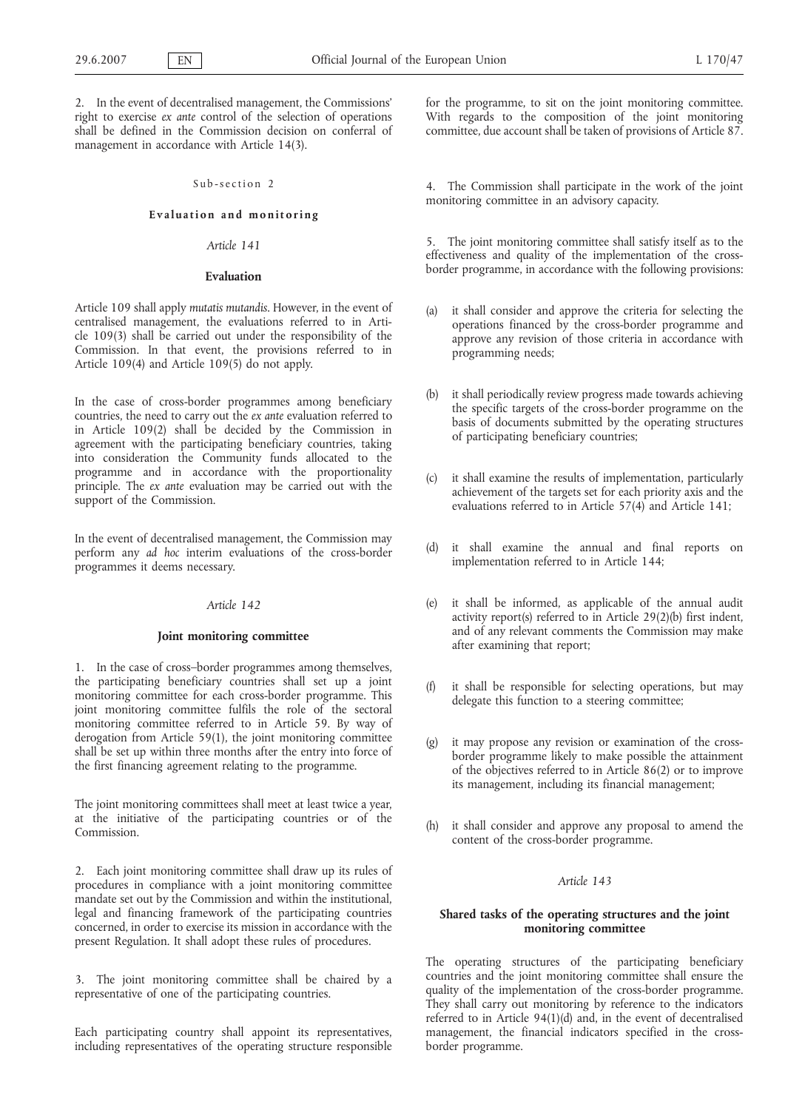2. In the event of decentralised management, the Commissions' right to exercise *ex ante* control of the selection of operations shall be defined in the Commission decision on conferral of management in accordance with Article 14(3).

## Sub-section 2

# **Evaluation and monitoring**

# *Article 141*

#### **Evaluation**

Article 109 shall apply *mutatis mutandis*. However, in the event of centralised management, the evaluations referred to in Article 109(3) shall be carried out under the responsibility of the Commission. In that event, the provisions referred to in Article 109(4) and Article 109(5) do not apply.

In the case of cross-border programmes among beneficiary countries, the need to carry out the *ex ante* evaluation referred to in Article 109(2) shall be decided by the Commission in agreement with the participating beneficiary countries, taking into consideration the Community funds allocated to the programme and in accordance with the proportionality principle. The *ex ante* evaluation may be carried out with the support of the Commission.

In the event of decentralised management, the Commission may perform any *ad hoc* interim evaluations of the cross-border programmes it deems necessary.

#### *Article 142*

#### **Joint monitoring committee**

1. In the case of cross–border programmes among themselves, the participating beneficiary countries shall set up a joint monitoring committee for each cross-border programme. This joint monitoring committee fulfils the role of the sectoral monitoring committee referred to in Article 59. By way of derogation from Article 59(1), the joint monitoring committee shall be set up within three months after the entry into force of the first financing agreement relating to the programme.

The joint monitoring committees shall meet at least twice a year, at the initiative of the participating countries or of the Commission.

2. Each joint monitoring committee shall draw up its rules of procedures in compliance with a joint monitoring committee mandate set out by the Commission and within the institutional, legal and financing framework of the participating countries concerned, in order to exercise its mission in accordance with the present Regulation. It shall adopt these rules of procedures.

3. The joint monitoring committee shall be chaired by a representative of one of the participating countries.

Each participating country shall appoint its representatives, including representatives of the operating structure responsible for the programme, to sit on the joint monitoring committee. With regards to the composition of the joint monitoring committee, due account shall be taken of provisions of Article 87.

4. The Commission shall participate in the work of the joint monitoring committee in an advisory capacity.

5. The joint monitoring committee shall satisfy itself as to the effectiveness and quality of the implementation of the crossborder programme, in accordance with the following provisions:

- (a) it shall consider and approve the criteria for selecting the operations financed by the cross-border programme and approve any revision of those criteria in accordance with programming needs;
- (b) it shall periodically review progress made towards achieving the specific targets of the cross-border programme on the basis of documents submitted by the operating structures of participating beneficiary countries;
- (c) it shall examine the results of implementation, particularly achievement of the targets set for each priority axis and the evaluations referred to in Article 57(4) and Article 141;
- (d) it shall examine the annual and final reports on implementation referred to in Article 144;
- (e) it shall be informed, as applicable of the annual audit activity report(s) referred to in Article 29(2)(b) first indent, and of any relevant comments the Commission may make after examining that report;
- (f) it shall be responsible for selecting operations, but may delegate this function to a steering committee;
- (g) it may propose any revision or examination of the crossborder programme likely to make possible the attainment of the objectives referred to in Article 86(2) or to improve its management, including its financial management;
- (h) it shall consider and approve any proposal to amend the content of the cross-border programme.

# *Article 143*

# **Shared tasks of the operating structures and the joint monitoring committee**

The operating structures of the participating beneficiary countries and the joint monitoring committee shall ensure the quality of the implementation of the cross-border programme. They shall carry out monitoring by reference to the indicators referred to in Article 94(1)(d) and, in the event of decentralised management, the financial indicators specified in the crossborder programme.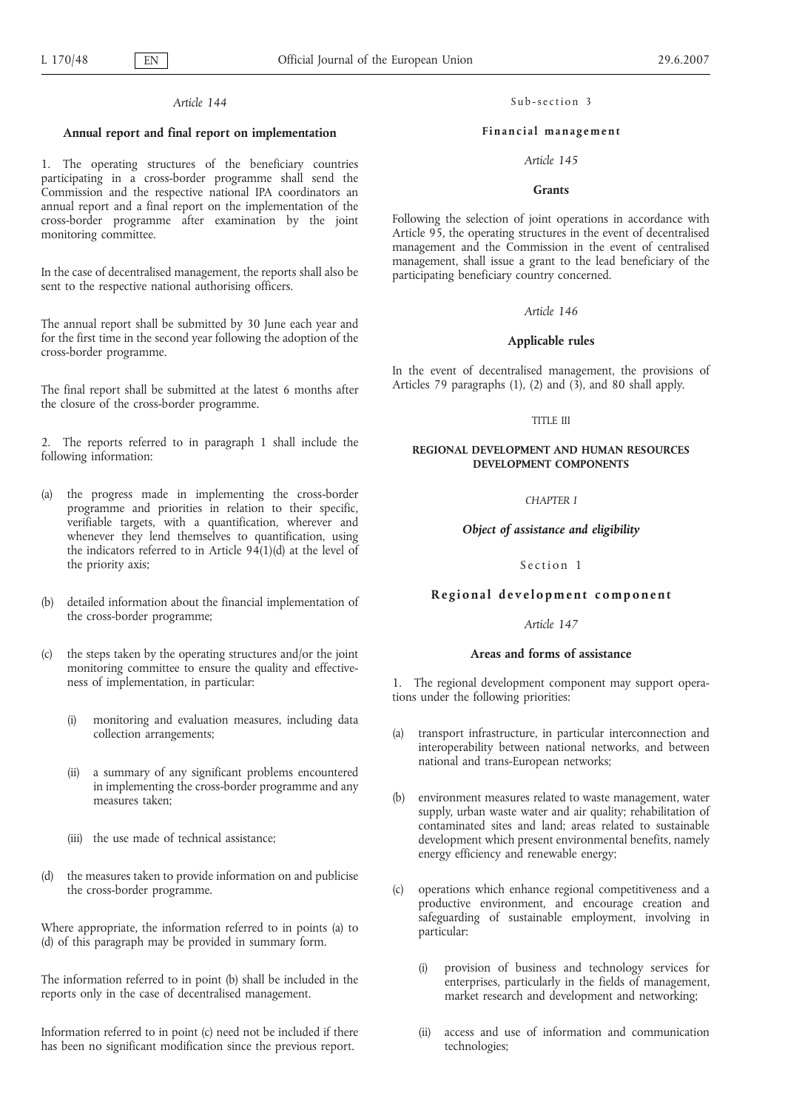#### **Annual report and final report on implementation**

1. The operating structures of the beneficiary countries participating in a cross-border programme shall send the Commission and the respective national IPA coordinators an annual report and a final report on the implementation of the cross-border programme after examination by the joint monitoring committee.

In the case of decentralised management, the reports shall also be sent to the respective national authorising officers.

The annual report shall be submitted by 30 June each year and for the first time in the second year following the adoption of the cross-border programme.

The final report shall be submitted at the latest 6 months after the closure of the cross-border programme.

2. The reports referred to in paragraph 1 shall include the following information:

- (a) the progress made in implementing the cross-border programme and priorities in relation to their specific, verifiable targets, with a quantification, wherever and whenever they lend themselves to quantification, using the indicators referred to in Article  $94(1)(d)$  at the level of the priority axis;
- (b) detailed information about the financial implementation of the cross-border programme;
- the steps taken by the operating structures and/or the joint monitoring committee to ensure the quality and effectiveness of implementation, in particular:
	- (i) monitoring and evaluation measures, including data collection arrangements;
	- (ii) a summary of any significant problems encountered in implementing the cross-border programme and any measures taken;
	- (iii) the use made of technical assistance;
- (d) the measures taken to provide information on and publicise the cross-border programme.

Where appropriate, the information referred to in points (a) to (d) of this paragraph may be provided in summary form.

The information referred to in point (b) shall be included in the reports only in the case of decentralised management.

Information referred to in point (c) need not be included if there has been no significant modification since the previous report.

Sub-section 3

#### **Financial management**

### *Article 145*

### **Grants**

Following the selection of joint operations in accordance with Article 95, the operating structures in the event of decentralised management and the Commission in the event of centralised management, shall issue a grant to the lead beneficiary of the participating beneficiary country concerned.

# *Article 146*

# **Applicable rules**

In the event of decentralised management, the provisions of Articles 79 paragraphs (1), (2) and (3), and 80 shall apply.

#### TITLE III

### **REGIONAL DEVELOPMENT AND HUMAN RESOURCES DEVELOPMENT COMPONENTS**

# *CHAPTER I*

#### *Object of assistance and eligibility*

#### Section 1

#### **Regional development component**

#### *Article 147*

### **Areas and forms of assistance**

1. The regional development component may support operations under the following priorities:

- (a) transport infrastructure, in particular interconnection and interoperability between national networks, and between national and trans-European networks;
- (b) environment measures related to waste management, water supply, urban waste water and air quality; rehabilitation of contaminated sites and land; areas related to sustainable development which present environmental benefits, namely energy efficiency and renewable energy;
- (c) operations which enhance regional competitiveness and a productive environment, and encourage creation and safeguarding of sustainable employment, involving in particular:
	- (i) provision of business and technology services for enterprises, particularly in the fields of management, market research and development and networking;
	- (ii) access and use of information and communication technologies;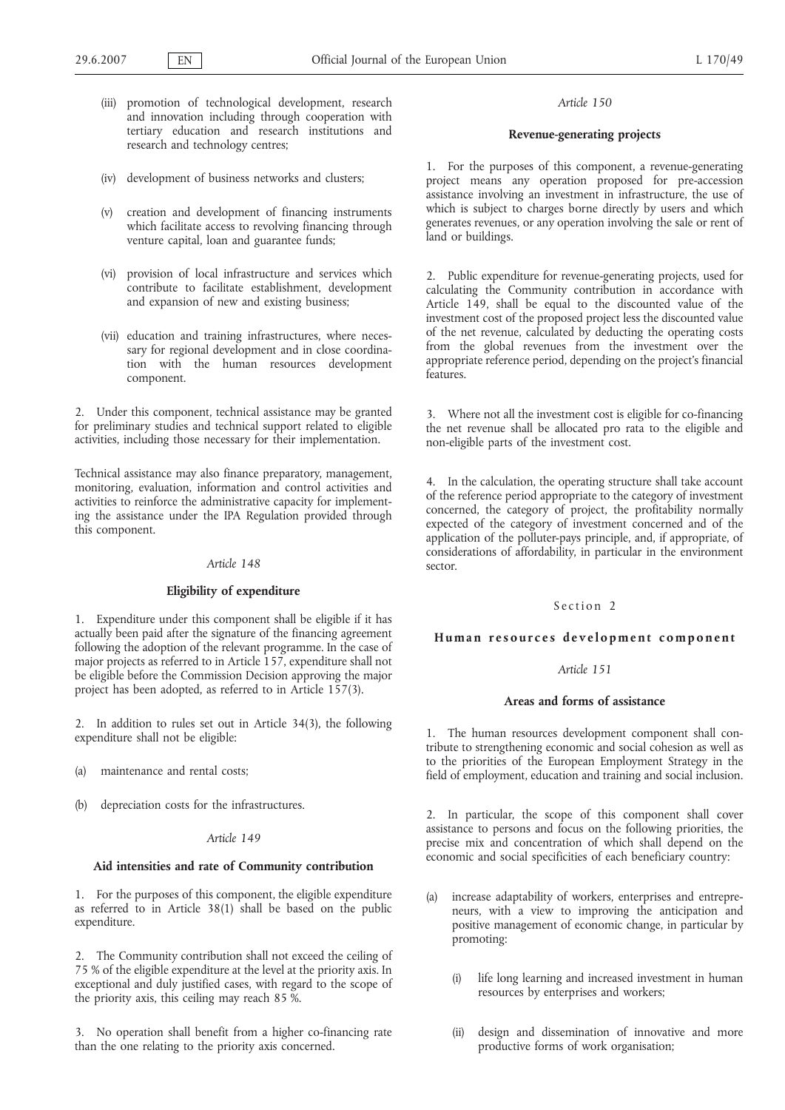- (iii) promotion of technological development, research and innovation including through cooperation with tertiary education and research institutions and research and technology centres;
- (iv) development of business networks and clusters;
- (v) creation and development of financing instruments which facilitate access to revolving financing through venture capital, loan and guarantee funds;
- (vi) provision of local infrastructure and services which contribute to facilitate establishment, development and expansion of new and existing business;
- (vii) education and training infrastructures, where necessary for regional development and in close coordination with the human resources development component.

2. Under this component, technical assistance may be granted for preliminary studies and technical support related to eligible activities, including those necessary for their implementation.

Technical assistance may also finance preparatory, management, monitoring, evaluation, information and control activities and activities to reinforce the administrative capacity for implementing the assistance under the IPA Regulation provided through this component.

### *Article 148*

#### **Eligibility of expenditure**

1. Expenditure under this component shall be eligible if it has actually been paid after the signature of the financing agreement following the adoption of the relevant programme. In the case of major projects as referred to in Article 157, expenditure shall not be eligible before the Commission Decision approving the major project has been adopted, as referred to in Article 157(3).

2. In addition to rules set out in Article 34(3), the following expenditure shall not be eligible:

- (a) maintenance and rental costs;
- (b) depreciation costs for the infrastructures.

### *Article 149*

### **Aid intensities and rate of Community contribution**

1. For the purposes of this component, the eligible expenditure as referred to in Article 38(1) shall be based on the public expenditure.

2. The Community contribution shall not exceed the ceiling of 75 % of the eligible expenditure at the level at the priority axis. In exceptional and duly justified cases, with regard to the scope of the priority axis, this ceiling may reach 85 %.

3. No operation shall benefit from a higher co-financing rate than the one relating to the priority axis concerned.

### *Article 150*

#### **Revenue-generating projects**

1. For the purposes of this component, a revenue-generating project means any operation proposed for pre-accession assistance involving an investment in infrastructure, the use of which is subject to charges borne directly by users and which generates revenues, or any operation involving the sale or rent of land or buildings.

2. Public expenditure for revenue-generating projects, used for calculating the Community contribution in accordance with Article 149, shall be equal to the discounted value of the investment cost of the proposed project less the discounted value of the net revenue, calculated by deducting the operating costs from the global revenues from the investment over the appropriate reference period, depending on the project's financial features.

3. Where not all the investment cost is eligible for co-financing the net revenue shall be allocated pro rata to the eligible and non-eligible parts of the investment cost.

4. In the calculation, the operating structure shall take account of the reference period appropriate to the category of investment concerned, the category of project, the profitability normally expected of the category of investment concerned and of the application of the polluter-pays principle, and, if appropriate, of considerations of affordability, in particular in the environment sector.

### Section 2

# **Human resources development component**

## *Article 151*

# **Areas and forms of assistance**

1. The human resources development component shall contribute to strengthening economic and social cohesion as well as to the priorities of the European Employment Strategy in the field of employment, education and training and social inclusion.

2. In particular, the scope of this component shall cover assistance to persons and focus on the following priorities, the precise mix and concentration of which shall depend on the economic and social specificities of each beneficiary country:

- (a) increase adaptability of workers, enterprises and entrepreneurs, with a view to improving the anticipation and positive management of economic change, in particular by promoting:
	- (i) life long learning and increased investment in human resources by enterprises and workers;
	- design and dissemination of innovative and more productive forms of work organisation;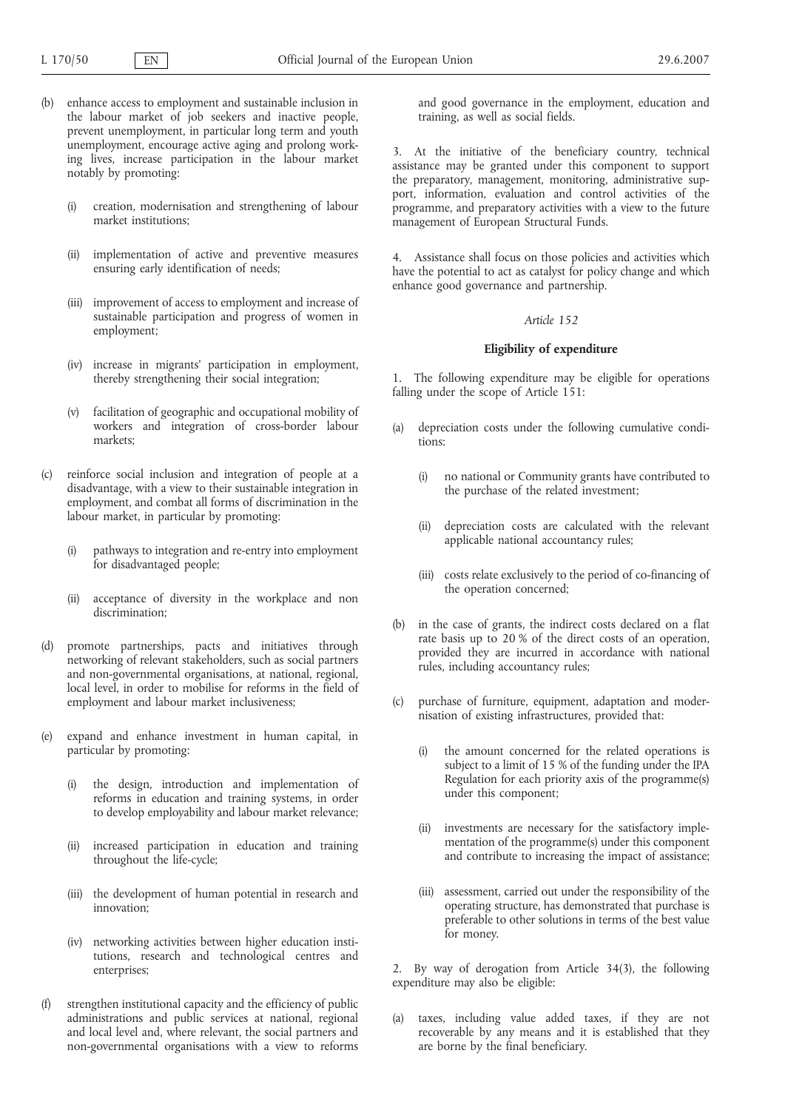- (b) enhance access to employment and sustainable inclusion in the labour market of job seekers and inactive people, prevent unemployment, in particular long term and youth unemployment, encourage active aging and prolong working lives, increase participation in the labour market notably by promoting:
	- (i) creation, modernisation and strengthening of labour market institutions;
	- (ii) implementation of active and preventive measures ensuring early identification of needs;
	- (iii) improvement of access to employment and increase of sustainable participation and progress of women in employment;
	- (iv) increase in migrants' participation in employment, thereby strengthening their social integration;
	- (v) facilitation of geographic and occupational mobility of workers and integration of cross-border labour markets;
- (c) reinforce social inclusion and integration of people at a disadvantage, with a view to their sustainable integration in employment, and combat all forms of discrimination in the labour market, in particular by promoting:
	- (i) pathways to integration and re-entry into employment for disadvantaged people;
	- (ii) acceptance of diversity in the workplace and non discrimination;
- (d) promote partnerships, pacts and initiatives through networking of relevant stakeholders, such as social partners and non-governmental organisations, at national, regional, local level, in order to mobilise for reforms in the field of employment and labour market inclusiveness;
- (e) expand and enhance investment in human capital, in particular by promoting:
	- (i) the design, introduction and implementation of reforms in education and training systems, in order to develop employability and labour market relevance;
	- (ii) increased participation in education and training throughout the life-cycle;
	- (iii) the development of human potential in research and innovation;
	- (iv) networking activities between higher education institutions, research and technological centres and enterprises;
- (f) strengthen institutional capacity and the efficiency of public administrations and public services at national, regional and local level and, where relevant, the social partners and non-governmental organisations with a view to reforms

and good governance in the employment, education and training, as well as social fields.

3. At the initiative of the beneficiary country, technical assistance may be granted under this component to support the preparatory, management, monitoring, administrative support, information, evaluation and control activities of the programme, and preparatory activities with a view to the future management of European Structural Funds.

4. Assistance shall focus on those policies and activities which have the potential to act as catalyst for policy change and which enhance good governance and partnership.

### *Article 152*

### **Eligibility of expenditure**

1. The following expenditure may be eligible for operations falling under the scope of Article 151:

- (a) depreciation costs under the following cumulative conditions:
	- (i) no national or Community grants have contributed to the purchase of the related investment;
	- (ii) depreciation costs are calculated with the relevant applicable national accountancy rules;
	- (iii) costs relate exclusively to the period of co-financing of the operation concerned;
- (b) in the case of grants, the indirect costs declared on a flat rate basis up to 20 % of the direct costs of an operation, provided they are incurred in accordance with national rules, including accountancy rules;
- (c) purchase of furniture, equipment, adaptation and modernisation of existing infrastructures, provided that:
	- (i) the amount concerned for the related operations is subject to a limit of 15 % of the funding under the IPA Regulation for each priority axis of the programme(s) under this component;
	- (ii) investments are necessary for the satisfactory implementation of the programme(s) under this component and contribute to increasing the impact of assistance;
	- (iii) assessment, carried out under the responsibility of the operating structure, has demonstrated that purchase is preferable to other solutions in terms of the best value for money.

2. By way of derogation from Article 34(3), the following expenditure may also be eligible:

(a) taxes, including value added taxes, if they are not recoverable by any means and it is established that they are borne by the final beneficiary.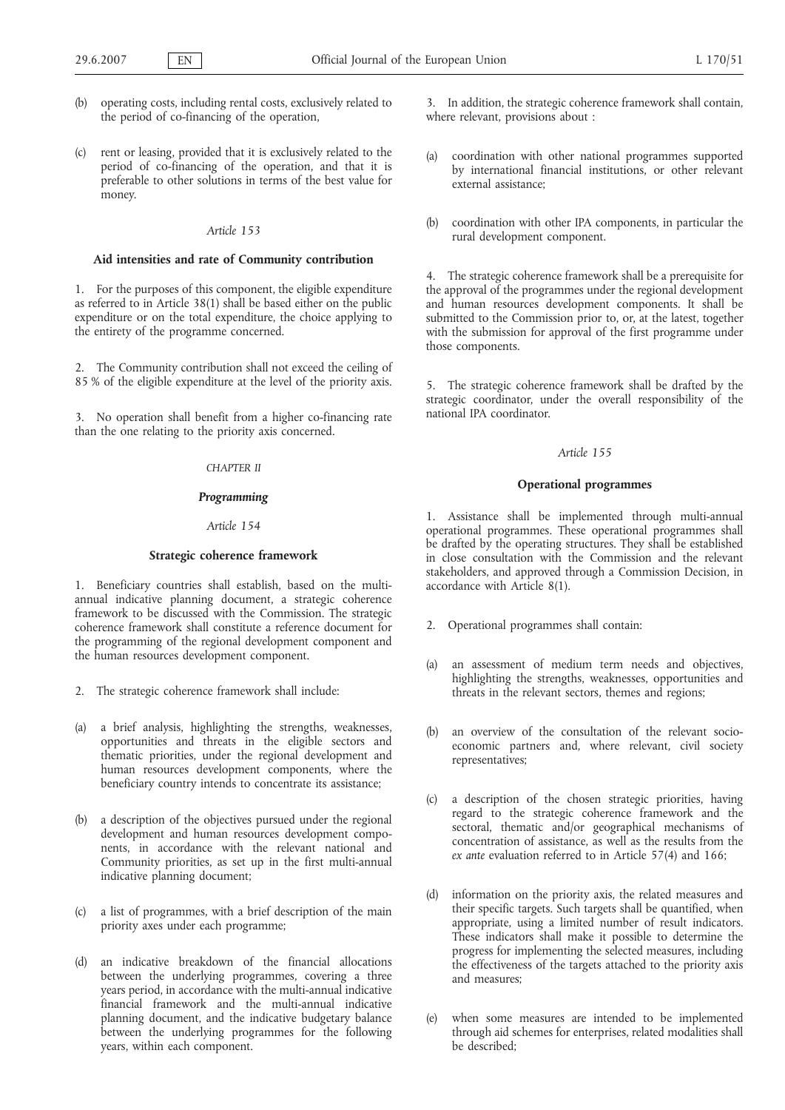- (b) operating costs, including rental costs, exclusively related to the period of co-financing of the operation,
- (c) rent or leasing, provided that it is exclusively related to the period of co-financing of the operation, and that it is preferable to other solutions in terms of the best value for money.

# **Aid intensities and rate of Community contribution**

1. For the purposes of this component, the eligible expenditure as referred to in Article 38(1) shall be based either on the public expenditure or on the total expenditure, the choice applying to the entirety of the programme concerned.

2. The Community contribution shall not exceed the ceiling of 85 % of the eligible expenditure at the level of the priority axis.

3. No operation shall benefit from a higher co-financing rate than the one relating to the priority axis concerned.

# *CHAPTER II*

# *Programming*

# *Article 154*

# **Strategic coherence framework**

1. Beneficiary countries shall establish, based on the multiannual indicative planning document, a strategic coherence framework to be discussed with the Commission. The strategic coherence framework shall constitute a reference document for the programming of the regional development component and the human resources development component.

- 2. The strategic coherence framework shall include:
- (a) a brief analysis, highlighting the strengths, weaknesses, opportunities and threats in the eligible sectors and thematic priorities, under the regional development and human resources development components, where the beneficiary country intends to concentrate its assistance;
- (b) a description of the objectives pursued under the regional development and human resources development components, in accordance with the relevant national and Community priorities, as set up in the first multi-annual indicative planning document;
- (c) a list of programmes, with a brief description of the main priority axes under each programme;
- (d) an indicative breakdown of the financial allocations between the underlying programmes, covering a three years period, in accordance with the multi-annual indicative financial framework and the multi-annual indicative planning document, and the indicative budgetary balance between the underlying programmes for the following years, within each component.

3. In addition, the strategic coherence framework shall contain, where relevant, provisions about :

- (a) coordination with other national programmes supported by international financial institutions, or other relevant external assistance;
- (b) coordination with other IPA components, in particular the rural development component.

4. The strategic coherence framework shall be a prerequisite for the approval of the programmes under the regional development and human resources development components. It shall be submitted to the Commission prior to, or, at the latest, together with the submission for approval of the first programme under those components.

5. The strategic coherence framework shall be drafted by the strategic coordinator, under the overall responsibility of the national IPA coordinator.

#### *Article 155*

### **Operational programmes**

1. Assistance shall be implemented through multi-annual operational programmes. These operational programmes shall be drafted by the operating structures. They shall be established in close consultation with the Commission and the relevant stakeholders, and approved through a Commission Decision, in accordance with Article 8(1).

- 2. Operational programmes shall contain:
- (a) an assessment of medium term needs and objectives, highlighting the strengths, weaknesses, opportunities and threats in the relevant sectors, themes and regions;
- (b) an overview of the consultation of the relevant socioeconomic partners and, where relevant, civil society representatives;
- (c) a description of the chosen strategic priorities, having regard to the strategic coherence framework and the sectoral, thematic and/or geographical mechanisms of concentration of assistance, as well as the results from the *ex ante* evaluation referred to in Article 57(4) and 166;
- (d) information on the priority axis, the related measures and their specific targets. Such targets shall be quantified, when appropriate, using a limited number of result indicators. These indicators shall make it possible to determine the progress for implementing the selected measures, including the effectiveness of the targets attached to the priority axis and measures;
- (e) when some measures are intended to be implemented through aid schemes for enterprises, related modalities shall be described;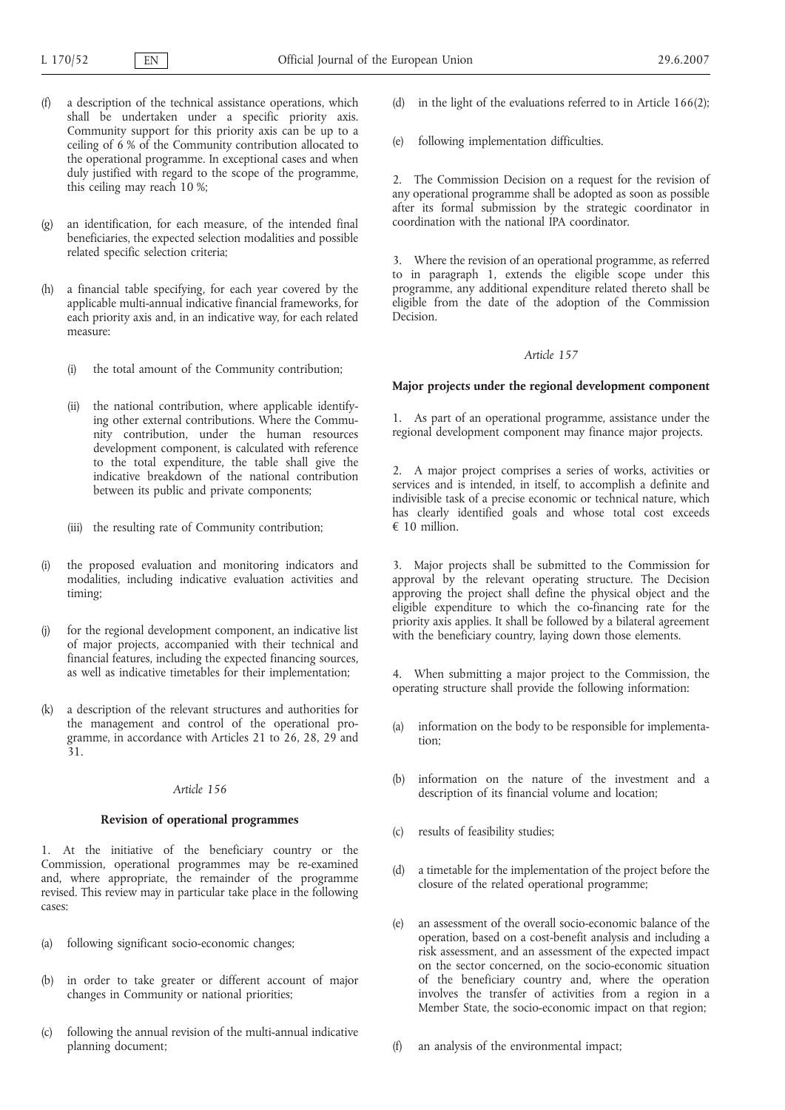- a description of the technical assistance operations, which shall be undertaken under a specific priority axis. Community support for this priority axis can be up to a ceiling of 6 % of the Community contribution allocated to the operational programme. In exceptional cases and when duly justified with regard to the scope of the programme, this ceiling may reach 10 %;
- (g) an identification, for each measure, of the intended final beneficiaries, the expected selection modalities and possible related specific selection criteria;
- (h) a financial table specifying, for each year covered by the applicable multi-annual indicative financial frameworks, for each priority axis and, in an indicative way, for each related measure:
	- (i) the total amount of the Community contribution;
	- (ii) the national contribution, where applicable identifying other external contributions. Where the Community contribution, under the human resources development component, is calculated with reference to the total expenditure, the table shall give the indicative breakdown of the national contribution between its public and private components;
	- (iii) the resulting rate of Community contribution;
- (i) the proposed evaluation and monitoring indicators and modalities, including indicative evaluation activities and timing;
- (j) for the regional development component, an indicative list of major projects, accompanied with their technical and financial features, including the expected financing sources, as well as indicative timetables for their implementation;
- (k) a description of the relevant structures and authorities for the management and control of the operational programme, in accordance with Articles 21 to 26, 28, 29 and 31.

### **Revision of operational programmes**

1. At the initiative of the beneficiary country or the Commission, operational programmes may be re-examined and, where appropriate, the remainder of the programme revised. This review may in particular take place in the following cases:

- (a) following significant socio-economic changes;
- (b) in order to take greater or different account of major changes in Community or national priorities;
- (c) following the annual revision of the multi-annual indicative planning document;
- in the light of the evaluations referred to in Article  $166(2)$ ;
- (e) following implementation difficulties.

2. The Commission Decision on a request for the revision of any operational programme shall be adopted as soon as possible after its formal submission by the strategic coordinator in coordination with the national IPA coordinator.

3. Where the revision of an operational programme, as referred to in paragraph 1, extends the eligible scope under this programme, any additional expenditure related thereto shall be eligible from the date of the adoption of the Commission Decision.

#### *Article 157*

### **Major projects under the regional development component**

1. As part of an operational programme, assistance under the regional development component may finance major projects.

2. A major project comprises a series of works, activities or services and is intended, in itself, to accomplish a definite and indivisible task of a precise economic or technical nature, which has clearly identified goals and whose total cost exceeds € 10 million.

3. Major projects shall be submitted to the Commission for approval by the relevant operating structure. The Decision approving the project shall define the physical object and the eligible expenditure to which the co-financing rate for the priority axis applies. It shall be followed by a bilateral agreement with the beneficiary country, laying down those elements.

4. When submitting a major project to the Commission, the operating structure shall provide the following information:

- (a) information on the body to be responsible for implementation;
- (b) information on the nature of the investment and a description of its financial volume and location;
- (c) results of feasibility studies;
- (d) a timetable for the implementation of the project before the closure of the related operational programme;
- (e) an assessment of the overall socio-economic balance of the operation, based on a cost-benefit analysis and including a risk assessment, and an assessment of the expected impact on the sector concerned, on the socio-economic situation of the beneficiary country and, where the operation involves the transfer of activities from a region in a Member State, the socio-economic impact on that region;
- (f) an analysis of the environmental impact;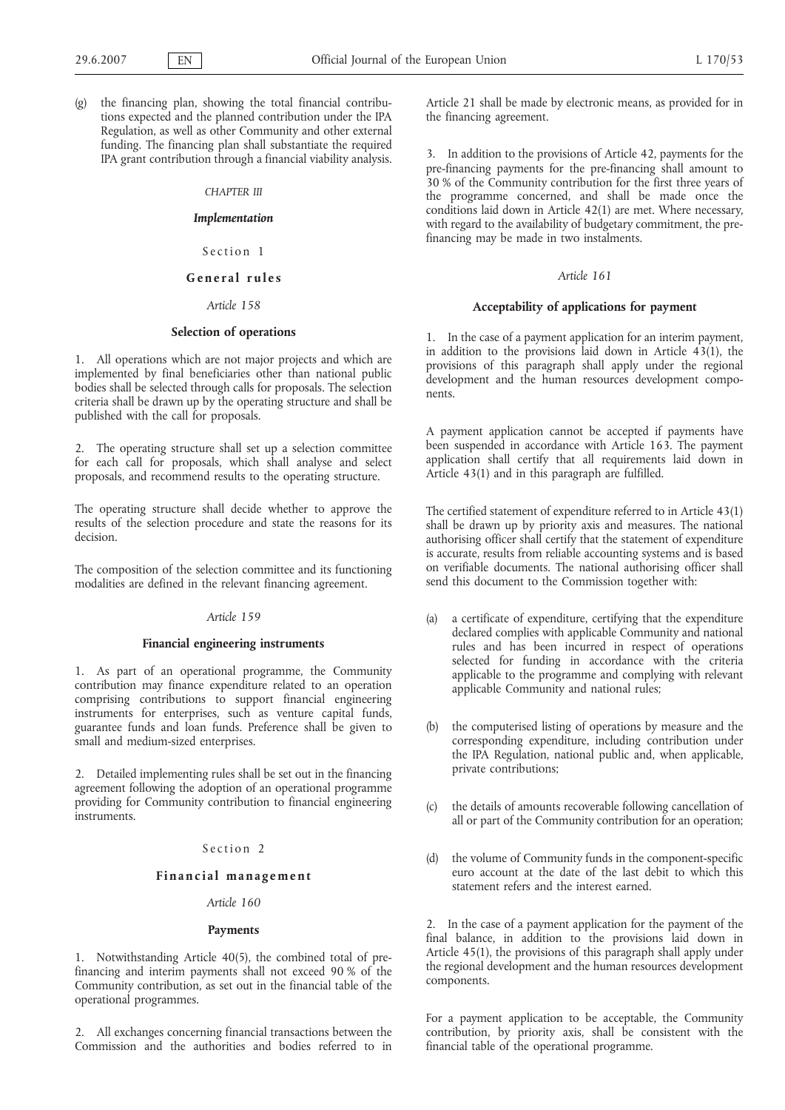(g) the financing plan, showing the total financial contributions expected and the planned contribution under the IPA Regulation, as well as other Community and other external funding. The financing plan shall substantiate the required IPA grant contribution through a financial viability analysis.

#### *CHAPTER III*

# *Implementation*

Section 1

#### **General rules**

## *Article 158*

#### **Selection of operations**

1. All operations which are not major projects and which are implemented by final beneficiaries other than national public bodies shall be selected through calls for proposals. The selection criteria shall be drawn up by the operating structure and shall be published with the call for proposals.

2. The operating structure shall set up a selection committee for each call for proposals, which shall analyse and select proposals, and recommend results to the operating structure.

The operating structure shall decide whether to approve the results of the selection procedure and state the reasons for its decision.

The composition of the selection committee and its functioning modalities are defined in the relevant financing agreement.

# *Article 159*

### **Financial engineering instruments**

1. As part of an operational programme, the Community contribution may finance expenditure related to an operation comprising contributions to support financial engineering instruments for enterprises, such as venture capital funds, guarantee funds and loan funds. Preference shall be given to small and medium-sized enterprises.

2. Detailed implementing rules shall be set out in the financing agreement following the adoption of an operational programme providing for Community contribution to financial engineering instruments.

## Section 2

# **Financial management**

# *Article 160*

#### **Payments**

1. Notwithstanding Article 40(5), the combined total of prefinancing and interim payments shall not exceed 90 % of the Community contribution, as set out in the financial table of the operational programmes.

2. All exchanges concerning financial transactions between the Commission and the authorities and bodies referred to in Article 21 shall be made by electronic means, as provided for in the financing agreement.

3. In addition to the provisions of Article 42, payments for the pre-financing payments for the pre-financing shall amount to 30 % of the Community contribution for the first three years of the programme concerned, and shall be made once the conditions laid down in Article 42(1) are met. Where necessary, with regard to the availability of budgetary commitment, the prefinancing may be made in two instalments.

# *Article 161*

#### **Acceptability of applications for payment**

1. In the case of a payment application for an interim payment, in addition to the provisions laid down in Article 43(1), the provisions of this paragraph shall apply under the regional development and the human resources development components.

A payment application cannot be accepted if payments have been suspended in accordance with Article 163. The payment application shall certify that all requirements laid down in Article 43(1) and in this paragraph are fulfilled.

The certified statement of expenditure referred to in Article 43(1) shall be drawn up by priority axis and measures. The national authorising officer shall certify that the statement of expenditure is accurate, results from reliable accounting systems and is based on verifiable documents. The national authorising officer shall send this document to the Commission together with:

- (a) a certificate of expenditure, certifying that the expenditure declared complies with applicable Community and national rules and has been incurred in respect of operations selected for funding in accordance with the criteria applicable to the programme and complying with relevant applicable Community and national rules;
- (b) the computerised listing of operations by measure and the corresponding expenditure, including contribution under the IPA Regulation, national public and, when applicable, private contributions;
- (c) the details of amounts recoverable following cancellation of all or part of the Community contribution for an operation;
- (d) the volume of Community funds in the component-specific euro account at the date of the last debit to which this statement refers and the interest earned.

2. In the case of a payment application for the payment of the final balance, in addition to the provisions laid down in Article 45(1), the provisions of this paragraph shall apply under the regional development and the human resources development components.

For a payment application to be acceptable, the Community contribution, by priority axis, shall be consistent with the financial table of the operational programme.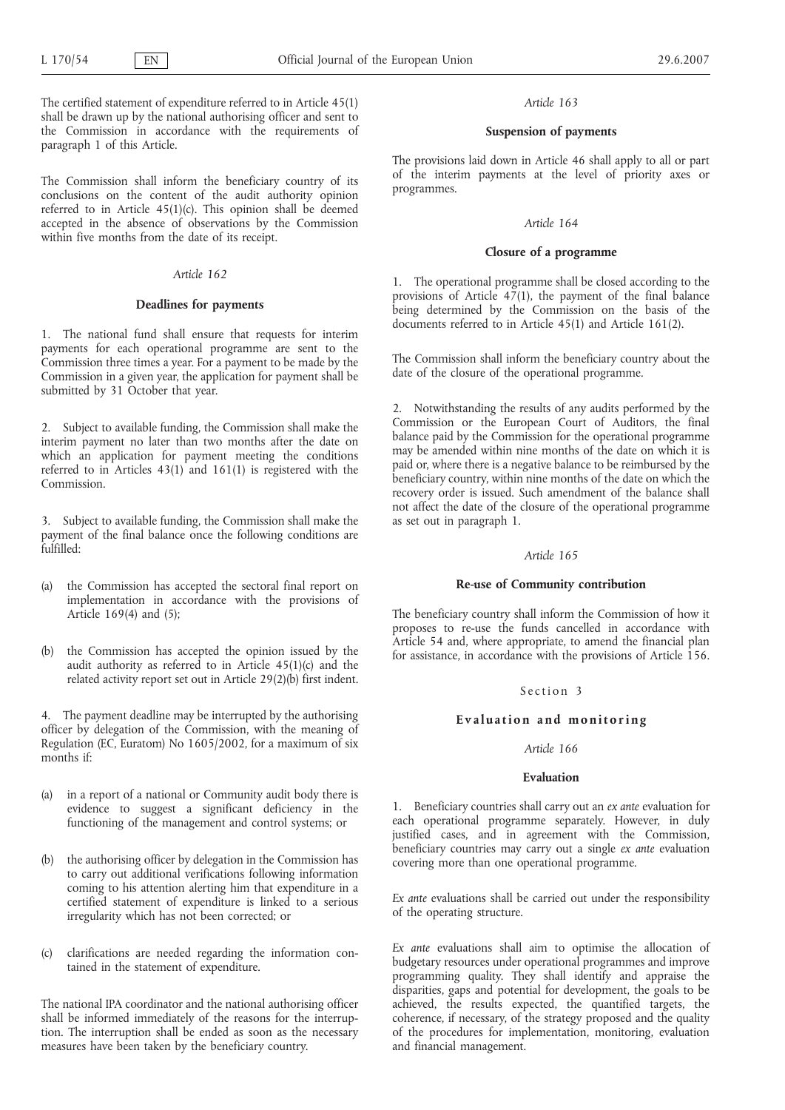The certified statement of expenditure referred to in Article 45(1) shall be drawn up by the national authorising officer and sent to the Commission in accordance with the requirements of paragraph 1 of this Article.

The Commission shall inform the beneficiary country of its conclusions on the content of the audit authority opinion referred to in Article 45(1)(c). This opinion shall be deemed accepted in the absence of observations by the Commission within five months from the date of its receipt.

# *Article 162*

### **Deadlines for payments**

1. The national fund shall ensure that requests for interim payments for each operational programme are sent to the Commission three times a year. For a payment to be made by the Commission in a given year, the application for payment shall be submitted by 31 October that year.

2. Subject to available funding, the Commission shall make the interim payment no later than two months after the date on which an application for payment meeting the conditions referred to in Articles 43(1) and 161(1) is registered with the Commission.

3. Subject to available funding, the Commission shall make the payment of the final balance once the following conditions are fulfilled:

- (a) the Commission has accepted the sectoral final report on implementation in accordance with the provisions of Article 169(4) and (5);
- (b) the Commission has accepted the opinion issued by the audit authority as referred to in Article 45(1)(c) and the related activity report set out in Article 29(2)(b) first indent.

4. The payment deadline may be interrupted by the authorising officer by delegation of the Commission, with the meaning of Regulation (EC, Euratom) No 1605/2002, for a maximum of six months if:

- (a) in a report of a national or Community audit body there is evidence to suggest a significant deficiency in the functioning of the management and control systems; or
- (b) the authorising officer by delegation in the Commission has to carry out additional verifications following information coming to his attention alerting him that expenditure in a certified statement of expenditure is linked to a serious irregularity which has not been corrected; or
- (c) clarifications are needed regarding the information contained in the statement of expenditure.

The national IPA coordinator and the national authorising officer shall be informed immediately of the reasons for the interruption. The interruption shall be ended as soon as the necessary measures have been taken by the beneficiary country.

### *Article 163*

### **Suspension of payments**

The provisions laid down in Article 46 shall apply to all or part of the interim payments at the level of priority axes or programmes.

# *Article 164*

# **Closure of a programme**

1. The operational programme shall be closed according to the provisions of Article  $47(1)$ , the payment of the final balance being determined by the Commission on the basis of the documents referred to in Article 45(1) and Article 161(2).

The Commission shall inform the beneficiary country about the date of the closure of the operational programme.

2. Notwithstanding the results of any audits performed by the Commission or the European Court of Auditors, the final balance paid by the Commission for the operational programme may be amended within nine months of the date on which it is paid or, where there is a negative balance to be reimbursed by the beneficiary country, within nine months of the date on which the recovery order is issued. Such amendment of the balance shall not affect the date of the closure of the operational programme as set out in paragraph 1.

### *Article 165*

### **Re-use of Community contribution**

The beneficiary country shall inform the Commission of how it proposes to re-use the funds cancelled in accordance with Article 54 and, where appropriate, to amend the financial plan for assistance, in accordance with the provisions of Article 156.

### Section 3

### **Evaluation and monitoring**

# *Article 166*

### **Evaluation**

1. Beneficiary countries shall carry out an *ex ante* evaluation for each operational programme separately. However, in duly justified cases, and in agreement with the Commission, beneficiary countries may carry out a single *ex ante* evaluation covering more than one operational programme.

*Ex ante* evaluations shall be carried out under the responsibility of the operating structure.

*Ex ante* evaluations shall aim to optimise the allocation of budgetary resources under operational programmes and improve programming quality. They shall identify and appraise the disparities, gaps and potential for development, the goals to be achieved, the results expected, the quantified targets, the coherence, if necessary, of the strategy proposed and the quality of the procedures for implementation, monitoring, evaluation and financial management.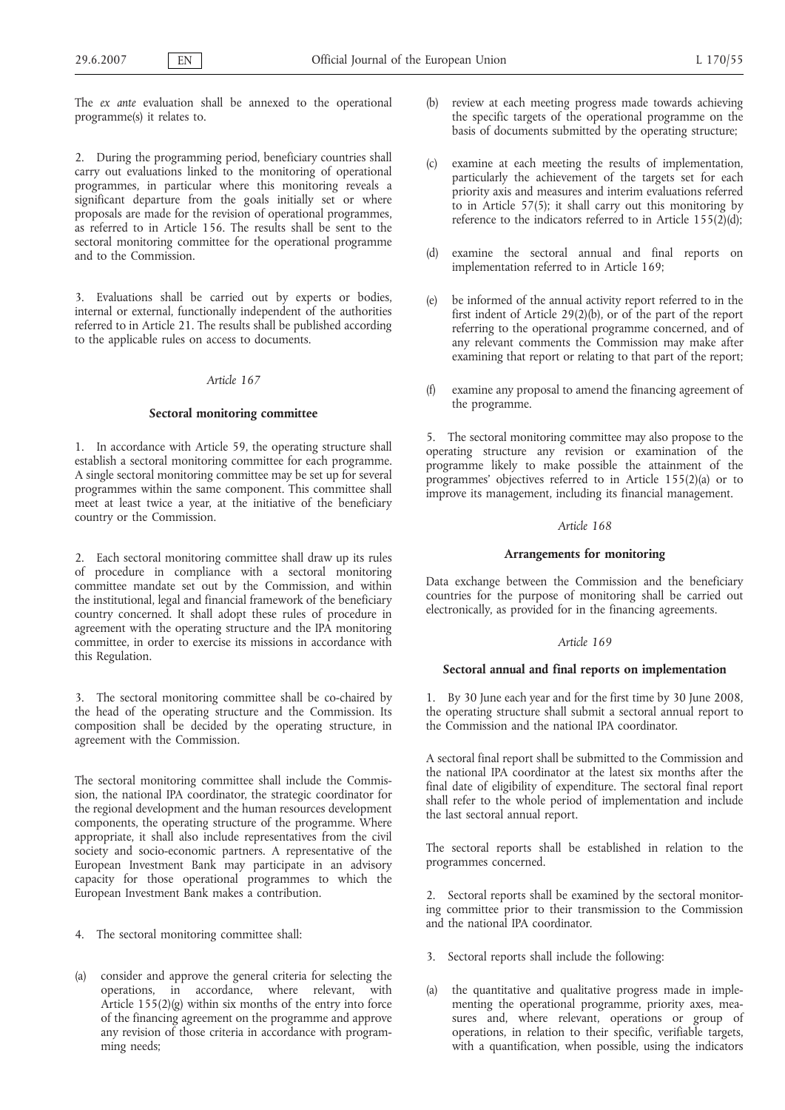The *ex ante* evaluation shall be annexed to the operational programme(s) it relates to.

2. During the programming period, beneficiary countries shall carry out evaluations linked to the monitoring of operational programmes, in particular where this monitoring reveals a significant departure from the goals initially set or where proposals are made for the revision of operational programmes, as referred to in Article 156. The results shall be sent to the sectoral monitoring committee for the operational programme and to the Commission.

3. Evaluations shall be carried out by experts or bodies, internal or external, functionally independent of the authorities referred to in Article 21. The results shall be published according to the applicable rules on access to documents.

## *Article 167*

#### **Sectoral monitoring committee**

1. In accordance with Article 59, the operating structure shall establish a sectoral monitoring committee for each programme. A single sectoral monitoring committee may be set up for several programmes within the same component. This committee shall meet at least twice a year, at the initiative of the beneficiary country or the Commission.

2. Each sectoral monitoring committee shall draw up its rules of procedure in compliance with a sectoral monitoring committee mandate set out by the Commission, and within the institutional, legal and financial framework of the beneficiary country concerned. It shall adopt these rules of procedure in agreement with the operating structure and the IPA monitoring committee, in order to exercise its missions in accordance with this Regulation.

3. The sectoral monitoring committee shall be co-chaired by the head of the operating structure and the Commission. Its composition shall be decided by the operating structure, in agreement with the Commission.

The sectoral monitoring committee shall include the Commission, the national IPA coordinator, the strategic coordinator for the regional development and the human resources development components, the operating structure of the programme. Where appropriate, it shall also include representatives from the civil society and socio-economic partners. A representative of the European Investment Bank may participate in an advisory capacity for those operational programmes to which the European Investment Bank makes a contribution.

- 4. The sectoral monitoring committee shall:
- (a) consider and approve the general criteria for selecting the operations, in accordance, where relevant, with Article  $155(2)(g)$  within six months of the entry into force of the financing agreement on the programme and approve any revision of those criteria in accordance with programming needs;
- (b) review at each meeting progress made towards achieving the specific targets of the operational programme on the basis of documents submitted by the operating structure;
- (c) examine at each meeting the results of implementation, particularly the achievement of the targets set for each priority axis and measures and interim evaluations referred to in Article 57(5); it shall carry out this monitoring by reference to the indicators referred to in Article 155(2)(d);
- (d) examine the sectoral annual and final reports on implementation referred to in Article 169;
- (e) be informed of the annual activity report referred to in the first indent of Article 29(2)(b), or of the part of the report referring to the operational programme concerned, and of any relevant comments the Commission may make after examining that report or relating to that part of the report;
- (f) examine any proposal to amend the financing agreement of the programme.

5. The sectoral monitoring committee may also propose to the operating structure any revision or examination of the programme likely to make possible the attainment of the programmes' objectives referred to in Article 155(2)(a) or to improve its management, including its financial management.

## *Article 168*

#### **Arrangements for monitoring**

Data exchange between the Commission and the beneficiary countries for the purpose of monitoring shall be carried out electronically, as provided for in the financing agreements.

#### *Article 169*

# **Sectoral annual and final reports on implementation**

1. By 30 June each year and for the first time by 30 June 2008, the operating structure shall submit a sectoral annual report to the Commission and the national IPA coordinator.

A sectoral final report shall be submitted to the Commission and the national IPA coordinator at the latest six months after the final date of eligibility of expenditure. The sectoral final report shall refer to the whole period of implementation and include the last sectoral annual report.

The sectoral reports shall be established in relation to the programmes concerned.

2. Sectoral reports shall be examined by the sectoral monitoring committee prior to their transmission to the Commission and the national IPA coordinator.

- 3. Sectoral reports shall include the following:
- (a) the quantitative and qualitative progress made in implementing the operational programme, priority axes, measures and, where relevant, operations or group of operations, in relation to their specific, verifiable targets, with a quantification, when possible, using the indicators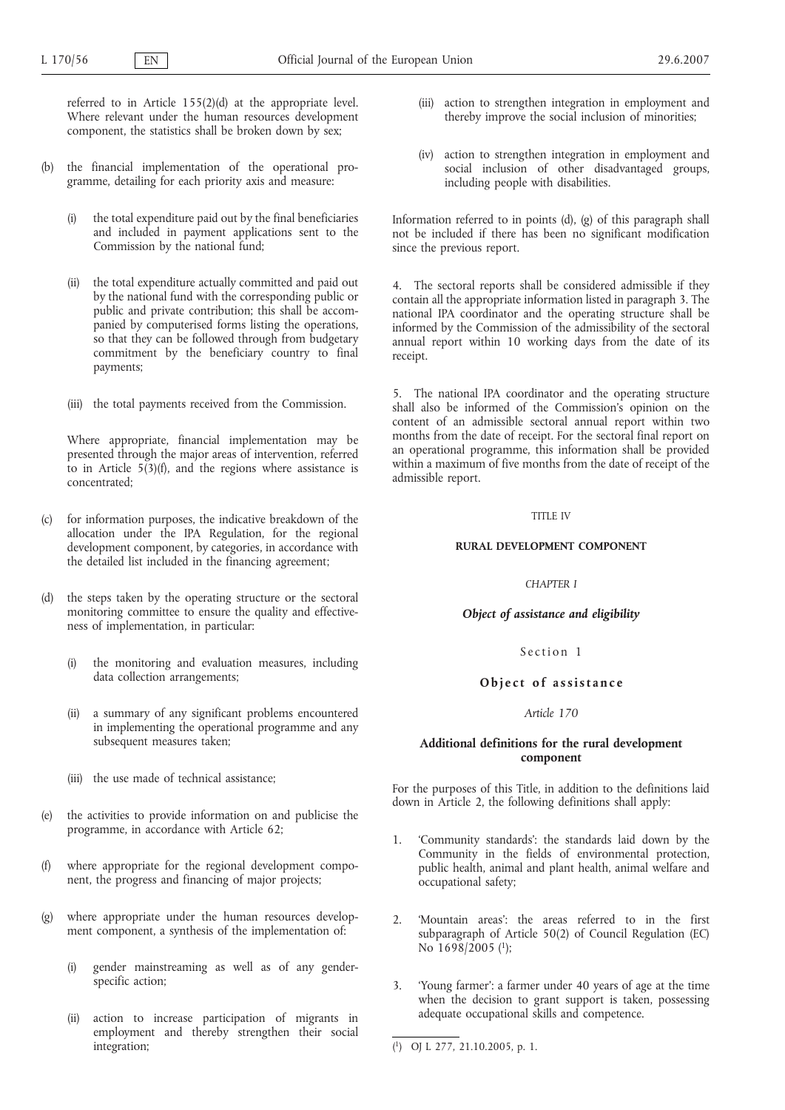referred to in Article 155(2)(d) at the appropriate level. Where relevant under the human resources development component, the statistics shall be broken down by sex;

- (b) the financial implementation of the operational programme, detailing for each priority axis and measure:
	- (i) the total expenditure paid out by the final beneficiaries and included in payment applications sent to the Commission by the national fund;
	- (ii) the total expenditure actually committed and paid out by the national fund with the corresponding public or public and private contribution; this shall be accompanied by computerised forms listing the operations, so that they can be followed through from budgetary commitment by the beneficiary country to final payments;
	- (iii) the total payments received from the Commission.

Where appropriate, financial implementation may be presented through the major areas of intervention, referred to in Article  $5(3)(f)$ , and the regions where assistance is concentrated;

- (c) for information purposes, the indicative breakdown of the allocation under the IPA Regulation, for the regional development component, by categories, in accordance with the detailed list included in the financing agreement;
- (d) the steps taken by the operating structure or the sectoral monitoring committee to ensure the quality and effectiveness of implementation, in particular:
	- (i) the monitoring and evaluation measures, including data collection arrangements;
	- (ii) a summary of any significant problems encountered in implementing the operational programme and any subsequent measures taken;
	- (iii) the use made of technical assistance;
- (e) the activities to provide information on and publicise the programme, in accordance with Article 62;
- (f) where appropriate for the regional development component, the progress and financing of major projects;
- (g) where appropriate under the human resources development component, a synthesis of the implementation of:
	- (i) gender mainstreaming as well as of any genderspecific action;
	- (ii) action to increase participation of migrants in employment and thereby strengthen their social integration;
- (iii) action to strengthen integration in employment and thereby improve the social inclusion of minorities;
- (iv) action to strengthen integration in employment and social inclusion of other disadvantaged groups, including people with disabilities.

Information referred to in points (d), (g) of this paragraph shall not be included if there has been no significant modification since the previous report.

4. The sectoral reports shall be considered admissible if they contain all the appropriate information listed in paragraph 3. The national IPA coordinator and the operating structure shall be informed by the Commission of the admissibility of the sectoral annual report within 10 working days from the date of its receipt.

5. The national IPA coordinator and the operating structure shall also be informed of the Commission's opinion on the content of an admissible sectoral annual report within two months from the date of receipt. For the sectoral final report on an operational programme, this information shall be provided within a maximum of five months from the date of receipt of the admissible report.

### TITLE IV

#### **RURAL DEVELOPMENT COMPONENT**

### *CHAPTER I*

# *Object of assistance and eligibility*

## Section 1

# **Object of assistance**

### *Article 170*

# **Additional definitions for the rural development component**

For the purposes of this Title, in addition to the definitions laid down in Article 2, the following definitions shall apply:

- 1. 'Community standards': the standards laid down by the Community in the fields of environmental protection, public health, animal and plant health, animal welfare and occupational safety;
- 2. 'Mountain areas': the areas referred to in the first subparagraph of Article 50(2) of Council Regulation (EC) No  $1698/2005$  (<sup>1</sup>);
- 3. 'Young farmer': a farmer under 40 years of age at the time when the decision to grant support is taken, possessing adequate occupational skills and competence.

( 1) OJ L 277, 21.10.2005, p. 1.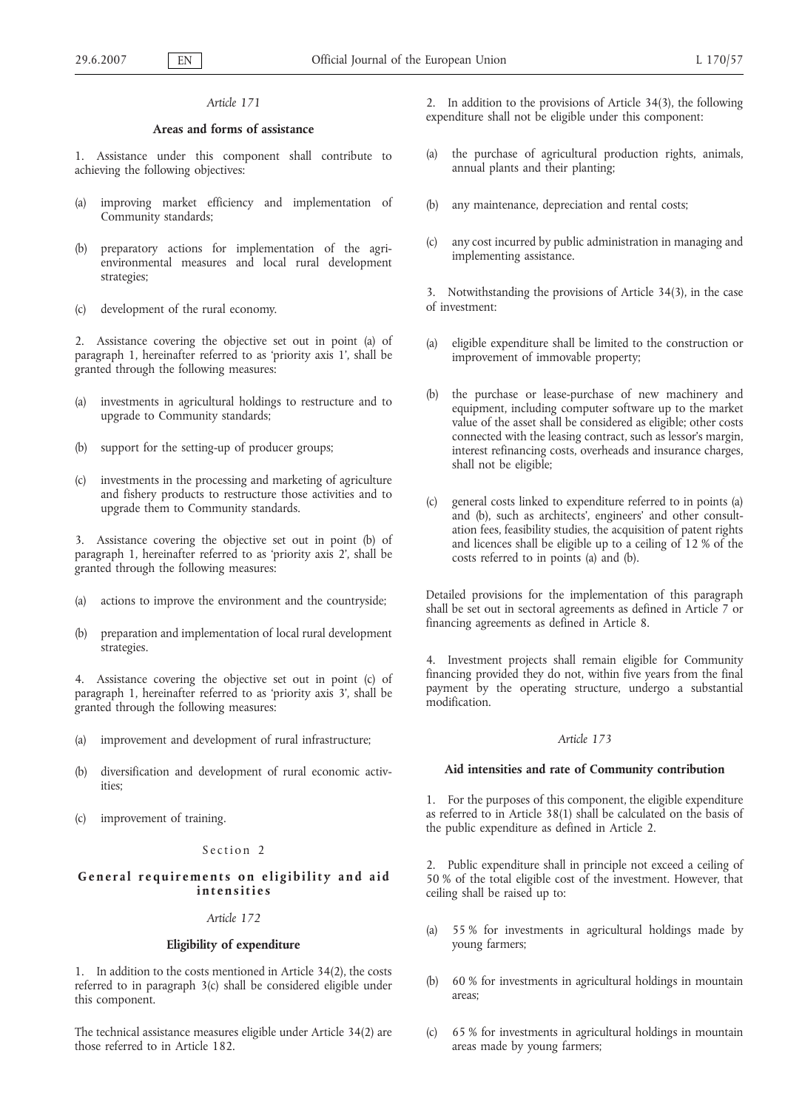## **Areas and forms of assistance**

1. Assistance under this component shall contribute to achieving the following objectives:

- (a) improving market efficiency and implementation of Community standards;
- (b) preparatory actions for implementation of the agrienvironmental measures and local rural development strategies;
- (c) development of the rural economy.

2. Assistance covering the objective set out in point (a) of paragraph 1, hereinafter referred to as 'priority axis 1', shall be granted through the following measures:

- (a) investments in agricultural holdings to restructure and to upgrade to Community standards;
- (b) support for the setting-up of producer groups;
- (c) investments in the processing and marketing of agriculture and fishery products to restructure those activities and to upgrade them to Community standards.

3. Assistance covering the objective set out in point (b) of paragraph 1, hereinafter referred to as 'priority axis 2', shall be granted through the following measures:

- (a) actions to improve the environment and the countryside;
- (b) preparation and implementation of local rural development strategies.

4. Assistance covering the objective set out in point (c) of paragraph 1, hereinafter referred to as 'priority axis 3', shall be granted through the following measures:

- (a) improvement and development of rural infrastructure;
- (b) diversification and development of rural economic activities;
- (c) improvement of training.

### Section 2

# **General requirements on eligibility and aid intensities**

# *Article 172*

# **Eligibility of expenditure**

1. In addition to the costs mentioned in Article 34(2), the costs referred to in paragraph 3(c) shall be considered eligible under this component.

The technical assistance measures eligible under Article 34(2) are those referred to in Article 182.

2. In addition to the provisions of Article 34(3), the following expenditure shall not be eligible under this component:

- (a) the purchase of agricultural production rights, animals, annual plants and their planting;
- (b) any maintenance, depreciation and rental costs;
- (c) any cost incurred by public administration in managing and implementing assistance.

3. Notwithstanding the provisions of Article 34(3), in the case of investment:

- (a) eligible expenditure shall be limited to the construction or improvement of immovable property;
- (b) the purchase or lease-purchase of new machinery and equipment, including computer software up to the market value of the asset shall be considered as eligible; other costs connected with the leasing contract, such as lessor's margin, interest refinancing costs, overheads and insurance charges, shall not be eligible;
- general costs linked to expenditure referred to in points (a) and (b), such as architects', engineers' and other consultation fees, feasibility studies, the acquisition of patent rights and licences shall be eligible up to a ceiling of 12 % of the costs referred to in points (a) and (b).

Detailed provisions for the implementation of this paragraph shall be set out in sectoral agreements as defined in Article 7 or financing agreements as defined in Article 8.

4. Investment projects shall remain eligible for Community financing provided they do not, within five years from the final payment by the operating structure, undergo a substantial modification.

#### *Article 173*

# **Aid intensities and rate of Community contribution**

1. For the purposes of this component, the eligible expenditure as referred to in Article 38(1) shall be calculated on the basis of the public expenditure as defined in Article 2.

2. Public expenditure shall in principle not exceed a ceiling of 50 % of the total eligible cost of the investment. However, that ceiling shall be raised up to:

- (a) 55 % for investments in agricultural holdings made by young farmers;
- (b) 60 % for investments in agricultural holdings in mountain areas;
- (c) 65 % for investments in agricultural holdings in mountain areas made by young farmers;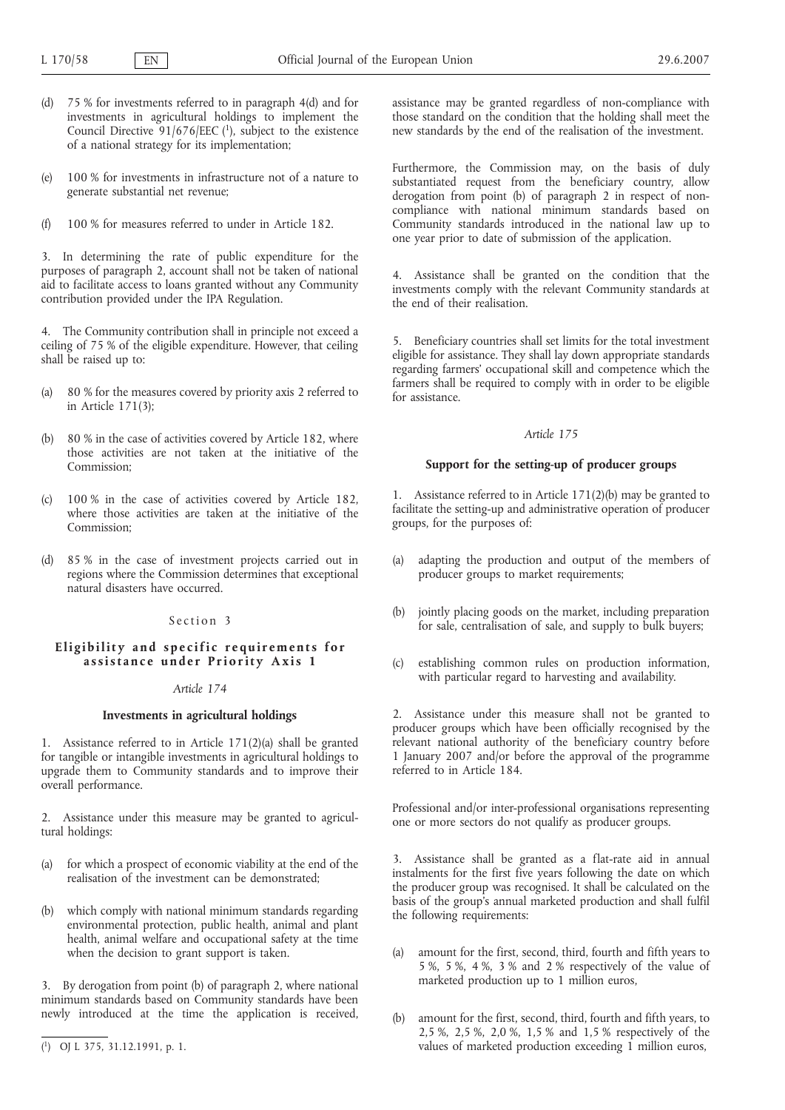- (d) 75 % for investments referred to in paragraph 4(d) and for investments in agricultural holdings to implement the Council Directive  $91/676/EEC$  (1), subject to the existence of a national strategy for its implementation;
- (e) 100 % for investments in infrastructure not of a nature to generate substantial net revenue;
- (f) 100 % for measures referred to under in Article 182.

3. In determining the rate of public expenditure for the purposes of paragraph 2, account shall not be taken of national aid to facilitate access to loans granted without any Community contribution provided under the IPA Regulation.

4. The Community contribution shall in principle not exceed a ceiling of 75 % of the eligible expenditure. However, that ceiling shall be raised up to:

- (a) 80 % for the measures covered by priority axis 2 referred to in Article 171(3);
- (b) 80 % in the case of activities covered by Article 182, where those activities are not taken at the initiative of the Commission;
- 100 % in the case of activities covered by Article 182. where those activities are taken at the initiative of the Commission;
- (d) 85 % in the case of investment projects carried out in regions where the Commission determines that exceptional natural disasters have occurred.

### Section 3

# **Eligibility and specific requirements for assistance under Priority Axis 1**

# *Article 174*

# **Investments in agricultural holdings**

1. Assistance referred to in Article 171(2)(a) shall be granted for tangible or intangible investments in agricultural holdings to upgrade them to Community standards and to improve their overall performance.

2. Assistance under this measure may be granted to agricultural holdings:

- (a) for which a prospect of economic viability at the end of the realisation of the investment can be demonstrated;
- (b) which comply with national minimum standards regarding environmental protection, public health, animal and plant health, animal welfare and occupational safety at the time when the decision to grant support is taken.

3. By derogation from point (b) of paragraph 2, where national minimum standards based on Community standards have been newly introduced at the time the application is received,

assistance may be granted regardless of non-compliance with those standard on the condition that the holding shall meet the new standards by the end of the realisation of the investment.

Furthermore, the Commission may, on the basis of duly substantiated request from the beneficiary country, allow derogation from point (b) of paragraph 2 in respect of noncompliance with national minimum standards based on Community standards introduced in the national law up to one year prior to date of submission of the application.

4. Assistance shall be granted on the condition that the investments comply with the relevant Community standards at the end of their realisation.

5. Beneficiary countries shall set limits for the total investment eligible for assistance. They shall lay down appropriate standards regarding farmers' occupational skill and competence which the farmers shall be required to comply with in order to be eligible for assistance.

#### *Article 175*

# **Support for the setting-up of producer groups**

1. Assistance referred to in Article 171(2)(b) may be granted to facilitate the setting-up and administrative operation of producer groups, for the purposes of:

- (a) adapting the production and output of the members of producer groups to market requirements;
- (b) jointly placing goods on the market, including preparation for sale, centralisation of sale, and supply to bulk buyers;
- (c) establishing common rules on production information, with particular regard to harvesting and availability.

2. Assistance under this measure shall not be granted to producer groups which have been officially recognised by the relevant national authority of the beneficiary country before 1 January 2007 and/or before the approval of the programme referred to in Article 184.

Professional and/or inter-professional organisations representing one or more sectors do not qualify as producer groups.

3. Assistance shall be granted as a flat-rate aid in annual instalments for the first five years following the date on which the producer group was recognised. It shall be calculated on the basis of the group's annual marketed production and shall fulfil the following requirements:

- (a) amount for the first, second, third, fourth and fifth years to 5 %, 5 %, 4 %, 3 % and 2 % respectively of the value of marketed production up to 1 million euros,
- (b) amount for the first, second, third, fourth and fifth years, to 2,5 %, 2,5 %, 2,0 %, 1,5 % and 1,5 % respectively of the values of marketed production exceeding 1 million euros,

<sup>(</sup> 1) OJ L 375, 31.12.1991, p. 1.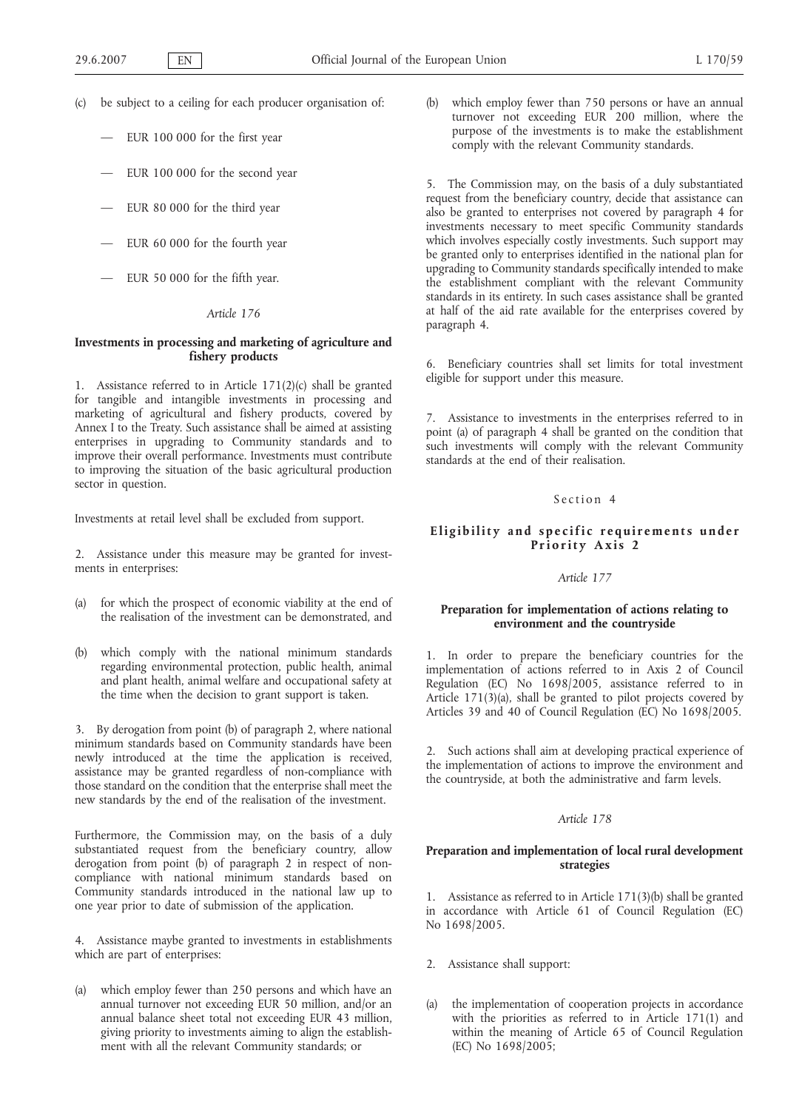- (c) be subject to a ceiling for each producer organisation of:
	- EUR 100 000 for the first year
	- EUR 100 000 for the second year
	- EUR 80 000 for the third year
	- EUR 60 000 for the fourth year
	- EUR 50 000 for the fifth year.

# **Investments in processing and marketing of agriculture and fishery products**

1. Assistance referred to in Article 171(2)(c) shall be granted for tangible and intangible investments in processing and marketing of agricultural and fishery products, covered by Annex I to the Treaty. Such assistance shall be aimed at assisting enterprises in upgrading to Community standards and to improve their overall performance. Investments must contribute to improving the situation of the basic agricultural production sector in question.

Investments at retail level shall be excluded from support.

2. Assistance under this measure may be granted for investments in enterprises:

- (a) for which the prospect of economic viability at the end of the realisation of the investment can be demonstrated, and
- (b) which comply with the national minimum standards regarding environmental protection, public health, animal and plant health, animal welfare and occupational safety at the time when the decision to grant support is taken.

3. By derogation from point (b) of paragraph 2, where national minimum standards based on Community standards have been newly introduced at the time the application is received, assistance may be granted regardless of non-compliance with those standard on the condition that the enterprise shall meet the new standards by the end of the realisation of the investment.

Furthermore, the Commission may, on the basis of a duly substantiated request from the beneficiary country, allow derogation from point (b) of paragraph 2 in respect of noncompliance with national minimum standards based on Community standards introduced in the national law up to one year prior to date of submission of the application.

4. Assistance maybe granted to investments in establishments which are part of enterprises:

(a) which employ fewer than 250 persons and which have an annual turnover not exceeding EUR 50 million, and/or an annual balance sheet total not exceeding EUR 43 million, giving priority to investments aiming to align the establishment with all the relevant Community standards; or

(b) which employ fewer than 750 persons or have an annual turnover not exceeding EUR 200 million, where the purpose of the investments is to make the establishment comply with the relevant Community standards.

5. The Commission may, on the basis of a duly substantiated request from the beneficiary country, decide that assistance can also be granted to enterprises not covered by paragraph 4 for investments necessary to meet specific Community standards which involves especially costly investments. Such support may be granted only to enterprises identified in the national plan for upgrading to Community standards specifically intended to make the establishment compliant with the relevant Community standards in its entirety. In such cases assistance shall be granted at half of the aid rate available for the enterprises covered by paragraph 4.

6. Beneficiary countries shall set limits for total investment eligible for support under this measure.

7. Assistance to investments in the enterprises referred to in point (a) of paragraph 4 shall be granted on the condition that such investments will comply with the relevant Community standards at the end of their realisation.

# Section 4

# **Eligibility and specific requirements under Priority Axis 2**

#### *Article 177*

### **Preparation for implementation of actions relating to environment and the countryside**

1. In order to prepare the beneficiary countries for the implementation of actions referred to in Axis 2 of Council Regulation (EC) No 1698/2005, assistance referred to in Article 171(3)(a), shall be granted to pilot projects covered by Articles 39 and 40 of Council Regulation (EC) No 1698/2005.

2. Such actions shall aim at developing practical experience of the implementation of actions to improve the environment and the countryside, at both the administrative and farm levels.

### *Article 178*

# **Preparation and implementation of local rural development strategies**

1. Assistance as referred to in Article 171(3)(b) shall be granted in accordance with Article 61 of Council Regulation (EC) No 1698/2005.

- 2. Assistance shall support:
- (a) the implementation of cooperation projects in accordance with the priorities as referred to in Article 171(1) and within the meaning of Article 65 of Council Regulation (EC) No 1698/2005;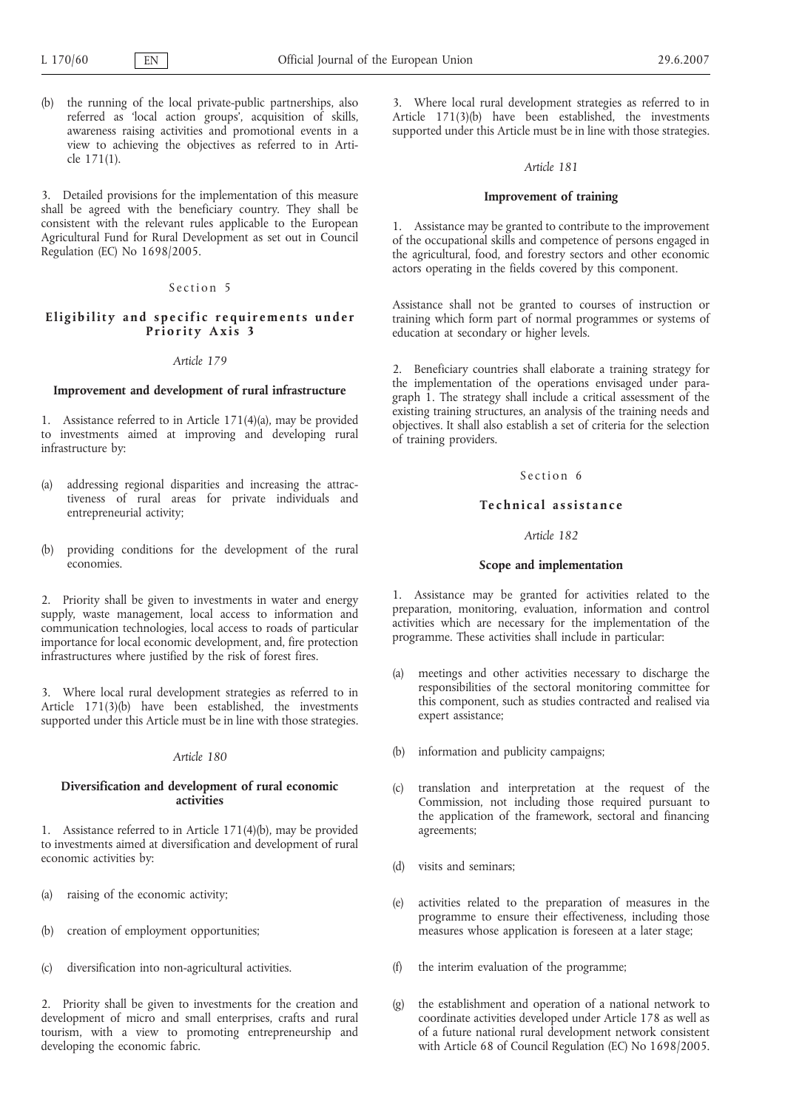(b) the running of the local private-public partnerships, also referred as 'local action groups', acquisition of skills, awareness raising activities and promotional events in a view to achieving the objectives as referred to in Article 171(1).

3. Detailed provisions for the implementation of this measure shall be agreed with the beneficiary country. They shall be consistent with the relevant rules applicable to the European Agricultural Fund for Rural Development as set out in Council Regulation (EC) No 1698/2005.

## Section 5

### **Eligibility and specific requirements under Priority Axis 3**

### *Article 179*

#### **Improvement and development of rural infrastructure**

1. Assistance referred to in Article 171(4)(a), may be provided to investments aimed at improving and developing rural infrastructure by:

- (a) addressing regional disparities and increasing the attractiveness of rural areas for private individuals and entrepreneurial activity;
- (b) providing conditions for the development of the rural economies.

2. Priority shall be given to investments in water and energy supply, waste management, local access to information and communication technologies, local access to roads of particular importance for local economic development, and, fire protection infrastructures where justified by the risk of forest fires.

3. Where local rural development strategies as referred to in Article 171(3)(b) have been established, the investments supported under this Article must be in line with those strategies.

#### *Article 180*

## **Diversification and development of rural economic activities**

1. Assistance referred to in Article 171(4)(b), may be provided to investments aimed at diversification and development of rural economic activities by:

- (a) raising of the economic activity;
- (b) creation of employment opportunities;
- (c) diversification into non-agricultural activities.

2. Priority shall be given to investments for the creation and development of micro and small enterprises, crafts and rural tourism, with a view to promoting entrepreneurship and developing the economic fabric.

3. Where local rural development strategies as referred to in Article 171(3)(b) have been established, the investments supported under this Article must be in line with those strategies.

# *Article 181*

# **Improvement of training**

1. Assistance may be granted to contribute to the improvement of the occupational skills and competence of persons engaged in the agricultural, food, and forestry sectors and other economic actors operating in the fields covered by this component.

Assistance shall not be granted to courses of instruction or training which form part of normal programmes or systems of education at secondary or higher levels.

2. Beneficiary countries shall elaborate a training strategy for the implementation of the operations envisaged under paragraph 1. The strategy shall include a critical assessment of the existing training structures, an analysis of the training needs and objectives. It shall also establish a set of criteria for the selection of training providers.

## Section 6

### **Technical assistance**

### *Article 182*

#### **Scope and implementation**

1. Assistance may be granted for activities related to the preparation, monitoring, evaluation, information and control activities which are necessary for the implementation of the programme. These activities shall include in particular:

- (a) meetings and other activities necessary to discharge the responsibilities of the sectoral monitoring committee for this component, such as studies contracted and realised via expert assistance;
- (b) information and publicity campaigns;
- (c) translation and interpretation at the request of the Commission, not including those required pursuant to the application of the framework, sectoral and financing agreements;
- (d) visits and seminars;
- (e) activities related to the preparation of measures in the programme to ensure their effectiveness, including those measures whose application is foreseen at a later stage;
- (f) the interim evaluation of the programme;
- (g) the establishment and operation of a national network to coordinate activities developed under Article 178 as well as of a future national rural development network consistent with Article 68 of Council Regulation (EC) No 1698/2005.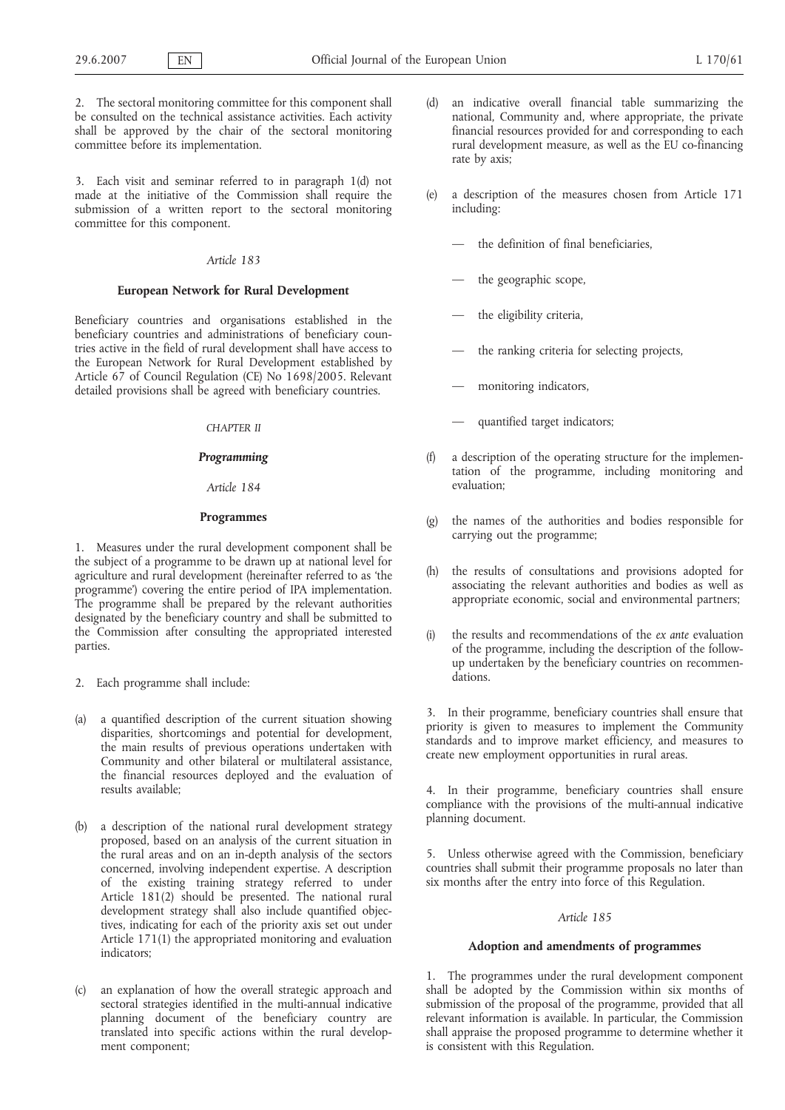2. The sectoral monitoring committee for this component shall be consulted on the technical assistance activities. Each activity shall be approved by the chair of the sectoral monitoring committee before its implementation.

3. Each visit and seminar referred to in paragraph 1(d) not made at the initiative of the Commission shall require the submission of a written report to the sectoral monitoring committee for this component.

#### *Article 183*

#### **European Network for Rural Development**

Beneficiary countries and organisations established in the beneficiary countries and administrations of beneficiary countries active in the field of rural development shall have access to the European Network for Rural Development established by Article 67 of Council Regulation (CE) No 1698/2005. Relevant detailed provisions shall be agreed with beneficiary countries.

### *CHAPTER II*

### *Programming*

## *Article 184*

## **Programmes**

1. Measures under the rural development component shall be the subject of a programme to be drawn up at national level for agriculture and rural development (hereinafter referred to as 'the programme') covering the entire period of IPA implementation. The programme shall be prepared by the relevant authorities designated by the beneficiary country and shall be submitted to the Commission after consulting the appropriated interested parties.

- 2. Each programme shall include:
- (a) a quantified description of the current situation showing disparities, shortcomings and potential for development, the main results of previous operations undertaken with Community and other bilateral or multilateral assistance, the financial resources deployed and the evaluation of results available;
- (b) a description of the national rural development strategy proposed, based on an analysis of the current situation in the rural areas and on an in-depth analysis of the sectors concerned, involving independent expertise. A description of the existing training strategy referred to under Article 181(2) should be presented. The national rural development strategy shall also include quantified objectives, indicating for each of the priority axis set out under Article 171(1) the appropriated monitoring and evaluation indicators;
- (c) an explanation of how the overall strategic approach and sectoral strategies identified in the multi-annual indicative planning document of the beneficiary country are translated into specific actions within the rural development component;
- an indicative overall financial table summarizing the national, Community and, where appropriate, the private financial resources provided for and corresponding to each rural development measure, as well as the EU co-financing rate by axis;
- (e) a description of the measures chosen from Article 171 including:
	- the definition of final beneficiaries,
	- the geographic scope,
	- the eligibility criteria,
	- the ranking criteria for selecting projects,
	- monitoring indicators,
	- quantified target indicators;
- a description of the operating structure for the implementation of the programme, including monitoring and evaluation;
- (g) the names of the authorities and bodies responsible for carrying out the programme;
- (h) the results of consultations and provisions adopted for associating the relevant authorities and bodies as well as appropriate economic, social and environmental partners;
- (i) the results and recommendations of the *ex ante* evaluation of the programme, including the description of the followup undertaken by the beneficiary countries on recommendations.

3. In their programme, beneficiary countries shall ensure that priority is given to measures to implement the Community standards and to improve market efficiency, and measures to create new employment opportunities in rural areas.

4. In their programme, beneficiary countries shall ensure compliance with the provisions of the multi-annual indicative planning document.

5. Unless otherwise agreed with the Commission, beneficiary countries shall submit their programme proposals no later than six months after the entry into force of this Regulation.

#### *Article 185*

### **Adoption and amendments of programmes**

1. The programmes under the rural development component shall be adopted by the Commission within six months of submission of the proposal of the programme, provided that all relevant information is available. In particular, the Commission shall appraise the proposed programme to determine whether it is consistent with this Regulation.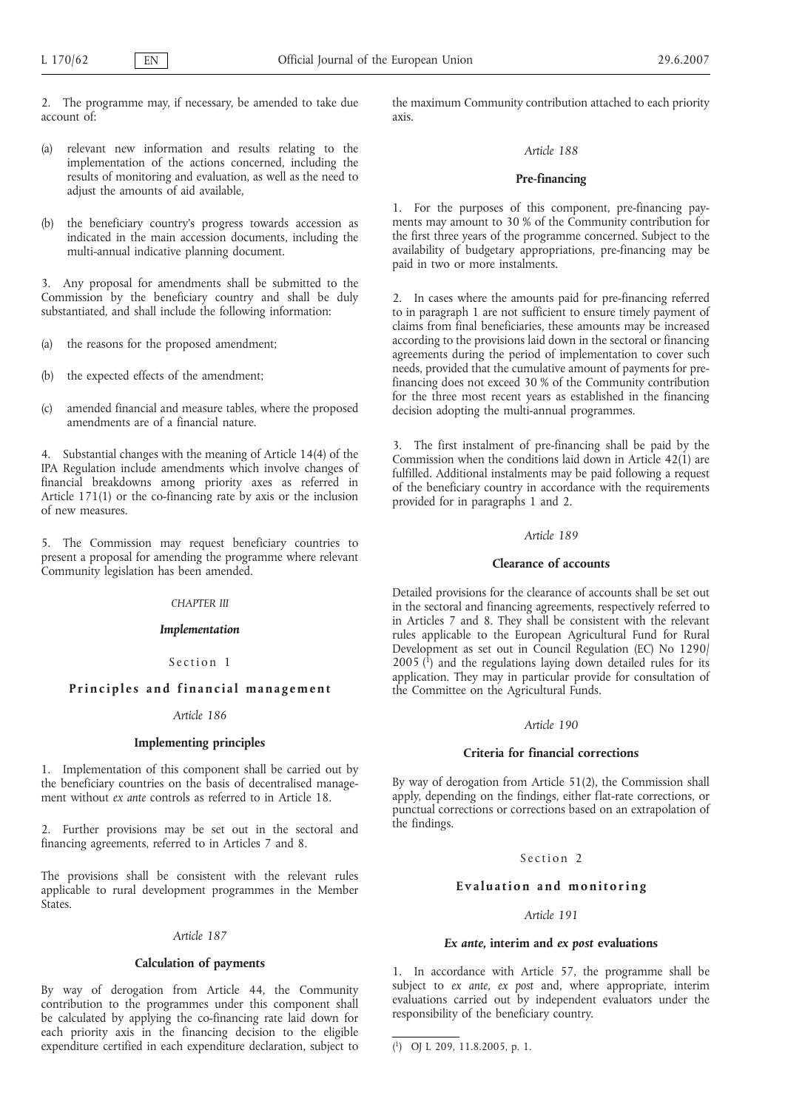2. The programme may, if necessary, be amended to take due account of:

- (a) relevant new information and results relating to the implementation of the actions concerned, including the results of monitoring and evaluation, as well as the need to adjust the amounts of aid available,
- (b) the beneficiary country's progress towards accession as indicated in the main accession documents, including the multi-annual indicative planning document.

3. Any proposal for amendments shall be submitted to the Commission by the beneficiary country and shall be duly substantiated, and shall include the following information:

- (a) the reasons for the proposed amendment;
- (b) the expected effects of the amendment;
- (c) amended financial and measure tables, where the proposed amendments are of a financial nature.

4. Substantial changes with the meaning of Article 14(4) of the IPA Regulation include amendments which involve changes of financial breakdowns among priority axes as referred in Article 171(1) or the co-financing rate by axis or the inclusion of new measures.

5. The Commission may request beneficiary countries to present a proposal for amending the programme where relevant Community legislation has been amended.

# *CHAPTER III*

## *Implementation*

### Section 1

# **Principles and financial management**

## *Article 186*

# **Implementing principles**

1. Implementation of this component shall be carried out by the beneficiary countries on the basis of decentralised management without *ex ante* controls as referred to in Article 18.

2. Further provisions may be set out in the sectoral and financing agreements, referred to in Articles 7 and 8.

The provisions shall be consistent with the relevant rules applicable to rural development programmes in the Member **States**.

#### *Article 187*

# **Calculation of payments**

By way of derogation from Article 44, the Community contribution to the programmes under this component shall be calculated by applying the co-financing rate laid down for each priority axis in the financing decision to the eligible expenditure certified in each expenditure declaration, subject to

the maximum Community contribution attached to each priority axis.

#### *Article 188*

#### **Pre-financing**

1. For the purposes of this component, pre-financing payments may amount to 30 % of the Community contribution for the first three years of the programme concerned. Subject to the availability of budgetary appropriations, pre-financing may be paid in two or more instalments.

2. In cases where the amounts paid for pre-financing referred to in paragraph 1 are not sufficient to ensure timely payment of claims from final beneficiaries, these amounts may be increased according to the provisions laid down in the sectoral or financing agreements during the period of implementation to cover such needs, provided that the cumulative amount of payments for prefinancing does not exceed 30 % of the Community contribution for the three most recent years as established in the financing decision adopting the multi-annual programmes.

3. The first instalment of pre-financing shall be paid by the Commission when the conditions laid down in Article 42(1) are fulfilled. Additional instalments may be paid following a request of the beneficiary country in accordance with the requirements provided for in paragraphs 1 and 2.

#### *Article 189*

#### **Clearance of accounts**

Detailed provisions for the clearance of accounts shall be set out in the sectoral and financing agreements, respectively referred to in Articles 7 and 8. They shall be consistent with the relevant rules applicable to the European Agricultural Fund for Rural Development as set out in Council Regulation (EC) No 1290/  $2005$  ( $^{1}$ ) and the regulations laying down detailed rules for its application. They may in particular provide for consultation of the Committee on the Agricultural Funds.

#### *Article 190*

### **Criteria for financial corrections**

By way of derogation from Article 51(2), the Commission shall apply, depending on the findings, either flat-rate corrections, or punctual corrections or corrections based on an extrapolation of the findings.

### Section 2

# **Evaluation and monitoring**

# *Article 191*

# *Ex ante***, interim and** *ex post* **evaluations**

1. In accordance with Article 57, the programme shall be subject to *ex ante*, *ex post* and, where appropriate, interim evaluations carried out by independent evaluators under the responsibility of the beneficiary country.

<sup>(</sup> 1) OJ L 209, 11.8.2005, p. 1.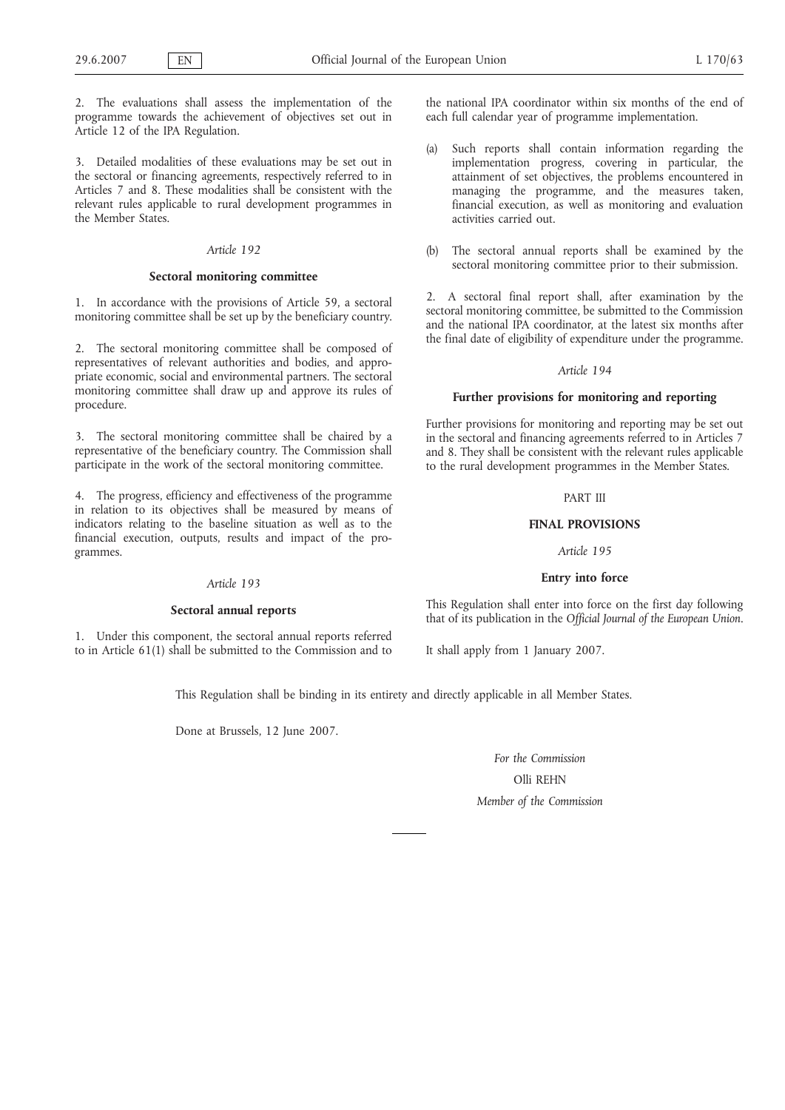2. The evaluations shall assess the implementation of the programme towards the achievement of objectives set out in Article 12 of the IPA Regulation.

3. Detailed modalities of these evaluations may be set out in the sectoral or financing agreements, respectively referred to in Articles 7 and 8. These modalities shall be consistent with the relevant rules applicable to rural development programmes in the Member States.

### *Article 192*

#### **Sectoral monitoring committee**

1. In accordance with the provisions of Article 59, a sectoral monitoring committee shall be set up by the beneficiary country.

2. The sectoral monitoring committee shall be composed of representatives of relevant authorities and bodies, and appropriate economic, social and environmental partners. The sectoral monitoring committee shall draw up and approve its rules of procedure.

3. The sectoral monitoring committee shall be chaired by a representative of the beneficiary country. The Commission shall participate in the work of the sectoral monitoring committee.

4. The progress, efficiency and effectiveness of the programme in relation to its objectives shall be measured by means of indicators relating to the baseline situation as well as to the financial execution, outputs, results and impact of the programmes.

#### *Article 193*

#### **Sectoral annual reports**

1. Under this component, the sectoral annual reports referred to in Article 61(1) shall be submitted to the Commission and to the national IPA coordinator within six months of the end of each full calendar year of programme implementation.

- (a) Such reports shall contain information regarding the implementation progress, covering in particular, the attainment of set objectives, the problems encountered in managing the programme, and the measures taken, financial execution, as well as monitoring and evaluation activities carried out.
- (b) The sectoral annual reports shall be examined by the sectoral monitoring committee prior to their submission.

2. A sectoral final report shall, after examination by the sectoral monitoring committee, be submitted to the Commission and the national IPA coordinator, at the latest six months after the final date of eligibility of expenditure under the programme.

#### *Article 194*

#### **Further provisions for monitoring and reporting**

Further provisions for monitoring and reporting may be set out in the sectoral and financing agreements referred to in Articles 7 and 8. They shall be consistent with the relevant rules applicable to the rural development programmes in the Member States.

# PART III

#### **FINAL PROVISIONS**

### *Article 195*

### **Entry into force**

This Regulation shall enter into force on the first day following that of its publication in the *Official Journal of the European Union*.

It shall apply from 1 January 2007.

This Regulation shall be binding in its entirety and directly applicable in all Member States.

Done at Brussels, 12 June 2007.

*For the Commission* Olli REHN *Member of the Commission*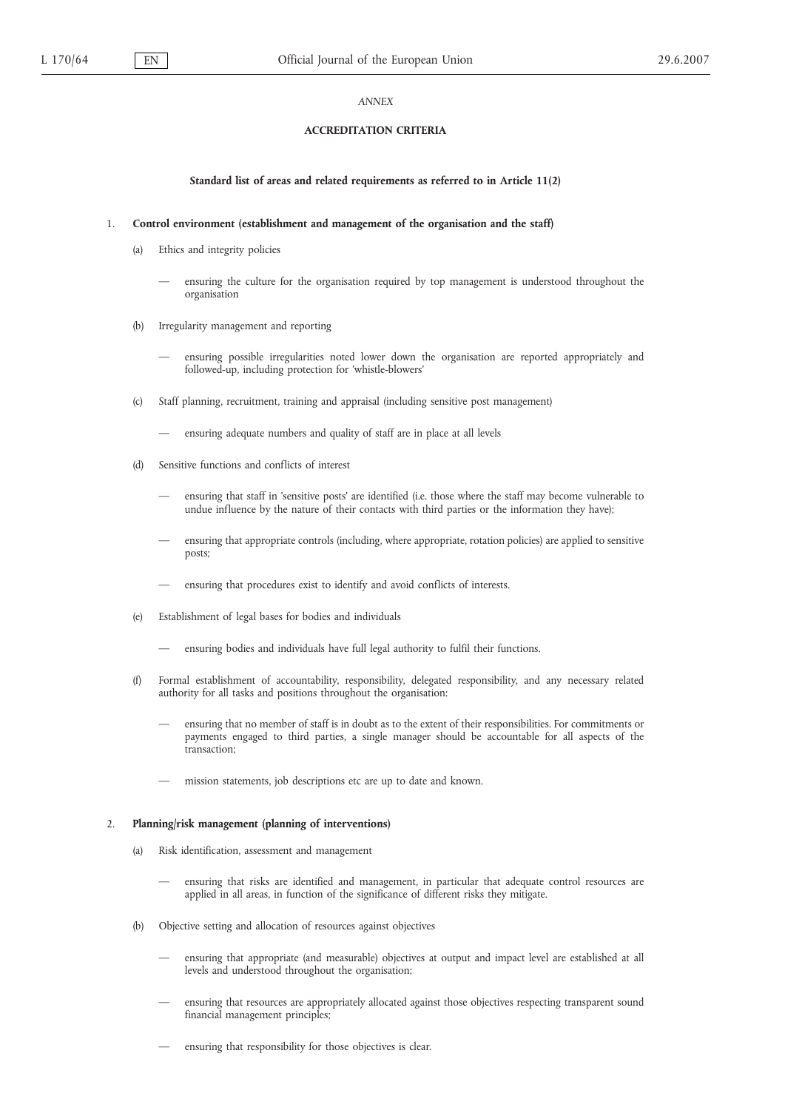#### *ANNEX*

### **ACCREDITATION CRITERIA**

# **Standard list of areas and related requirements as referred to in Article 11(2)**

# 1. **Control environment (establishment and management of the organisation and the staff)**

- (a) Ethics and integrity policies
	- ensuring the culture for the organisation required by top management is understood throughout the organisation
- (b) Irregularity management and reporting
	- ensuring possible irregularities noted lower down the organisation are reported appropriately and followed-up, including protection for 'whistle-blowers'
- (c) Staff planning, recruitment, training and appraisal (including sensitive post management)
	- ensuring adequate numbers and quality of staff are in place at all levels
- (d) Sensitive functions and conflicts of interest
	- ensuring that staff in 'sensitive posts' are identified (i.e. those where the staff may become vulnerable to undue influence by the nature of their contacts with third parties or the information they have);
	- ensuring that appropriate controls (including, where appropriate, rotation policies) are applied to sensitive posts;
	- ensuring that procedures exist to identify and avoid conflicts of interests.
- (e) Establishment of legal bases for bodies and individuals
	- ensuring bodies and individuals have full legal authority to fulfil their functions.
- (f) Formal establishment of accountability, responsibility, delegated responsibility, and any necessary related authority for all tasks and positions throughout the organisation:
	- ensuring that no member of staff is in doubt as to the extent of their responsibilities. For commitments or payments engaged to third parties, a single manager should be accountable for all aspects of the transaction;
	- mission statements, job descriptions etc are up to date and known.

#### 2. **Planning/risk management (planning of interventions)**

- (a) Risk identification, assessment and management
	- ensuring that risks are identified and management, in particular that adequate control resources are applied in all areas, in function of the significance of different risks they mitigate.
- (b) Objective setting and allocation of resources against objectives
	- ensuring that appropriate (and measurable) objectives at output and impact level are established at all levels and understood throughout the organisation;
	- ensuring that resources are appropriately allocated against those objectives respecting transparent sound financial management principles;
	- ensuring that responsibility for those objectives is clear.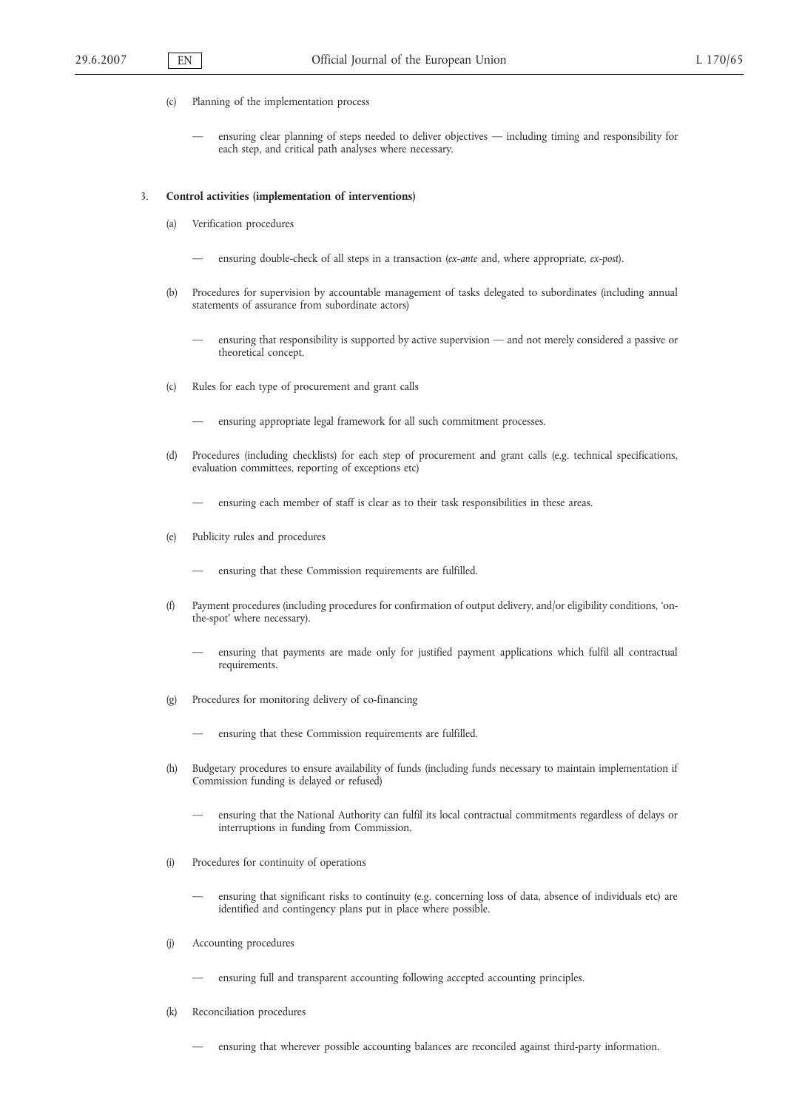- (c) Planning of the implementation process
	- ensuring clear planning of steps needed to deliver objectives including timing and responsibility for each step, and critical path analyses where necessary.

#### 3. **Control activities (implementation of interventions)**

- (a) Verification procedures
	- ensuring double-check of all steps in a transaction (*ex-ante* and, where appropriate, *ex-post*).
- (b) Procedures for supervision by accountable management of tasks delegated to subordinates (including annual statements of assurance from subordinate actors)
	- ensuring that responsibility is supported by active supervision and not merely considered a passive or theoretical concept.
- (c) Rules for each type of procurement and grant calls
	- ensuring appropriate legal framework for all such commitment processes.
- (d) Procedures (including checklists) for each step of procurement and grant calls (e.g. technical specifications, evaluation committees, reporting of exceptions etc)
	- ensuring each member of staff is clear as to their task responsibilities in these areas.
- (e) Publicity rules and procedures
	- ensuring that these Commission requirements are fulfilled.
- (f) Payment procedures (including procedures for confirmation of output delivery, and/or eligibility conditions, 'onthe-spot' where necessary).
	- ensuring that payments are made only for justified payment applications which fulfil all contractual requirements.
- (g) Procedures for monitoring delivery of co-financing
	- ensuring that these Commission requirements are fulfilled.
- (h) Budgetary procedures to ensure availability of funds (including funds necessary to maintain implementation if Commission funding is delayed or refused)
	- ensuring that the National Authority can fulfil its local contractual commitments regardless of delays or interruptions in funding from Commission.
- (i) Procedures for continuity of operations
	- ensuring that significant risks to continuity (e.g. concerning loss of data, absence of individuals etc) are identified and contingency plans put in place where possible.
- (j) Accounting procedures
	- ensuring full and transparent accounting following accepted accounting principles.
- (k) Reconciliation procedures
	- ensuring that wherever possible accounting balances are reconciled against third-party information.